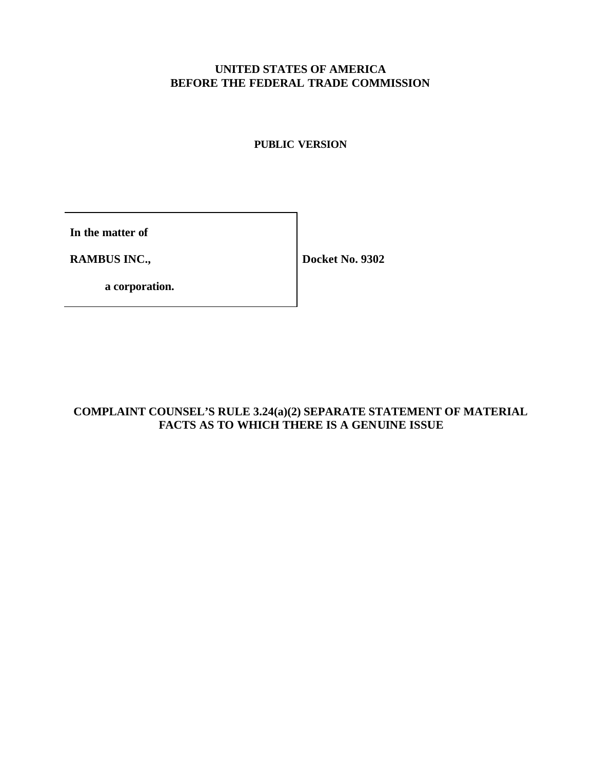# **UNITED STATES OF AMERICA BEFORE THE FEDERAL TRADE COMMISSION**

# **PUBLIC VERSION**

**In the matter of**

**RAMBUS INC.,** 

**Docket No. 9302**

**a corporation.**

# **COMPLAINT COUNSEL'S RULE 3.24(a)(2) SEPARATE STATEMENT OF MATERIAL FACTS AS TO WHICH THERE IS A GENUINE ISSUE**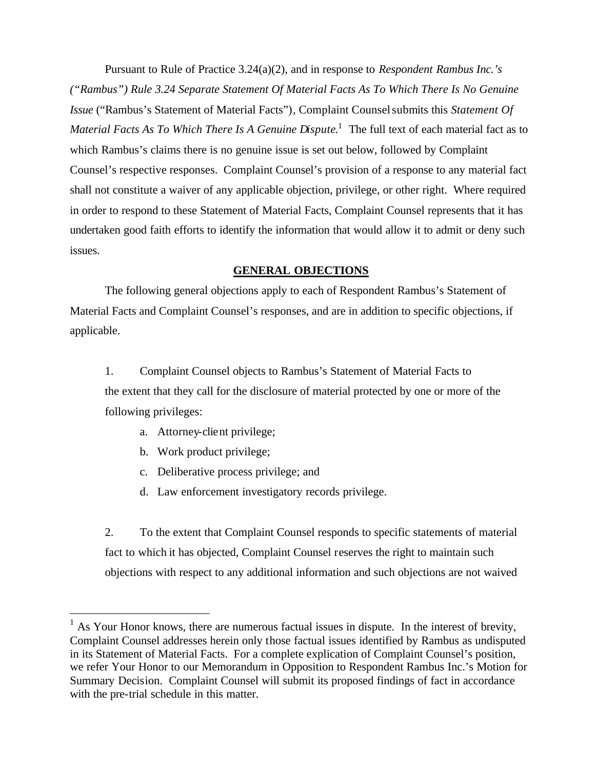Pursuant to Rule of Practice 3.24(a)(2), and in response to *Respondent Rambus Inc.'s ("Rambus") Rule 3.24 Separate Statement Of Material Facts As To Which There Is No Genuine Issue* ("Rambus's Statement of Material Facts"), Complaint Counsel submits this *Statement Of Material Facts As To Which There Is A Genuine Dispute*. 1 The full text of each material fact as to which Rambus's claims there is no genuine issue is set out below, followed by Complaint Counsel's respective responses. Complaint Counsel's provision of a response to any material fact shall not constitute a waiver of any applicable objection, privilege, or other right. Where required in order to respond to these Statement of Material Facts, Complaint Counsel represents that it has undertaken good faith efforts to identify the information that would allow it to admit or deny such issues.

### **GENERAL OBJECTIONS**

The following general objections apply to each of Respondent Rambus's Statement of Material Facts and Complaint Counsel's responses, and are in addition to specific objections, if applicable.

1. Complaint Counsel objects to Rambus's Statement of Material Facts to the extent that they call for the disclosure of material protected by one or more of the following privileges:

- a. Attorney-client privilege;
- b. Work product privilege;

l

- c. Deliberative process privilege; and
- d. Law enforcement investigatory records privilege.

2. To the extent that Complaint Counsel responds to specific statements of material fact to which it has objected, Complaint Counsel reserves the right to maintain such objections with respect to any additional information and such objections are not waived

 $<sup>1</sup>$  As Your Honor knows, there are numerous factual issues in dispute. In the interest of brevity,</sup> Complaint Counsel addresses herein only those factual issues identified by Rambus as undisputed in its Statement of Material Facts. For a complete explication of Complaint Counsel's position, we refer Your Honor to our Memorandum in Opposition to Respondent Rambus Inc.'s Motion for Summary Decision. Complaint Counsel will submit its proposed findings of fact in accordance with the pre-trial schedule in this matter.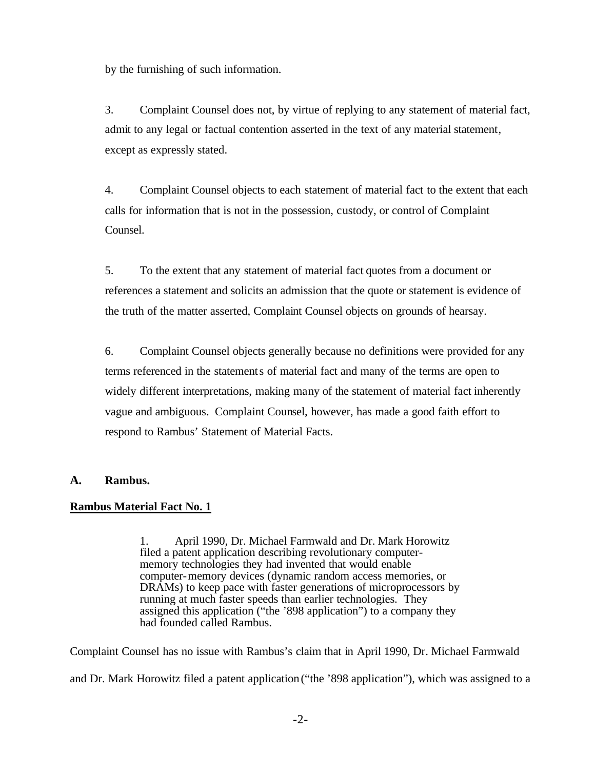by the furnishing of such information.

3. Complaint Counsel does not, by virtue of replying to any statement of material fact, admit to any legal or factual contention asserted in the text of any material statement, except as expressly stated.

4. Complaint Counsel objects to each statement of material fact to the extent that each calls for information that is not in the possession, custody, or control of Complaint Counsel.

5. To the extent that any statement of material fact quotes from a document or references a statement and solicits an admission that the quote or statement is evidence of the truth of the matter asserted, Complaint Counsel objects on grounds of hearsay.

6. Complaint Counsel objects generally because no definitions were provided for any terms referenced in the statements of material fact and many of the terms are open to widely different interpretations, making many of the statement of material fact inherently vague and ambiguous. Complaint Counsel, however, has made a good faith effort to respond to Rambus' Statement of Material Facts.

# **A. Rambus.**

# **Rambus Material Fact No. 1**

1. April 1990, Dr. Michael Farmwald and Dr. Mark Horowitz filed a patent application describing revolutionary computermemory technologies they had invented that would enable computer-memory devices (dynamic random access memories, or DRAMs) to keep pace with faster generations of microprocessors by running at much faster speeds than earlier technologies. They assigned this application ("the '898 application") to a company they had founded called Rambus.

Complaint Counsel has no issue with Rambus's claim that in April 1990, Dr. Michael Farmwald and Dr. Mark Horowitz filed a patent application ("the '898 application"), which was assigned to a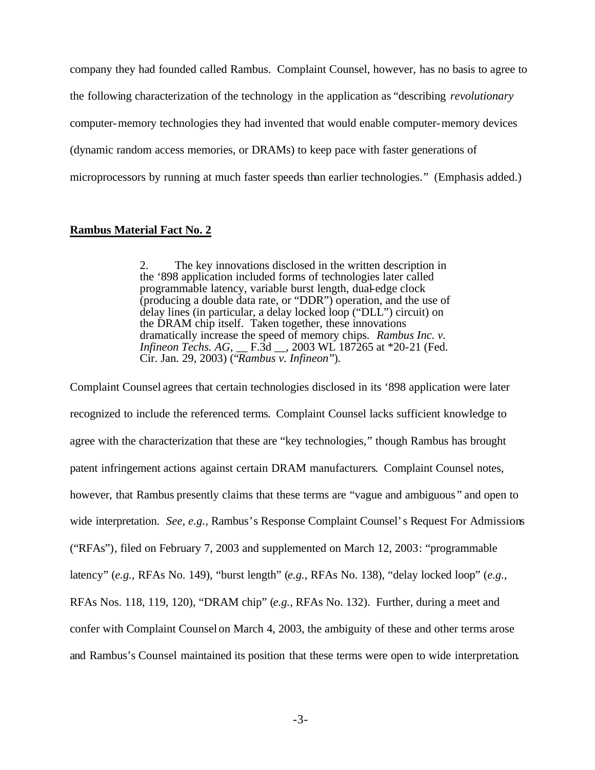company they had founded called Rambus. Complaint Counsel, however, has no basis to agree to the following characterization of the technology in the application as "describing *revolutionary* computer-memory technologies they had invented that would enable computer-memory devices (dynamic random access memories, or DRAMs) to keep pace with faster generations of microprocessors by running at much faster speeds than earlier technologies." (Emphasis added.)

#### **Rambus Material Fact No. 2**

2. The key innovations disclosed in the written description in the '898 application included forms of technologies later called programmable latency, variable burst length, dual-edge clock (producing a double data rate, or "DDR") operation, and the use of delay lines (in particular, a delay locked loop ("DLL") circuit) on the DRAM chip itself. Taken together, these innovations dramatically increase the speed of memory chips. *Rambus Inc. v. Infineon Techs. AG*, *\_\_ F.3d \_\_, 2003 WL 187265 at \*20-21 (Fed.* Cir. Jan. 29, 2003) ("*Rambus v. Infineon*").

Complaint Counsel agrees that certain technologies disclosed in its '898 application were later recognized to include the referenced terms. Complaint Counsel lacks sufficient knowledge to agree with the characterization that these are "key technologies," though Rambus has brought patent infringement actions against certain DRAM manufacturers. Complaint Counsel notes, however, that Rambus presently claims that these terms are "vague and ambiguous " and open to wide interpretation. *See, e.g.,* Rambus's Response Complaint Counsel's Request For Admissions ("RFAs"), filed on February 7, 2003 and supplemented on March 12, 2003: "programmable latency" (*e.g.,* RFAs No. 149), "burst length" (*e.g.,* RFAs No. 138), "delay locked loop" (*e.g.,* RFAs Nos. 118, 119, 120), "DRAM chip" (*e.g.,* RFAs No. 132). Further, during a meet and confer with Complaint Counsel on March 4, 2003, the ambiguity of these and other terms arose and Rambus's Counsel maintained its position that these terms were open to wide interpretation.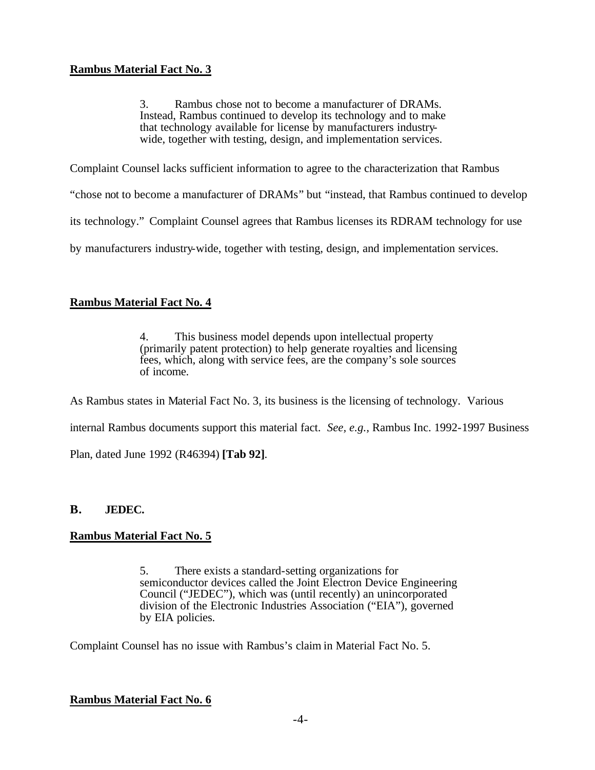3. Rambus chose not to become a manufacturer of DRAMs. Instead, Rambus continued to develop its technology and to make that technology available for license by manufacturers industrywide, together with testing, design, and implementation services.

Complaint Counsel lacks sufficient information to agree to the characterization that Rambus

"chose not to become a manufacturer of DRAMs" but "instead, that Rambus continued to develop

its technology." Complaint Counsel agrees that Rambus licenses its RDRAM technology for use

by manufacturers industry-wide, together with testing, design, and implementation services.

## **Rambus Material Fact No. 4**

4. This business model depends upon intellectual property (primarily patent protection) to help generate royalties and licensing fees, which, along with service fees, are the company's sole sources of income.

As Rambus states in Material Fact No. 3, its business is the licensing of technology. Various

internal Rambus documents support this material fact. *See, e.g.,* Rambus Inc. 1992-1997 Business

Plan, dated June 1992 (R46394) **[Tab 92]**.

### **B. JEDEC.**

### **Rambus Material Fact No. 5**

5. There exists a standard-setting organizations for semiconductor devices called the Joint Electron Device Engineering Council ("JEDEC"), which was (until recently) an unincorporated division of the Electronic Industries Association ("EIA"), governed by EIA policies.

Complaint Counsel has no issue with Rambus's claim in Material Fact No. 5.

### **Rambus Material Fact No. 6**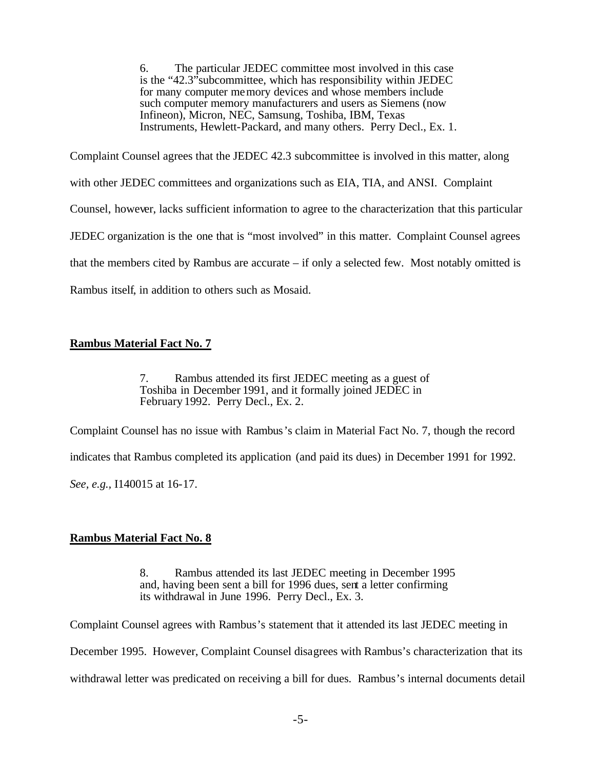6. The particular JEDEC committee most involved in this case is the "42.3"subcommittee, which has responsibility within JEDEC for many computer memory devices and whose members include such computer memory manufacturers and users as Siemens (now Infineon), Micron, NEC, Samsung, Toshiba, IBM, Texas Instruments, Hewlett-Packard, and many others. Perry Decl., Ex. 1.

Complaint Counsel agrees that the JEDEC 42.3 subcommittee is involved in this matter, along with other JEDEC committees and organizations such as EIA, TIA, and ANSI. Complaint Counsel, however, lacks sufficient information to agree to the characterization that this particular JEDEC organization is the one that is "most involved" in this matter. Complaint Counsel agrees that the members cited by Rambus are accurate – if only a selected few. Most notably omitted is Rambus itself, in addition to others such as Mosaid.

# **Rambus Material Fact No. 7**

7. Rambus attended its first JEDEC meeting as a guest of Toshiba in December 1991, and it formally joined JEDEC in February 1992. Perry Decl., Ex. 2.

Complaint Counsel has no issue with Rambus's claim in Material Fact No. 7, though the record indicates that Rambus completed its application (and paid its dues) in December 1991 for 1992. *See, e.g.,* I140015 at 16-17.

# **Rambus Material Fact No. 8**

8. Rambus attended its last JEDEC meeting in December 1995 and, having been sent a bill for 1996 dues, sent a letter confirming its withdrawal in June 1996. Perry Decl., Ex. 3.

Complaint Counsel agrees with Rambus's statement that it attended its last JEDEC meeting in

December 1995. However, Complaint Counsel disagrees with Rambus's characterization that its

withdrawal letter was predicated on receiving a bill for dues. Rambus's internal documents detail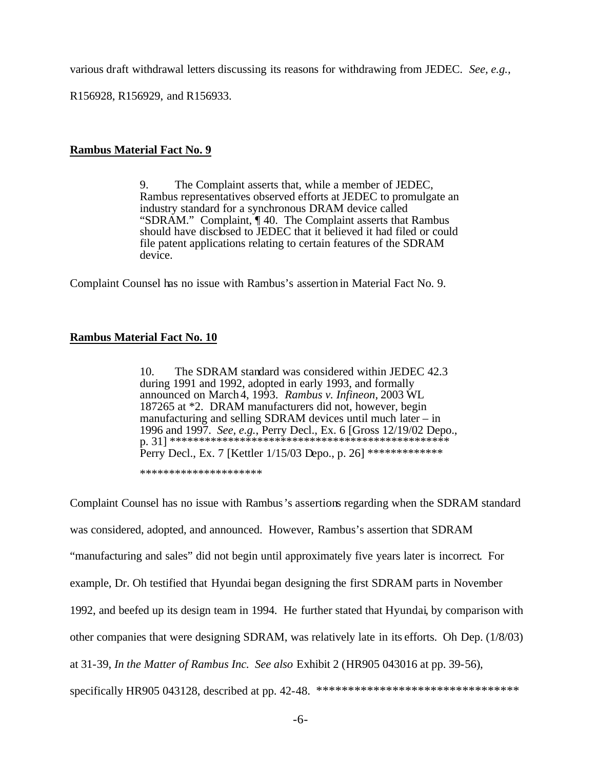various draft withdrawal letters discussing its reasons for withdrawing from JEDEC. *See, e.g.,*

R156928, R156929, and R156933.

## **Rambus Material Fact No. 9**

9. The Complaint asserts that, while a member of JEDEC, Rambus representatives observed efforts at JEDEC to promulgate an industry standard for a synchronous DRAM device called "SDRAM." Complaint, ¶ 40. The Complaint asserts that Rambus should have disclosed to JEDEC that it believed it had filed or could file patent applications relating to certain features of the SDRAM device.

Complaint Counsel has no issue with Rambus's assertion in Material Fact No. 9.

### **Rambus Material Fact No. 10**

10. The SDRAM standard was considered within JEDEC 42.3 during 1991 and 1992, adopted in early 1993, and formally announced on March4, 1993. *Rambus v. Infineon*, 2003 WL 187265 at \*2. DRAM manufacturers did not, however, begin manufacturing and selling SDRAM devices until much later – in 1996 and 1997. *See, e.g.*, Perry Decl., Ex. 6 [Gross 12/19/02 Depo., p. 31] \*\*\*\*\*\*\*\*\*\*\*\*\*\*\*\*\*\*\*\*\*\*\*\*\*\*\*\*\*\*\*\*\*\*\*\*\*\*\*\*\*\*\*\*\*\*\*\* Perry Decl., Ex. 7 [Kettler 1/15/03 Depo., p. 26] \*\*\*\*\*\*\*\*\*\*\*\*\*\*

\*\*\*\*\*\*\*\*\*\*\*\*\*\*\*\*\*\*\*\*\*

Complaint Counsel has no issue with Rambus's assertions regarding when the SDRAM standard was considered, adopted, and announced. However, Rambus's assertion that SDRAM "manufacturing and sales" did not begin until approximately five years later is incorrect. For example, Dr. Oh testified that Hyundai began designing the first SDRAM parts in November 1992, and beefed up its design team in 1994. He further stated that Hyundai, by comparison with other companies that were designing SDRAM, was relatively late in its efforts. Oh Dep. (1/8/03) at 31-39, *In the Matter of Rambus Inc. See also* Exhibit 2 (HR905 043016 at pp. 39-56), specifically HR905 043128, described at pp. 42-48. \*\*\*\*\*\*\*\*\*\*\*\*\*\*\*\*\*\*\*\*\*\*\*\*\*\*\*\*\*\*\*\*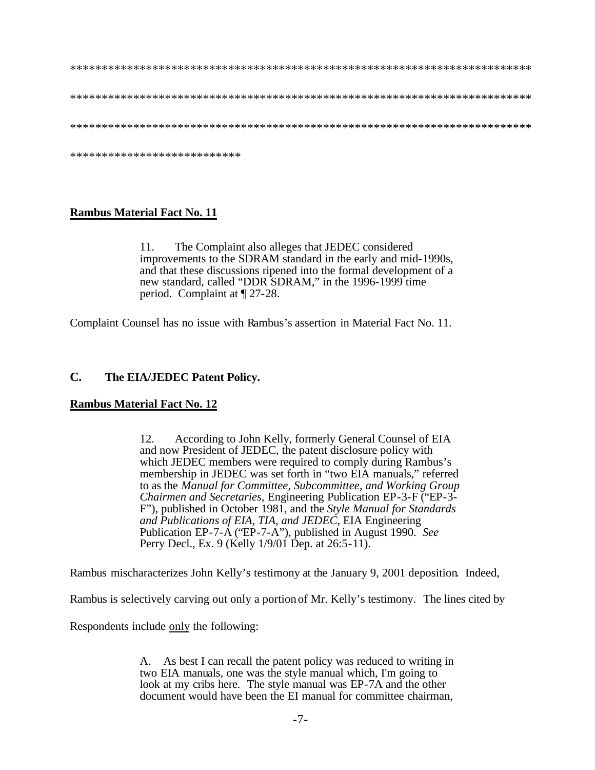| *************************** |
|-----------------------------|

### **Rambus Material Fact No. 11**

The Complaint also alleges that JEDEC considered 11. improvements to the SDRAM standard in the early and mid-1990s. and that these discussions ripened into the formal development of a new standard, called "DDR SDRAM," in the 1996-1999 time period. Complaint at  $\P$  27-28.

Complaint Counsel has no issue with Rambus's assertion in Material Fact No. 11.

#### $\mathbf{C}$ . The EIA/JEDEC Patent Policy.

### **Rambus Material Fact No. 12**

According to John Kelly, formerly General Counsel of EIA 12. and now President of JEDEC, the patent disclosure policy with which JEDEC members were required to comply during Rambus's membership in JEDEC was set forth in "two EIA manuals," referred to as the Manual for Committee, Subcommittee, and Working Group Chairmen and Secretaries, Engineering Publication EP-3-F ("EP-3-F"), published in October 1981, and the *Style Manual for Standards* and Publications of EIA, TIA, and JEDEC, EIA Engineering Publication EP-7-A ("EP-7-A"), published in August 1990. See Perry Decl., Ex. 9 (Kelly 1/9/01 Dep. at 26:5-11).

Rambus mischaracterizes John Kelly's testimony at the January 9, 2001 deposition. Indeed,

Rambus is selectively carving out only a portion of Mr. Kelly's testimony. The lines cited by

Respondents include only the following:

A. As best I can recall the patent policy was reduced to writing in two EIA manuals, one was the style manual which, I'm going to look at my cribs here. The style manual was EP-7A and the other document would have been the EI manual for committee chairman.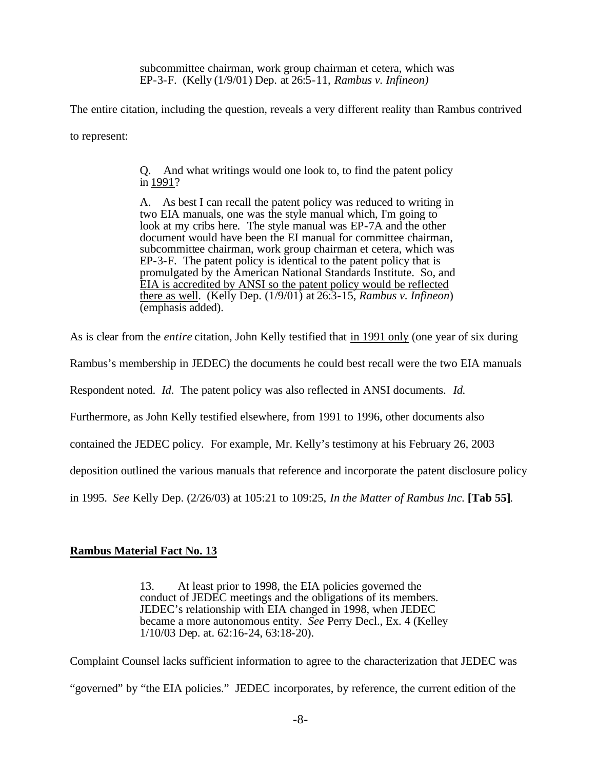subcommittee chairman, work group chairman et cetera, which was EP-3-F. (Kelly (1/9/01) Dep. at 26:5-11, *Rambus v. Infineon)*

The entire citation, including the question, reveals a very different reality than Rambus contrived

to represent:

Q. And what writings would one look to, to find the patent policy in 1991?

A. As best I can recall the patent policy was reduced to writing in two EIA manuals, one was the style manual which, I'm going to look at my cribs here. The style manual was EP-7A and the other document would have been the EI manual for committee chairman, subcommittee chairman, work group chairman et cetera, which was EP-3-F. The patent policy is identical to the patent policy that is promulgated by the American National Standards Institute. So, and EIA is accredited by ANSI so the patent policy would be reflected there as well. (Kelly Dep. (1/9/01) at 26:3-15, *Rambus v. Infineon*) (emphasis added).

As is clear from the *entire* citation, John Kelly testified that in 1991 only (one year of six during

Rambus's membership in JEDEC) the documents he could best recall were the two EIA manuals

Respondent noted. *Id*. The patent policy was also reflected in ANSI documents. *Id.*

Furthermore, as John Kelly testified elsewhere, from 1991 to 1996, other documents also

contained the JEDEC policy. For example, Mr. Kelly's testimony at his February 26, 2003

deposition outlined the various manuals that reference and incorporate the patent disclosure policy

in 1995. *See* Kelly Dep. (2/26/03) at 105:21 to 109:25, *In the Matter of Rambus Inc.* **[Tab 55]**.

### **Rambus Material Fact No. 13**

13. At least prior to 1998, the EIA policies governed the conduct of JEDEC meetings and the obligations of its members. JEDEC's relationship with EIA changed in 1998, when JEDEC became a more autonomous entity. *See* Perry Decl., Ex. 4 (Kelley 1/10/03 Dep. at. 62:16-24, 63:18-20).

Complaint Counsel lacks sufficient information to agree to the characterization that JEDEC was "governed" by "the EIA policies." JEDEC incorporates, by reference, the current edition of the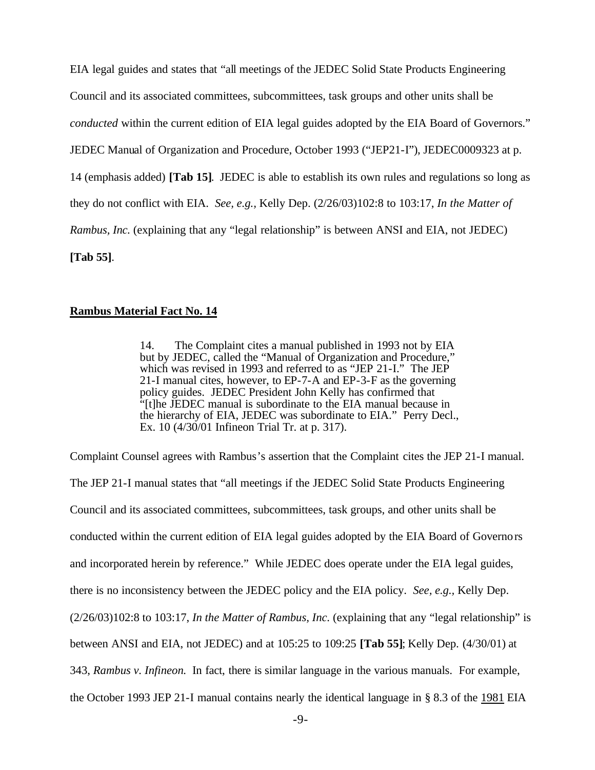EIA legal guides and states that "all meetings of the JEDEC Solid State Products Engineering Council and its associated committees, subcommittees, task groups and other units shall be *conducted* within the current edition of EIA legal guides adopted by the EIA Board of Governors." JEDEC Manual of Organization and Procedure, October 1993 ("JEP21-I"), JEDEC0009323 at p. 14 (emphasis added) **[Tab 15]**. JEDEC is able to establish its own rules and regulations so long as they do not conflict with EIA. *See, e.g.,* Kelly Dep. (2/26/03)102:8 to 103:17, *In the Matter of Rambus, Inc.* (explaining that any "legal relationship" is between ANSI and EIA, not JEDEC) **[Tab 55]**.

### **Rambus Material Fact No. 14**

14. The Complaint cites a manual published in 1993 not by EIA but by JEDEC, called the "Manual of Organization and Procedure," which was revised in 1993 and referred to as "JEP 21-I." The JEP 21-I manual cites, however, to EP-7-A and EP-3-F as the governing policy guides. JEDEC President John Kelly has confirmed that "[t]he JEDEC manual is subordinate to the EIA manual because in the hierarchy of EIA, JEDEC was subordinate to EIA." Perry Decl., Ex. 10 (4/30/01 Infineon Trial Tr. at p. 317).

Complaint Counsel agrees with Rambus's assertion that the Complaint cites the JEP 21-I manual. The JEP 21-I manual states that "all meetings if the JEDEC Solid State Products Engineering Council and its associated committees, subcommittees, task groups, and other units shall be conducted within the current edition of EIA legal guides adopted by the EIA Board of Governors and incorporated herein by reference." While JEDEC does operate under the EIA legal guides, there is no inconsistency between the JEDEC policy and the EIA policy. *See, e.g.,* Kelly Dep. (2/26/03)102:8 to 103:17, *In the Matter of Rambus, Inc.* (explaining that any "legal relationship" is between ANSI and EIA, not JEDEC) and at 105:25 to 109:25 **[Tab 55]**; Kelly Dep. (4/30/01) at 343, *Rambus v. Infineon.* In fact, there is similar language in the various manuals. For example, the October 1993 JEP 21-I manual contains nearly the identical language in § 8.3 of the 1981 EIA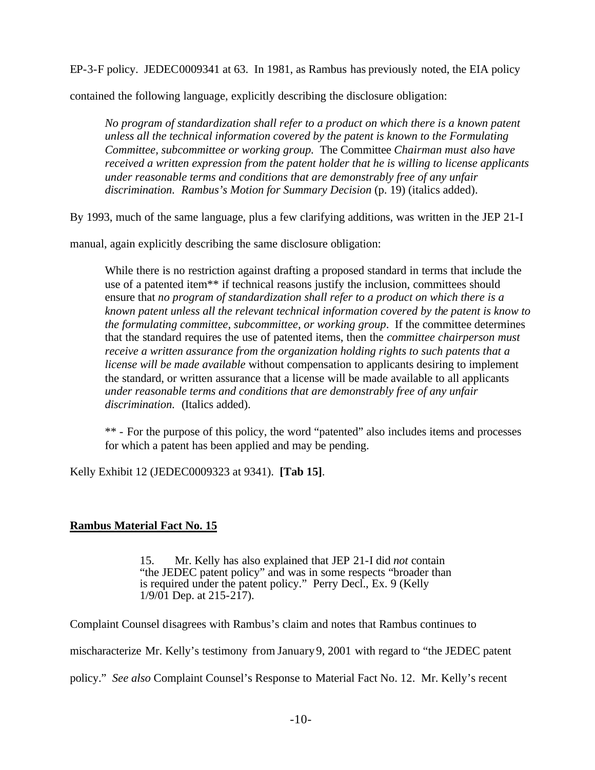EP-3-F policy. JEDEC0009341 at 63. In 1981, as Rambus has previously noted, the EIA policy

contained the following language, explicitly describing the disclosure obligation:

*No program of standardization shall refer to a product on which there is a known patent unless all the technical information covered by the patent is known to the Formulating Committee, subcommittee or working group.* The Committee *Chairman must also have received a written expression from the patent holder that he is willing to license applicants under reasonable terms and conditions that are demonstrably free of any unfair discrimination*. *Rambus's Motion for Summary Decision* (p. 19) (italics added).

By 1993, much of the same language, plus a few clarifying additions, was written in the JEP 21-I

manual, again explicitly describing the same disclosure obligation:

While there is no restriction against drafting a proposed standard in terms that include the use of a patented item\*\* if technical reasons justify the inclusion, committees should ensure that *no program of standardization shall refer to a product on which there is a known patent unless all the relevant technical information covered by the patent is know to the formulating committee, subcommittee, or working group*. If the committee determines that the standard requires the use of patented items, then the *committee chairperson must receive a written assurance from the organization holding rights to such patents that a license will be made available* without compensation to applicants desiring to implement the standard, or written assurance that a license will be made available to all applicants *under reasonable terms and conditions that are demonstrably free of any unfair discrimination*. (Italics added).

\*\* - For the purpose of this policy, the word "patented" also includes items and processes for which a patent has been applied and may be pending.

Kelly Exhibit 12 (JEDEC0009323 at 9341). **[Tab 15]**.

# **Rambus Material Fact No. 15**

15. Mr. Kelly has also explained that JEP 21-I did *not* contain "the JEDEC patent policy" and was in some respects "broader than is required under the patent policy." Perry Decl., Ex. 9 (Kelly  $1/9/01$  Dep. at  $215-217$ ).

Complaint Counsel disagrees with Rambus's claim and notes that Rambus continues to

mischaracterize Mr. Kelly's testimony from January 9, 2001 with regard to "the JEDEC patent

policy." *See also* Complaint Counsel's Response to Material Fact No. 12. Mr. Kelly's recent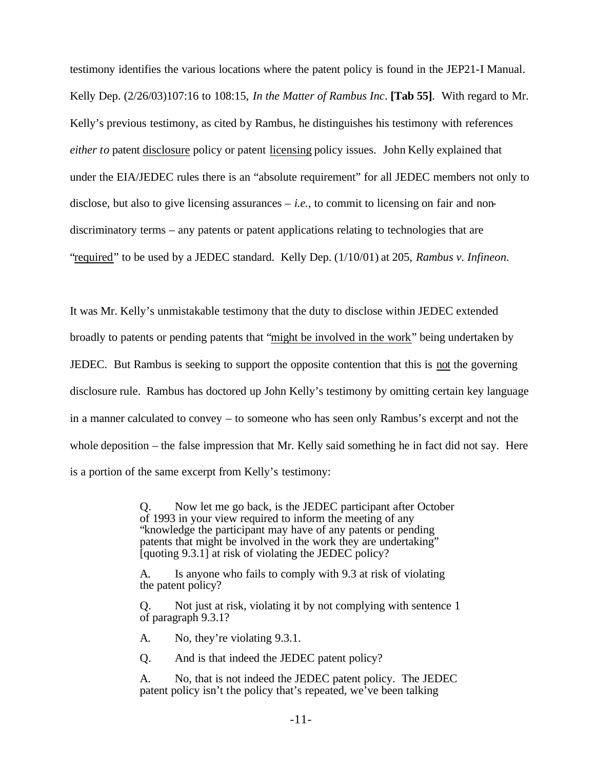testimony identifies the various locations where the patent policy is found in the JEP21-I Manual. Kelly Dep. (2/26/03)107:16 to 108:15, *In the Matter of Rambus Inc*. **[Tab 55]**. With regard to Mr. Kelly's previous testimony, as cited by Rambus, he distinguishes his testimony with references *either to* patent disclosure policy or patent licensing policy issues. John Kelly explained that under the EIA/JEDEC rules there is an "absolute requirement" for all JEDEC members not only to disclose, but also to give licensing assurances  $-$  *i.e.*, to commit to licensing on fair and nondiscriminatory terms – any patents or patent applications relating to technologies that are "required" to be used by a JEDEC standard. Kelly Dep. (1/10/01) at 205, *Rambus v. Infineon*.

It was Mr. Kelly's unmistakable testimony that the duty to disclose within JEDEC extended broadly to patents or pending patents that "might be involved in the work" being undertaken by JEDEC. But Rambus is seeking to support the opposite contention that this is not the governing disclosure rule. Rambus has doctored up John Kelly's testimony by omitting certain key language in a manner calculated to convey – to someone who has seen only Rambus's excerpt and not the whole deposition – the false impression that Mr. Kelly said something he in fact did not say. Here is a portion of the same excerpt from Kelly's testimony:

> Q. Now let me go back, is the JEDEC participant after October of 1993 in your view required to inform the meeting of any "knowledge the participant may have of any patents or pending patents that might be involved in the work they are undertaking" [quoting 9.3.1] at risk of violating the JEDEC policy?

A. Is anyone who fails to comply with 9.3 at risk of violating the patent policy?

Q. Not just at risk, violating it by not complying with sentence 1 of paragraph 9.3.1?

A. No, they're violating 9.3.1.

Q. And is that indeed the JEDEC patent policy?

A. No, that is not indeed the JEDEC patent policy. The JEDEC patent policy isn't the policy that's repeated, we've been talking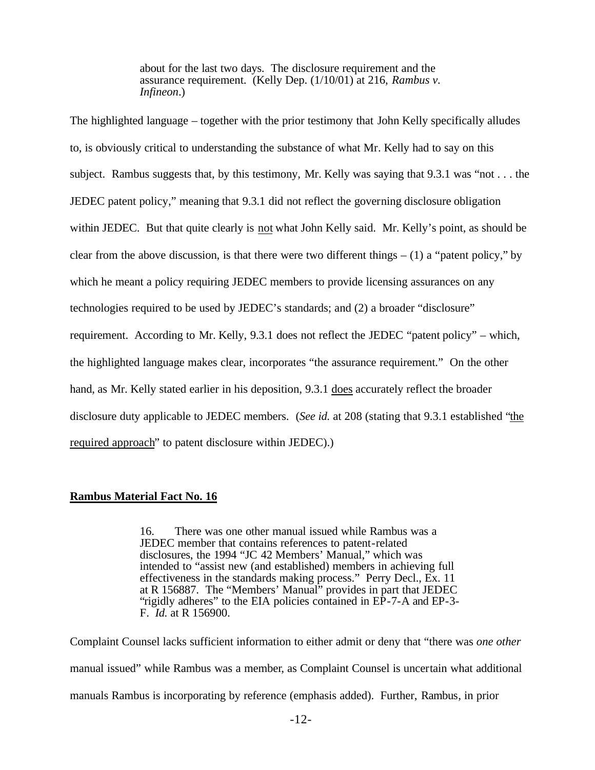about for the last two days. The disclosure requirement and the assurance requirement. (Kelly Dep. (1/10/01) at 216, *Rambus v. Infineon*.)

The highlighted language – together with the prior testimony that John Kelly specifically alludes to, is obviously critical to understanding the substance of what Mr. Kelly had to say on this subject. Rambus suggests that, by this testimony, Mr. Kelly was saying that 9.3.1 was "not . . . the JEDEC patent policy," meaning that 9.3.1 did not reflect the governing disclosure obligation within JEDEC. But that quite clearly is not what John Kelly said. Mr. Kelly's point, as should be clear from the above discussion, is that there were two different things  $- (1)$  a "patent policy," by which he meant a policy requiring JEDEC members to provide licensing assurances on any technologies required to be used by JEDEC's standards; and (2) a broader "disclosure" requirement. According to Mr. Kelly, 9.3.1 does not reflect the JEDEC "patent policy" – which, the highlighted language makes clear, incorporates "the assurance requirement." On the other hand, as Mr. Kelly stated earlier in his deposition, 9.3.1 does accurately reflect the broader disclosure duty applicable to JEDEC members. (*See id.* at 208 (stating that 9.3.1 established "the required approach" to patent disclosure within JEDEC).)

### **Rambus Material Fact No. 16**

16. There was one other manual issued while Rambus was a JEDEC member that contains references to patent-related disclosures, the 1994 "JC 42 Members' Manual," which was intended to "assist new (and established) members in achieving full effectiveness in the standards making process." Perry Decl., Ex. 11 at R 156887. The "Members' Manual" provides in part that JEDEC "rigidly adheres" to the EIA policies contained in EP-7-A and EP-3- F. *Id.* at R 156900.

Complaint Counsel lacks sufficient information to either admit or deny that "there was *one other*  manual issued" while Rambus was a member, as Complaint Counsel is uncertain what additional manuals Rambus is incorporating by reference (emphasis added). Further, Rambus, in prior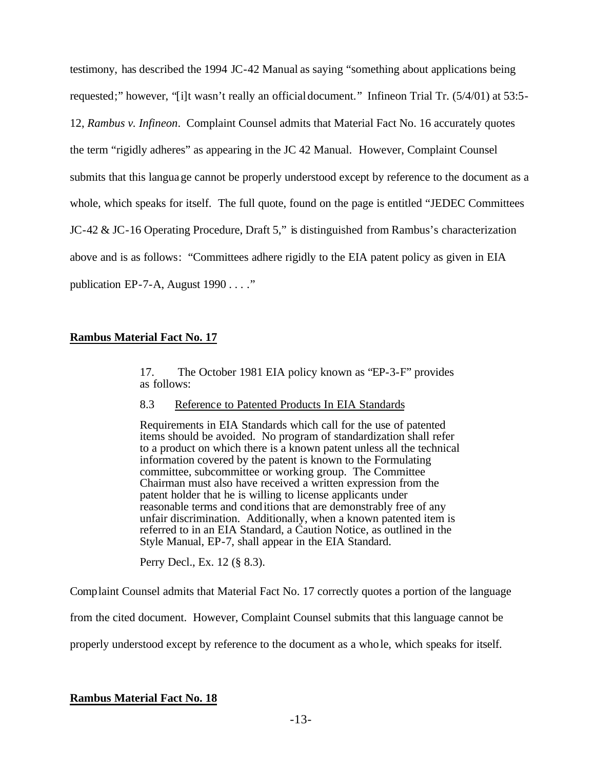testimony, has described the 1994 JC-42 Manual as saying "something about applications being requested;" however, "[i]t wasn't really an official document." Infineon Trial Tr. (5/4/01) at 53:5- 12, *Rambus v. Infineon*. Complaint Counsel admits that Material Fact No. 16 accurately quotes the term "rigidly adheres" as appearing in the JC 42 Manual. However, Complaint Counsel submits that this language cannot be properly understood except by reference to the document as a whole, which speaks for itself. The full quote, found on the page is entitled "JEDEC Committees JC-42 & JC-16 Operating Procedure, Draft 5," is distinguished from Rambus's characterization above and is as follows: "Committees adhere rigidly to the EIA patent policy as given in EIA publication EP-7-A, August 1990 . . . ."

### **Rambus Material Fact No. 17**

17. The October 1981 EIA policy known as "EP-3-F" provides as follows:

### 8.3 Reference to Patented Products In EIA Standards

Requirements in EIA Standards which call for the use of patented items should be avoided. No program of standardization shall refer to a product on which there is a known patent unless all the technical information covered by the patent is known to the Formulating committee, subcommittee or working group. The Committee Chairman must also have received a written expression from the patent holder that he is willing to license applicants under reasonable terms and conditions that are demonstrably free of any unfair discrimination. Additionally, when a known patented item is referred to in an EIA Standard, a Caution Notice, as outlined in the Style Manual, EP-7, shall appear in the EIA Standard.

Perry Decl., Ex. 12 (§ 8.3).

Complaint Counsel admits that Material Fact No. 17 correctly quotes a portion of the language

from the cited document. However, Complaint Counsel submits that this language cannot be

properly understood except by reference to the document as a whole, which speaks for itself.

# **Rambus Material Fact No. 18**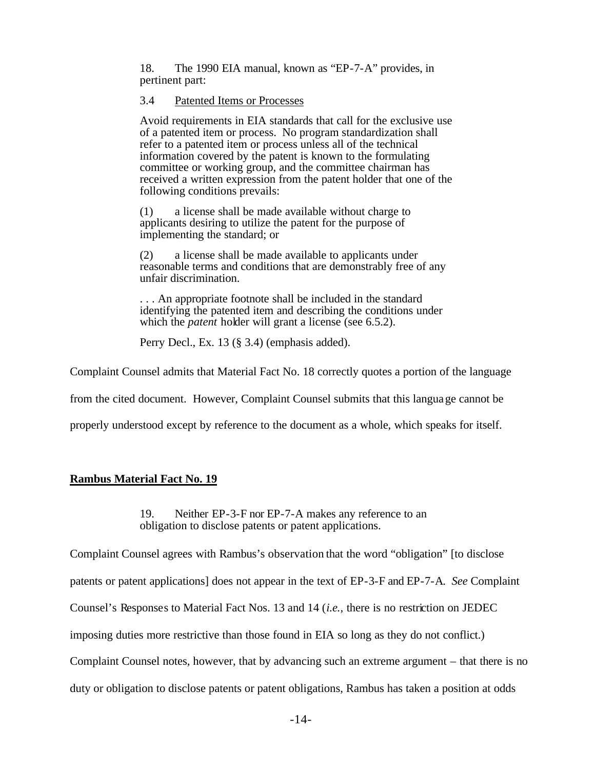18. The 1990 EIA manual, known as "EP-7-A" provides, in pertinent part:

#### 3.4 Patented Items or Processes

Avoid requirements in EIA standards that call for the exclusive use of a patented item or process. No program standardization shall refer to a patented item or process unless all of the technical information covered by the patent is known to the formulating committee or working group, and the committee chairman has received a written expression from the patent holder that one of the following conditions prevails:

(1) a license shall be made available without charge to applicants desiring to utilize the patent for the purpose of implementing the standard; or

(2) a license shall be made available to applicants under reasonable terms and conditions that are demonstrably free of any unfair discrimination.

. . . An appropriate footnote shall be included in the standard identifying the patented item and describing the conditions under which the *patent* holder will grant a license (see 6.5.2).

Perry Decl., Ex. 13 (§ 3.4) (emphasis added).

Complaint Counsel admits that Material Fact No. 18 correctly quotes a portion of the language

from the cited document. However, Complaint Counsel submits that this language cannot be

properly understood except by reference to the document as a whole, which speaks for itself.

### **Rambus Material Fact No. 19**

19. Neither EP-3-F nor EP-7-A makes any reference to an obligation to disclose patents or patent applications.

Complaint Counsel agrees with Rambus's observation that the word "obligation" [to disclose

patents or patent applications] does not appear in the text of EP-3-F and EP-7-A. *See* Complaint

Counsel's Responses to Material Fact Nos. 13 and 14 (*i.e.,* there is no restriction on JEDEC

imposing duties more restrictive than those found in EIA so long as they do not conflict.)

Complaint Counsel notes, however, that by advancing such an extreme argument – that there is no

duty or obligation to disclose patents or patent obligations, Rambus has taken a position at odds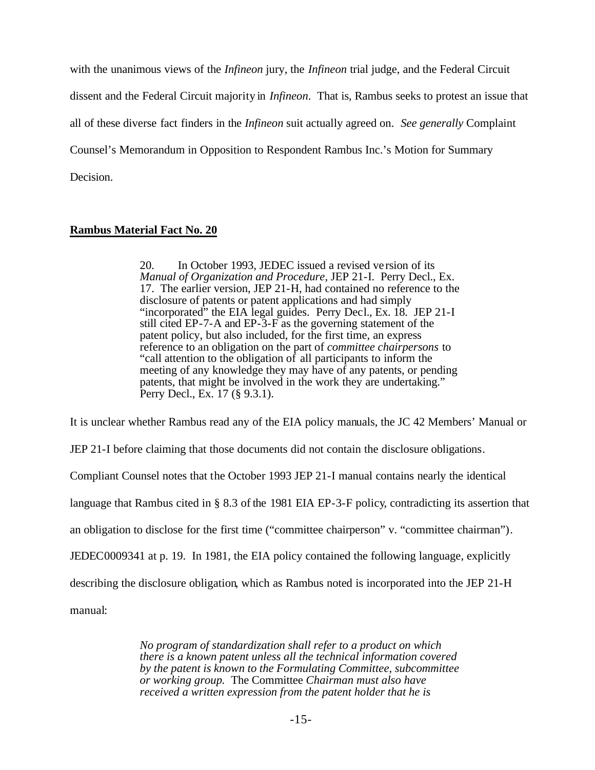with the unanimous views of the *Infineon* jury, the *Infineon* trial judge, and the Federal Circuit dissent and the Federal Circuit majority in *Infineon*. That is, Rambus seeks to protest an issue that all of these diverse fact finders in the *Infineon* suit actually agreed on. *See generally* Complaint Counsel's Memorandum in Opposition to Respondent Rambus Inc.'s Motion for Summary Decision.

### **Rambus Material Fact No. 20**

20. In October 1993, JEDEC issued a revised ve rsion of its *Manual of Organization and Procedure*, JEP 21-I. Perry Decl., Ex. 17. The earlier version, JEP 21-H, had contained no reference to the disclosure of patents or patent applications and had simply "incorporated" the EIA legal guides. Perry Decl., Ex. 18. JEP 21-I still cited EP-7-A and EP-3-F as the governing statement of the patent policy, but also included, for the first time, an express reference to an obligation on the part of *committee chairpersons* to "call attention to the obligation of all participants to inform the meeting of any knowledge they may have of any patents, or pending patents, that might be involved in the work they are undertaking." Perry Decl., Ex. 17 (§ 9.3.1).

It is unclear whether Rambus read any of the EIA policy manuals, the JC 42 Members' Manual or

JEP 21-I before claiming that those documents did not contain the disclosure obligations.

Compliant Counsel notes that the October 1993 JEP 21-I manual contains nearly the identical

language that Rambus cited in § 8.3 of the 1981 EIA EP-3-F policy, contradicting its assertion that

an obligation to disclose for the first time ("committee chairperson" v. "committee chairman").

JEDEC0009341 at p. 19. In 1981, the EIA policy contained the following language, explicitly

describing the disclosure obligation, which as Rambus noted is incorporated into the JEP 21-H

manual:

*No program of standardization shall refer to a product on which there is a known patent unless all the technical information covered by the patent is known to the Formulating Committee, subcommittee or working group.* The Committee *Chairman must also have received a written expression from the patent holder that he is*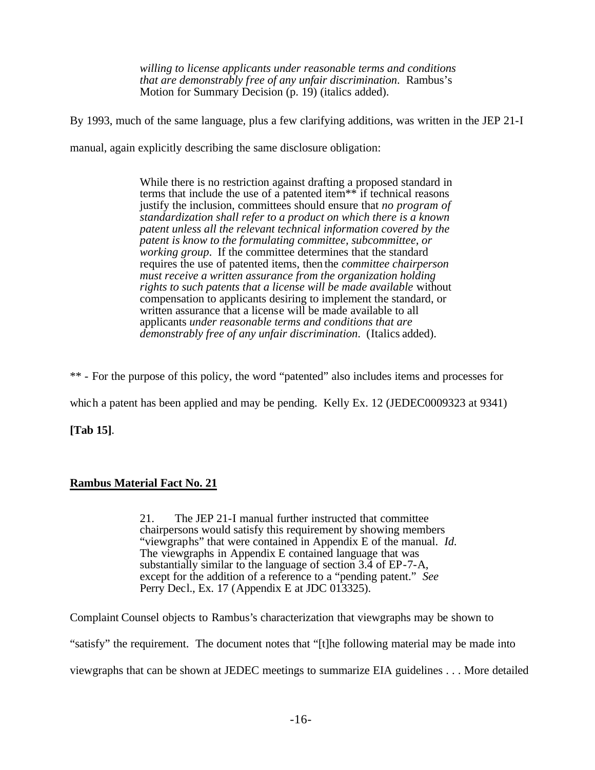*willing to license applicants under reasonable terms and conditions that are demonstrably free of any unfair discrimination*. Rambus's Motion for Summary Decision (p. 19) (italics added).

By 1993, much of the same language, plus a few clarifying additions, was written in the JEP 21-I

manual, again explicitly describing the same disclosure obligation:

While there is no restriction against drafting a proposed standard in terms that include the use of a patented item\*\* if technical reasons justify the inclusion, committees should ensure that *no program of standardization shall refer to a product on which there is a known patent unless all the relevant technical information covered by the patent is know to the formulating committee, subcommittee, or working group*. If the committee determines that the standard requires the use of patented items, then the *committee chairperson must receive a written assurance from the organization holding rights to such patents that a license will be made available* without compensation to applicants desiring to implement the standard, or written assurance that a license will be made available to all applicants *under reasonable terms and conditions that are demonstrably free of any unfair discrimination*. (Italics added).

\*\* - For the purpose of this policy, the word "patented" also includes items and processes for

which a patent has been applied and may be pending. Kelly Ex. 12 (JEDEC0009323 at 9341)

**[Tab 15]**.

# **Rambus Material Fact No. 21**

21. The JEP 21-I manual further instructed that committee chairpersons would satisfy this requirement by showing members "viewgraphs" that were contained in Appendix E of the manual. *Id*. The viewgraphs in Appendix E contained language that was substantially similar to the language of section 3.4 of EP-7-A, except for the addition of a reference to a "pending patent." *See* Perry Decl., Ex. 17 (Appendix E at JDC 013325).

Complaint Counsel objects to Rambus's characterization that viewgraphs may be shown to "satisfy" the requirement. The document notes that "[t]he following material may be made into

viewgraphs that can be shown at JEDEC meetings to summarize EIA guidelines . . . More detailed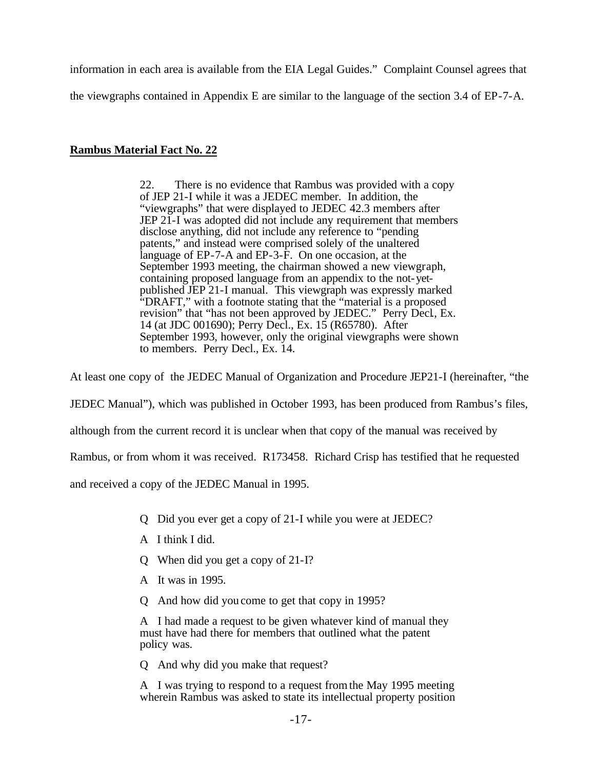information in each area is available from the EIA Legal Guides." Complaint Counsel agrees that the viewgraphs contained in Appendix E are similar to the language of the section 3.4 of EP-7-A.

# **Rambus Material Fact No. 22**

22. There is no evidence that Rambus was provided with a copy of JEP 21-I while it was a JEDEC member. In addition, the "viewgraphs" that were displayed to JEDEC 42.3 members after JEP 21-I was adopted did not include any requirement that members disclose anything, did not include any reference to "pending patents," and instead were comprised solely of the unaltered language of EP-7-A and EP-3-F. On one occasion, at the September 1993 meeting, the chairman showed a new viewgraph, containing proposed language from an appendix to the not-yetpublished JEP 21-I manual. This viewgraph was expressly marked "DRAFT," with a footnote stating that the "material is a proposed revision" that "has not been approved by JEDEC." Perry Decl., Ex. 14 (at JDC 001690); Perry Decl., Ex. 15 (R65780). After September 1993, however, only the original viewgraphs were shown to members. Perry Decl., Ex. 14.

At least one copy of the JEDEC Manual of Organization and Procedure JEP21-I (hereinafter, "the

JEDEC Manual"), which was published in October 1993, has been produced from Rambus's files,

although from the current record it is unclear when that copy of the manual was received by

Rambus, or from whom it was received. R173458. Richard Crisp has testified that he requested

and received a copy of the JEDEC Manual in 1995.

- Q Did you ever get a copy of 21-I while you were at JEDEC?
- A I think I did.
- Q When did you get a copy of 21-I?
- A It was in 1995.
- Q And how did you come to get that copy in 1995?

A I had made a request to be given whatever kind of manual they must have had there for members that outlined what the patent policy was.

Q And why did you make that request?

A I was trying to respond to a request from the May 1995 meeting wherein Rambus was asked to state its intellectual property position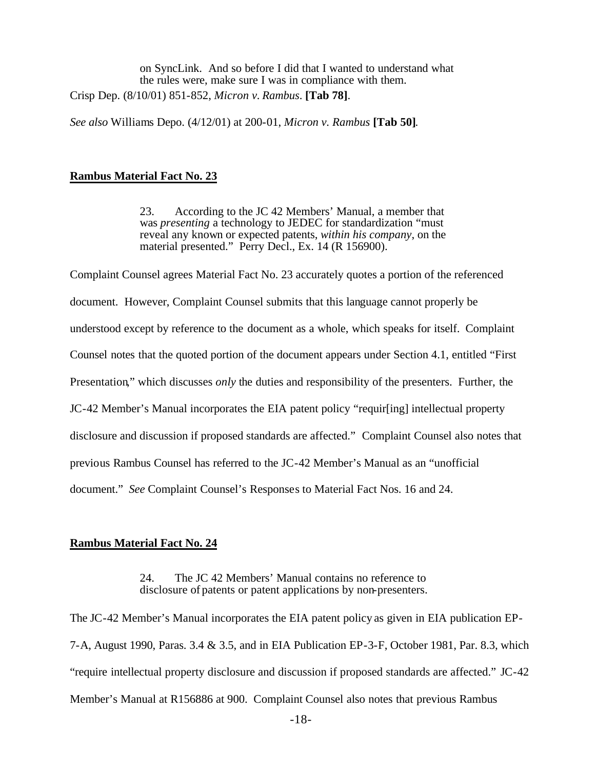on SyncLink. And so before I did that I wanted to understand what the rules were, make sure I was in compliance with them. Crisp Dep. (8/10/01) 851-852, *Micron v. Rambus*. **[Tab 78]**.

*See also* Williams Depo. (4/12/01) at 200-01, *Micron v. Rambus* **[Tab 50]**.

### **Rambus Material Fact No. 23**

23. According to the JC 42 Members' Manual, a member that was *presenting* a technology to JEDEC for standardization "must reveal any known or expected patents, *within his company*, on the material presented." Perry Decl., Ex. 14 (R 156900).

Complaint Counsel agrees Material Fact No. 23 accurately quotes a portion of the referenced document. However, Complaint Counsel submits that this language cannot properly be understood except by reference to the document as a whole, which speaks for itself. Complaint Counsel notes that the quoted portion of the document appears under Section 4.1, entitled "First Presentation," which discusses *only* the duties and responsibility of the presenters. Further, the JC-42 Member's Manual incorporates the EIA patent policy "requir[ing] intellectual property disclosure and discussion if proposed standards are affected." Complaint Counsel also notes that previous Rambus Counsel has referred to the JC-42 Member's Manual as an "unofficial document." *See* Complaint Counsel's Responses to Material Fact Nos. 16 and 24.

### **Rambus Material Fact No. 24**

24. The JC 42 Members' Manual contains no reference to disclosure of patents or patent applications by non-presenters.

The JC-42 Member's Manual incorporates the EIA patent policy as given in EIA publication EP-7-A, August 1990, Paras. 3.4 & 3.5, and in EIA Publication EP-3-F, October 1981, Par. 8.3, which "require intellectual property disclosure and discussion if proposed standards are affected." JC-42 Member's Manual at R156886 at 900. Complaint Counsel also notes that previous Rambus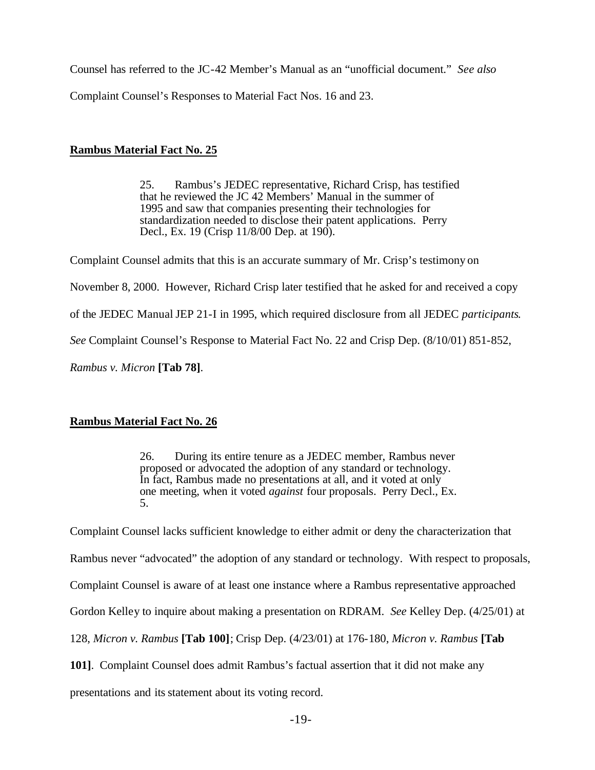Counsel has referred to the JC-42 Member's Manual as an "unofficial document." *See also*  Complaint Counsel's Responses to Material Fact Nos. 16 and 23.

## **Rambus Material Fact No. 25**

25. Rambus's JEDEC representative, Richard Crisp, has testified that he reviewed the JC 42 Members' Manual in the summer of 1995 and saw that companies presenting their technologies for standardization needed to disclose their patent applications. Perry Decl., Ex. 19 (Crisp 11/8/00 Dep. at 190).

Complaint Counsel admits that this is an accurate summary of Mr. Crisp's testimony on

November 8, 2000. However, Richard Crisp later testified that he asked for and received a copy

of the JEDEC Manual JEP 21-I in 1995, which required disclosure from all JEDEC *participants*.

*See* Complaint Counsel's Response to Material Fact No. 22 and Crisp Dep. (8/10/01) 851-852,

*Rambus v. Micron* **[Tab 78]**.

# **Rambus Material Fact No. 26**

26. During its entire tenure as a JEDEC member, Rambus never proposed or advocated the adoption of any standard or technology. In fact, Rambus made no presentations at all, and it voted at only one meeting, when it voted *against* four proposals. Perry Decl., Ex. 5.

Complaint Counsel lacks sufficient knowledge to either admit or deny the characterization that Rambus never "advocated" the adoption of any standard or technology. With respect to proposals, Complaint Counsel is aware of at least one instance where a Rambus representative approached Gordon Kelley to inquire about making a presentation on RDRAM. *See* Kelley Dep. (4/25/01) at 128, *Micron v. Rambus* **[Tab 100]**; Crisp Dep. (4/23/01) at 176-180, *Micron v. Rambus* **[Tab 101]**.Complaint Counsel does admit Rambus's factual assertion that it did not make any presentations and its statement about its voting record.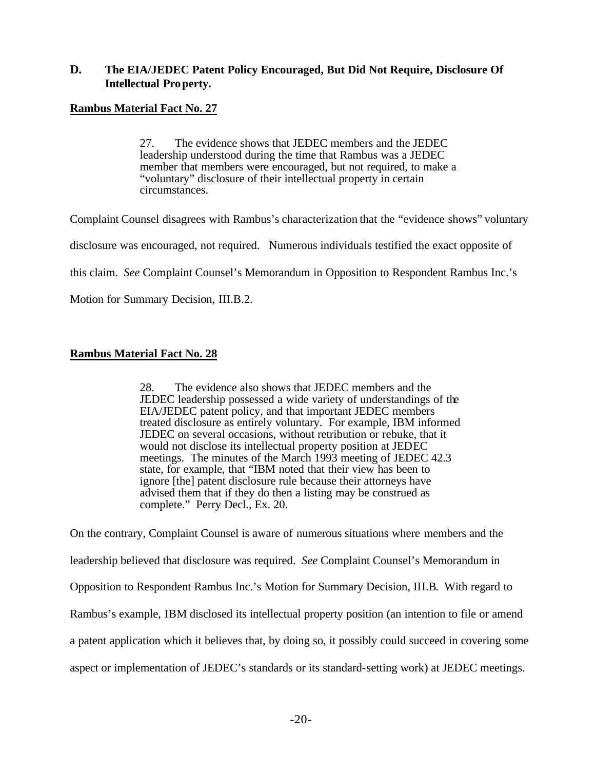## **D. The EIA/JEDEC Patent Policy Encouraged, But Did Not Require, Disclosure Of Intellectual Property.**

## **Rambus Material Fact No. 27**

27. The evidence shows that JEDEC members and the JEDEC leadership understood during the time that Rambus was a JEDEC member that members were encouraged, but not required, to make a "voluntary" disclosure of their intellectual property in certain circumstances.

Complaint Counsel disagrees with Rambus's characterization that the "evidence shows" voluntary disclosure was encouraged, not required. Numerous individuals testified the exact opposite of this claim. *See* Complaint Counsel's Memorandum in Opposition to Respondent Rambus Inc.'s Motion for Summary Decision, III.B.2.

# **Rambus Material Fact No. 28**

28. The evidence also shows that JEDEC members and the JEDEC leadership possessed a wide variety of understandings of the EIA/JEDEC patent policy, and that important JEDEC members treated disclosure as entirely voluntary. For example, IBM informed JEDEC on several occasions, without retribution or rebuke, that it would not disclose its intellectual property position at JEDEC meetings. The minutes of the March 1993 meeting of JEDEC 42.3 state, for example, that "IBM noted that their view has been to ignore [the] patent disclosure rule because their attorneys have advised them that if they do then a listing may be construed as complete." Perry Decl., Ex. 20.

On the contrary, Complaint Counsel is aware of numerous situations where members and the leadership believed that disclosure was required. *See* Complaint Counsel's Memorandum in Opposition to Respondent Rambus Inc.'s Motion for Summary Decision, III.B.With regard to Rambus's example, IBM disclosed its intellectual property position (an intention to file or amend a patent application which it believes that, by doing so, it possibly could succeed in covering some aspect or implementation of JEDEC's standards or its standard-setting work) at JEDEC meetings.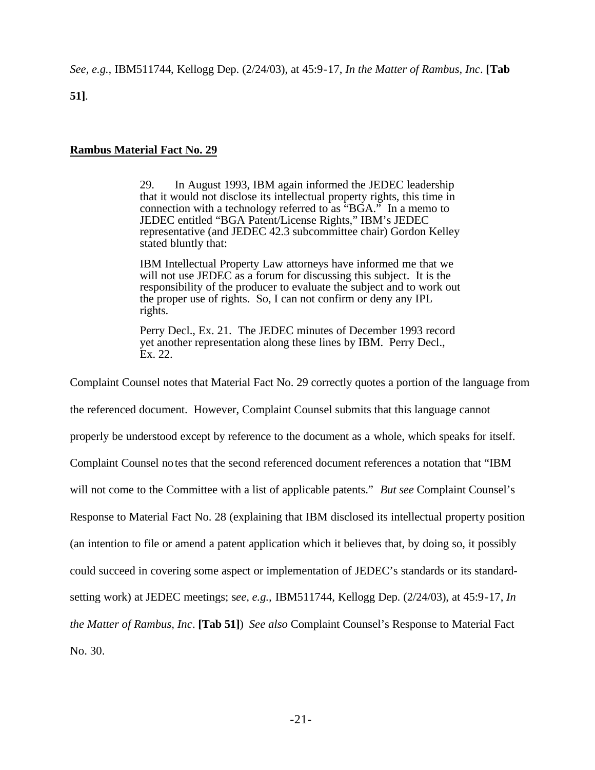*See, e.g.,* IBM511744, Kellogg Dep. (2/24/03), at 45:9-17, *In the Matter of Rambus, Inc*. **[Tab** 

**51]**.

### **Rambus Material Fact No. 29**

29. In August 1993, IBM again informed the JEDEC leadership that it would not disclose its intellectual property rights, this time in connection with a technology referred to as "BGA." In a memo to JEDEC entitled "BGA Patent/License Rights," IBM's JEDEC representative (and JEDEC 42.3 subcommittee chair) Gordon Kelley stated bluntly that:

IBM Intellectual Property Law attorneys have informed me that we will not use JEDEC as a forum for discussing this subject. It is the responsibility of the producer to evaluate the subject and to work out the proper use of rights. So, I can not confirm or deny any IPL rights.

Perry Decl., Ex. 21. The JEDEC minutes of December 1993 record yet another representation along these lines by IBM. Perry Decl., Ex. 22.

Complaint Counsel notes that Material Fact No. 29 correctly quotes a portion of the language from

the referenced document. However, Complaint Counsel submits that this language cannot

properly be understood except by reference to the document as a whole, which speaks for itself.

Complaint Counsel notes that the second referenced document references a notation that "IBM

will not come to the Committee with a list of applicable patents." *But see* Complaint Counsel's

Response to Material Fact No. 28 (explaining that IBM disclosed its intellectual property position

(an intention to file or amend a patent application which it believes that, by doing so, it possibly

could succeed in covering some aspect or implementation of JEDEC's standards or its standard-

setting work) at JEDEC meetings; s*ee, e.g.,* IBM511744, Kellogg Dep. (2/24/03), at 45:9-17, *In* 

*the Matter of Rambus, Inc*. **[Tab 51]**) *See also* Complaint Counsel's Response to Material Fact

No. 30.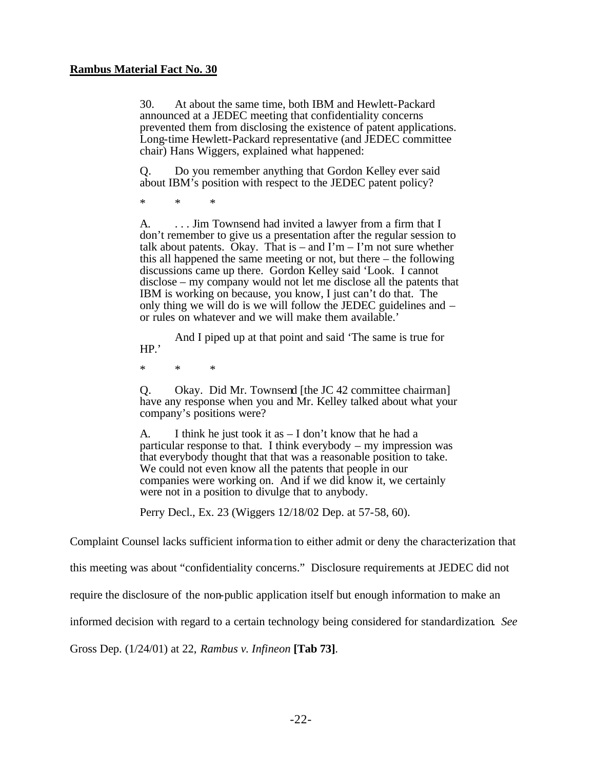### **Rambus Material Fact No. 30**

30. At about the same time, both IBM and Hewlett-Packard announced at a JEDEC meeting that confidentiality concerns prevented them from disclosing the existence of patent applications. Long-time Hewlett-Packard representative (and JEDEC committee chair) Hans Wiggers, explained what happened:

Q. Do you remember anything that Gordon Kelley ever said about IBM's position with respect to the JEDEC patent policy?

\* \* \*

A. ... Jim Townsend had invited a lawyer from a firm that I don't remember to give us a presentation after the regular session to talk about patents. Okay. That is – and  $\Gamma m - \Gamma m$  not sure whether this all happened the same meeting or not, but there – the following discussions came up there. Gordon Kelley said 'Look. I cannot disclose – my company would not let me disclose all the patents that IBM is working on because, you know, I just can't do that. The only thing we will do is we will follow the JEDEC guidelines and – or rules on whatever and we will make them available.'

And I piped up at that point and said 'The same is true for HP.'

\* \* \*

Q. Okay. Did Mr. Townsend [the JC 42 committee chairman] have any response when you and Mr. Kelley talked about what your company's positions were?

A. I think he just took it as  $- I$  don't know that he had a particular response to that. I think everybody – my impression was that everybody thought that that was a reasonable position to take. We could not even know all the patents that people in our companies were working on. And if we did know it, we certainly were not in a position to divulge that to anybody.

Perry Decl., Ex. 23 (Wiggers 12/18/02 Dep. at 57-58, 60).

Complaint Counsel lacks sufficient informa tion to either admit or deny the characterization that

this meeting was about "confidentiality concerns." Disclosure requirements at JEDEC did not

require the disclosure of the non-public application itself but enough information to make an

informed decision with regard to a certain technology being considered for standardization. *See*

Gross Dep. (1/24/01) at 22, *Rambus v. Infineon* **[Tab 73]**.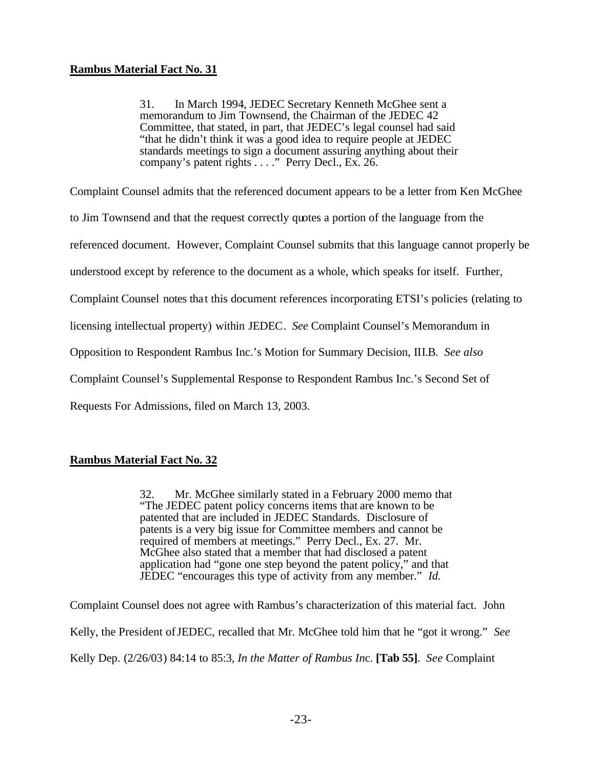31. In March 1994, JEDEC Secretary Kenneth McGhee sent a memorandum to Jim Townsend, the Chairman of the JEDEC 42 Committee, that stated, in part, that JEDEC's legal counsel had said "that he didn't think it was a good idea to require people at JEDEC standards meetings to sign a document assuring anything about their company's patent rights . . . ." Perry Decl., Ex. 26.

Complaint Counsel admits that the referenced document appears to be a letter from Ken McGhee

to Jim Townsend and that the request correctly quotes a portion of the language from the

referenced document. However, Complaint Counsel submits that this language cannot properly be

understood except by reference to the document as a whole, which speaks for itself. Further,

Complaint Counsel notes that this document references incorporating ETSI's policies (relating to

licensing intellectual property) within JEDEC. *See* Complaint Counsel's Memorandum in

Opposition to Respondent Rambus Inc.'s Motion for Summary Decision, III.B. *See also*

Complaint Counsel's Supplemental Response to Respondent Rambus Inc.'s Second Set of

Requests For Admissions, filed on March 13, 2003.

### **Rambus Material Fact No. 32**

32. Mr. McGhee similarly stated in a February 2000 memo that "The JEDEC patent policy concerns items that are known to be patented that are included in JEDEC Standards. Disclosure of patents is a very big issue for Committee members and cannot be required of members at meetings." Perry Decl., Ex. 27. Mr. McGhee also stated that a member that had disclosed a patent application had "gone one step beyond the patent policy," and that JEDEC "encourages this type of activity from any member." *Id.*

Complaint Counsel does not agree with Rambus's characterization of this material fact. John Kelly, the President of JEDEC, recalled that Mr. McGhee told him that he "got it wrong." *See*  Kelly Dep. (2/26/03) 84:14 to 85:3, *In the Matter of Rambus In*c. **[Tab 55]**. *See* Complaint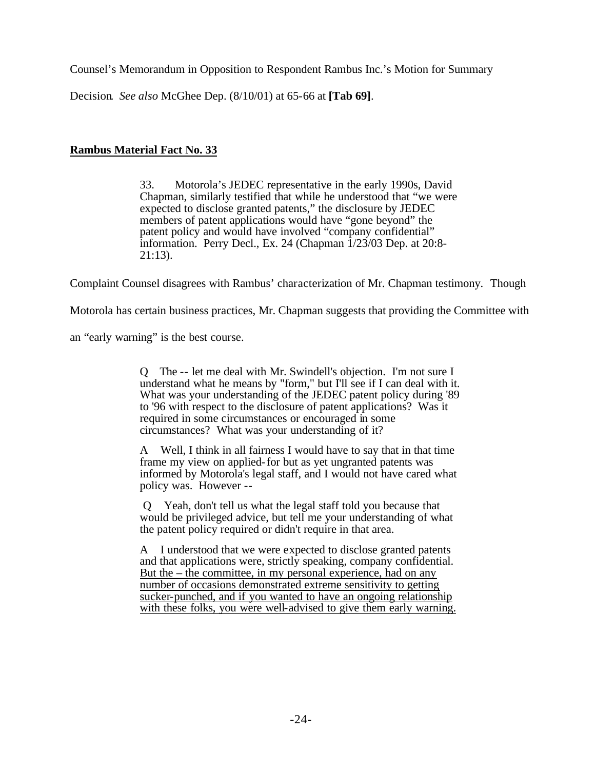Counsel's Memorandum in Opposition to Respondent Rambus Inc.'s Motion for Summary

Decision. *See also* McGhee Dep. (8/10/01) at 65-66 at **[Tab 69]**.

# **Rambus Material Fact No. 33**

33. Motorola's JEDEC representative in the early 1990s, David Chapman, similarly testified that while he understood that "we were expected to disclose granted patents," the disclosure by JEDEC members of patent applications would have "gone beyond" the patent policy and would have involved "company confidential" information. Perry Decl., Ex. 24 (Chapman 1/23/03 Dep. at 20:8- 21:13).

Complaint Counsel disagrees with Rambus' characterization of Mr. Chapman testimony. Though

Motorola has certain business practices, Mr. Chapman suggests that providing the Committee with

an "early warning" is the best course.

Q The -- let me deal with Mr. Swindell's objection. I'm not sure I understand what he means by "form," but I'll see if I can deal with it. What was your understanding of the JEDEC patent policy during '89 to '96 with respect to the disclosure of patent applications? Was it required in some circumstances or encouraged in some circumstances? What was your understanding of it?

A Well, I think in all fairness I would have to say that in that time frame my view on applied-for but as yet ungranted patents was informed by Motorola's legal staff, and I would not have cared what policy was. However --

 Q Yeah, don't tell us what the legal staff told you because that would be privileged advice, but tell me your understanding of what the patent policy required or didn't require in that area.

A I understood that we were expected to disclose granted patents and that applications were, strictly speaking, company confidential. But the  $-$  the committee, in my personal experience, had on any number of occasions demonstrated extreme sensitivity to getting sucker-punched, and if you wanted to have an ongoing relationship with these folks, you were well-advised to give them early warning.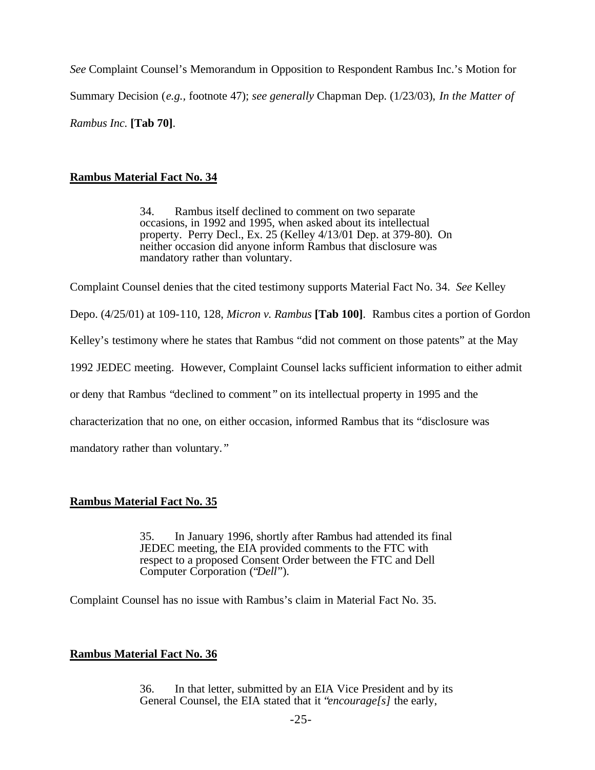*See* Complaint Counsel's Memorandum in Opposition to Respondent Rambus Inc.'s Motion for Summary Decision (*e.g.,* footnote 47); *see generally* Chapman Dep. (1/23/03), *In the Matter of Rambus Inc.* **[Tab 70]**.

### **Rambus Material Fact No. 34**

34. Rambus itself declined to comment on two separate occasions, in 1992 and 1995, when asked about its intellectual property. Perry Decl., Ex. 25 (Kelley 4/13/01 Dep. at 379-80). On neither occasion did anyone inform Rambus that disclosure was mandatory rather than voluntary.

Complaint Counsel denies that the cited testimony supports Material Fact No. 34. *See* Kelley

Depo. (4/25/01) at 109-110, 128, *Micron v. Rambus* **[Tab 100]**. Rambus cites a portion of Gordon

Kelley's testimony where he states that Rambus "did not comment on those patents" at the May

1992 JEDEC meeting. However, Complaint Counsel lacks sufficient information to either admit

or deny that Rambus "declined to comment " on its intellectual property in 1995 and the

characterization that no one, on either occasion, informed Rambus that its "disclosure was

mandatory rather than voluntary. "

### **Rambus Material Fact No. 35**

35. In January 1996, shortly after Rambus had attended its final JEDEC meeting, the EIA provided comments to the FTC with respect to a proposed Consent Order between the FTC and Dell Computer Corporation ("*Dell*").

Complaint Counsel has no issue with Rambus's claim in Material Fact No. 35.

### **Rambus Material Fact No. 36**

36. In that letter, submitted by an EIA Vice President and by its General Counsel, the EIA stated that it "*encourage[s]* the early,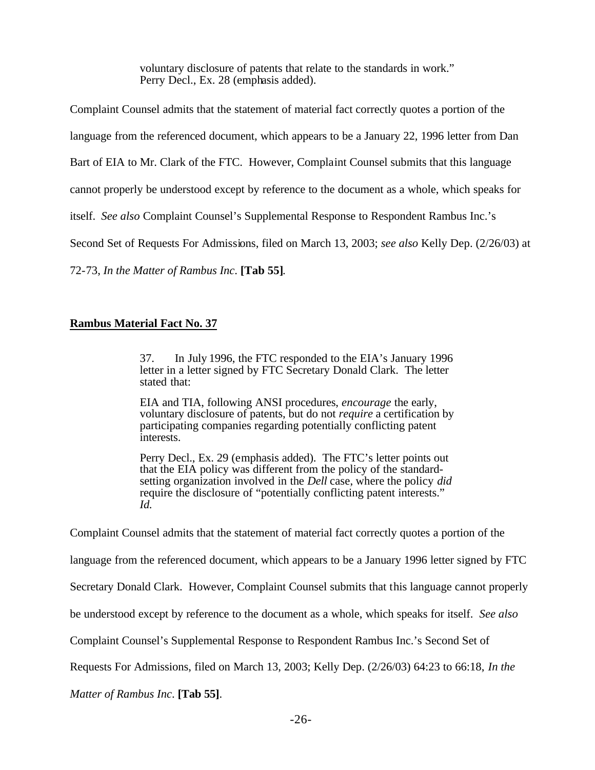voluntary disclosure of patents that relate to the standards in work." Perry Decl., Ex. 28 (emphasis added).

Complaint Counsel admits that the statement of material fact correctly quotes a portion of the

language from the referenced document, which appears to be a January 22, 1996 letter from Dan

Bart of EIA to Mr. Clark of the FTC. However, Complaint Counsel submits that this language

cannot properly be understood except by reference to the document as a whole, which speaks for

itself. *See also* Complaint Counsel's Supplemental Response to Respondent Rambus Inc.'s

Second Set of Requests For Admissions, filed on March 13, 2003; *see also* Kelly Dep. (2/26/03) at

72-73, *In the Matter of Rambus Inc*. **[Tab 55]**.

## **Rambus Material Fact No. 37**

37. In July 1996, the FTC responded to the EIA's January 1996 letter in a letter signed by FTC Secretary Donald Clark. The letter stated that:

EIA and TIA, following ANSI procedures, *encourage* the early, voluntary disclosure of patents, but do not *require* a certification by participating companies regarding potentially conflicting patent interests.

Perry Decl., Ex. 29 (emphasis added). The FTC's letter points out that the EIA policy was different from the policy of the standardsetting organization involved in the *Dell* case, where the policy *did* require the disclosure of "potentially conflicting patent interests." *Id.*

Complaint Counsel admits that the statement of material fact correctly quotes a portion of the

language from the referenced document, which appears to be a January 1996 letter signed by FTC

Secretary Donald Clark. However, Complaint Counsel submits that this language cannot properly

be understood except by reference to the document as a whole, which speaks for itself. *See also*

Complaint Counsel's Supplemental Response to Respondent Rambus Inc.'s Second Set of

Requests For Admissions, filed on March 13, 2003; Kelly Dep. (2/26/03) 64:23 to 66:18, *In the* 

*Matter of Rambus Inc*. **[Tab 55]**.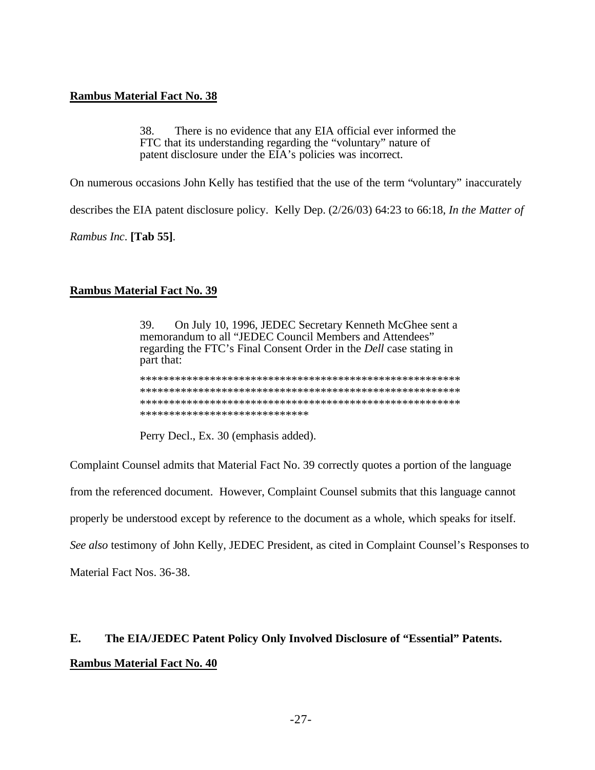### **Rambus Material Fact No. 38**

38. There is no evidence that any EIA official ever informed the FTC that its understanding regarding the "voluntary" nature of patent disclosure under the EIA's policies was incorrect.

On numerous occasions John Kelly has testified that the use of the term "voluntary" inaccurately

describes the EIA patent disclosure policy. Kelly Dep. (2/26/03) 64:23 to 66:18, In the Matter of

Rambus Inc. [Tab 55].

### **Rambus Material Fact No. 39**

On July 10, 1996, JEDEC Secretary Kenneth McGhee sent a 39. memorandum to all "JEDEC Council Members and Attendees" regarding the FTC's Final Consent Order in the *Dell* case stating in part that:

\*\*\*\*\*\*\*\*\*\*\*\*\*\*\*\*\*\*\*\*\*\*\*\*\*\*\*\*\*

Perry Decl., Ex. 30 (emphasis added).

Complaint Counsel admits that Material Fact No. 39 correctly quotes a portion of the language

from the referenced document. However, Complaint Counsel submits that this language cannot

properly be understood except by reference to the document as a whole, which speaks for itself.

See also testimony of John Kelly, JEDEC President, as cited in Complaint Counsel's Responses to

Material Fact Nos. 36-38.

### $E_{\bullet}$ The EIA/JEDEC Patent Policy Only Involved Disclosure of "Essential" Patents. **Rambus Material Fact No. 40**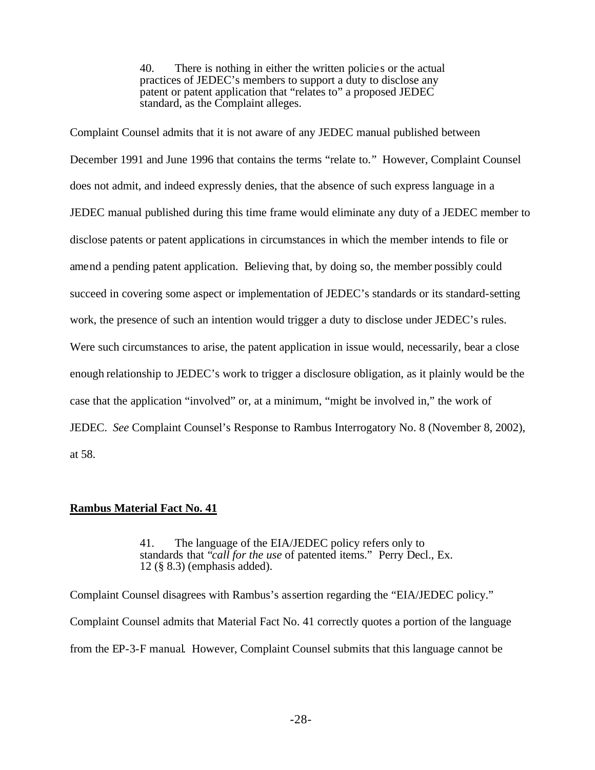40. There is nothing in either the written policie s or the actual practices of JEDEC's members to support a duty to disclose any patent or patent application that "relates to" a proposed JEDEC standard, as the Complaint alleges.

Complaint Counsel admits that it is not aware of any JEDEC manual published between December 1991 and June 1996 that contains the terms "relate to." However, Complaint Counsel does not admit, and indeed expressly denies, that the absence of such express language in a JEDEC manual published during this time frame would eliminate any duty of a JEDEC member to disclose patents or patent applications in circumstances in which the member intends to file or amend a pending patent application. Believing that, by doing so, the member possibly could succeed in covering some aspect or implementation of JEDEC's standards or its standard-setting work, the presence of such an intention would trigger a duty to disclose under JEDEC's rules. Were such circumstances to arise, the patent application in issue would, necessarily, bear a close enough relationship to JEDEC's work to trigger a disclosure obligation, as it plainly would be the case that the application "involved" or, at a minimum, "might be involved in," the work of JEDEC. *See* Complaint Counsel's Response to Rambus Interrogatory No. 8 (November 8, 2002), at 58.

### **Rambus Material Fact No. 41**

41. The language of the EIA/JEDEC policy refers only to standards that "*call for the use* of patented items." Perry Decl., Ex. 12 (§ 8.3) (emphasis added).

Complaint Counsel disagrees with Rambus's assertion regarding the "EIA/JEDEC policy." Complaint Counsel admits that Material Fact No. 41 correctly quotes a portion of the language from the EP-3-F manual. However, Complaint Counsel submits that this language cannot be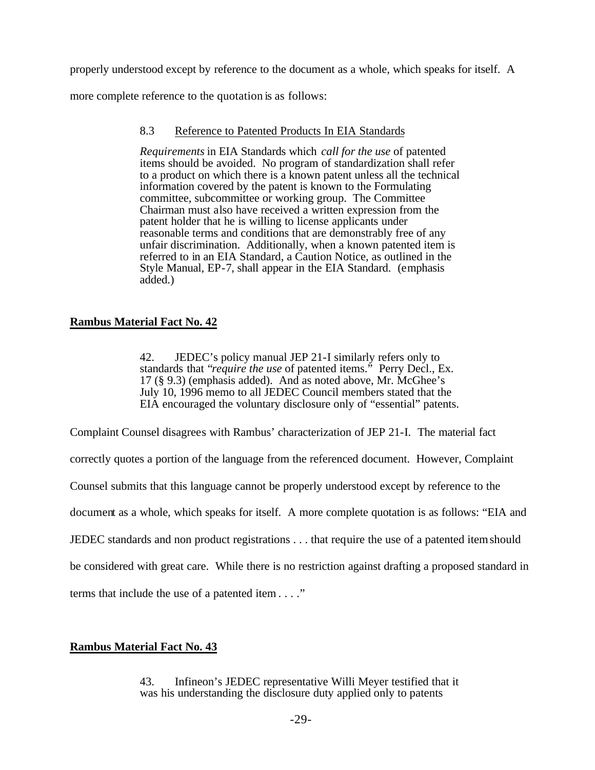properly understood except by reference to the document as a whole, which speaks for itself. A

more complete reference to the quotation is as follows:

### 8.3 Reference to Patented Products In EIA Standards

*Requirements* in EIA Standards which *call for the use* of patented items should be avoided. No program of standardization shall refer to a product on which there is a known patent unless all the technical information covered by the patent is known to the Formulating committee, subcommittee or working group. The Committee Chairman must also have received a written expression from the patent holder that he is willing to license applicants under reasonable terms and conditions that are demonstrably free of any unfair discrimination. Additionally, when a known patented item is referred to in an EIA Standard, a Caution Notice, as outlined in the Style Manual, EP-7, shall appear in the EIA Standard. (emphasis added.)

### **Rambus Material Fact No. 42**

42. JEDEC's policy manual JEP 21-I similarly refers only to standards that "*require the use* of patented items." Perry Decl., Ex. 17 (§ 9.3) (emphasis added). And as noted above, Mr. McGhee's July 10, 1996 memo to all JEDEC Council members stated that the EIA encouraged the voluntary disclosure only of "essential" patents.

Complaint Counsel disagrees with Rambus' characterization of JEP 21-I. The material fact

correctly quotes a portion of the language from the referenced document. However, Complaint

Counsel submits that this language cannot be properly understood except by reference to the

document as a whole, which speaks for itself. A more complete quotation is as follows: "EIA and

JEDEC standards and non product registrations . . . that require the use of a patented item should

be considered with great care. While there is no restriction against drafting a proposed standard in

terms that include the use of a patented item . . . ."

### **Rambus Material Fact No. 43**

43. Infineon's JEDEC representative Willi Meyer testified that it was his understanding the disclosure duty applied only to patents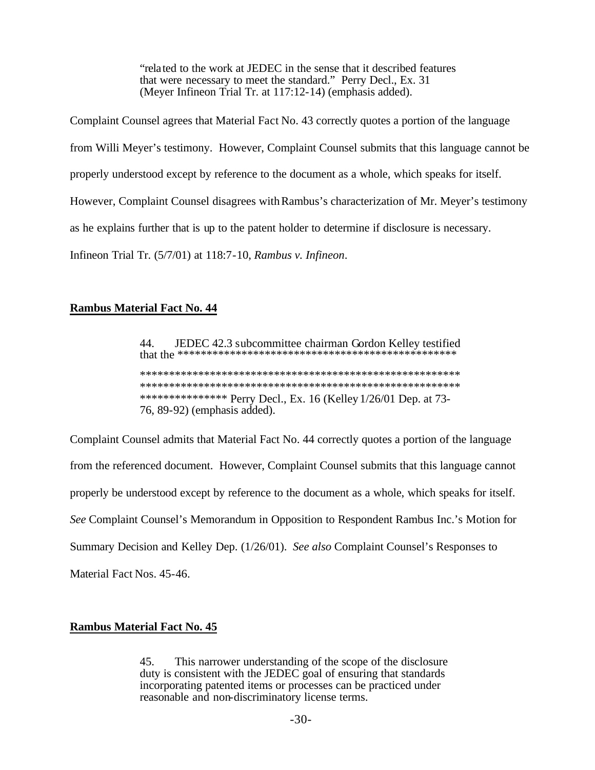"related to the work at JEDEC in the sense that it described features" that were necessary to meet the standard." Perry Decl., Ex. 31 (Meyer Infineon Trial Tr. at 117:12-14) (emphasis added).

Complaint Counsel agrees that Material Fact No. 43 correctly quotes a portion of the language from Willi Meyer's testimony. However, Complaint Counsel submits that this language cannot be properly understood except by reference to the document as a whole, which speaks for itself. However, Complaint Counsel disagrees with Rambus's characterization of Mr. Meyer's testimony as he explains further that is up to the patent holder to determine if disclosure is necessary. Infineon Trial Tr. (5/7/01) at 118:7-10, Rambus v. Infineon.

### **Rambus Material Fact No. 44**

44. JEDEC 42.3 subcommittee chairman Gordon Kelley testified \*\*\*\*\*\*\*\*\*\*\*\*\*\*\* Perry Decl., Ex. 16 (Kelley 1/26/01 Dep. at 73-76, 89-92) (emphasis added).

Complaint Counsel admits that Material Fact No. 44 correctly quotes a portion of the language from the referenced document. However, Complaint Counsel submits that this language cannot properly be understood except by reference to the document as a whole, which speaks for itself. See Complaint Counsel's Memorandum in Opposition to Respondent Rambus Inc.'s Motion for Summary Decision and Kelley Dep. (1/26/01). See also Complaint Counsel's Responses to Material Fact Nos. 45-46.

### **Rambus Material Fact No. 45**

 $45.$ This narrower understanding of the scope of the disclosure duty is consistent with the JEDEC goal of ensuring that standards incorporating patented items or processes can be practiced under reasonable and non-discriminatory license terms.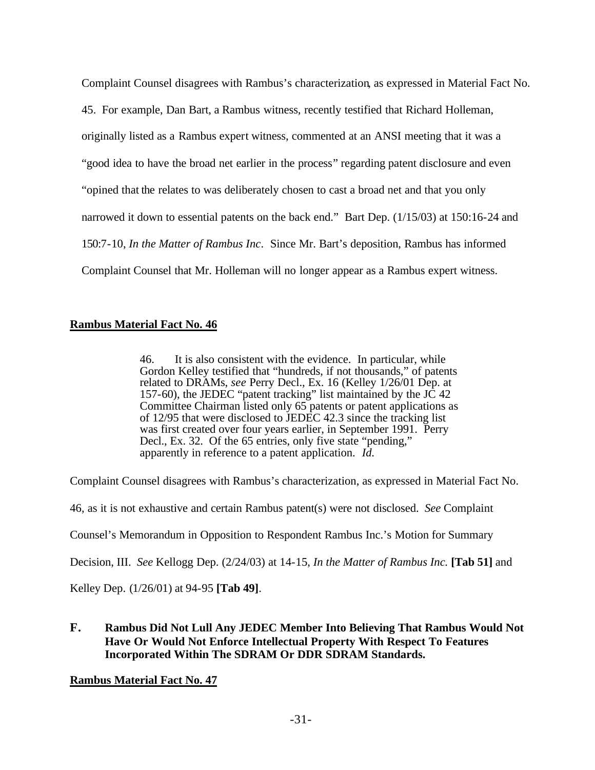Complaint Counsel disagrees with Rambus's characterization, as expressed in Material Fact No.

45. For example, Dan Bart, a Rambus witness, recently testified that Richard Holleman,

originally listed as a Rambus expert witness, commented at an ANSI meeting that it was a

"good idea to have the broad net earlier in the process" regarding patent disclosure and even

"opined that the relates to was deliberately chosen to cast a broad net and that you only

narrowed it down to essential patents on the back end." Bart Dep. (1/15/03) at 150:16-24 and

150:7-10, *In the Matter of Rambus Inc*. Since Mr. Bart's deposition, Rambus has informed

Complaint Counsel that Mr. Holleman will no longer appear as a Rambus expert witness.

# **Rambus Material Fact No. 46**

46. It is also consistent with the evidence. In particular, while Gordon Kelley testified that "hundreds, if not thousands," of patents related to DRAMs, *see* Perry Decl., Ex. 16 (Kelley 1/26/01 Dep. at 157-60), the JEDEC "patent tracking" list maintained by the JC 42 Committee Chairman listed only 65 patents or patent applications as of 12/95 that were disclosed to JEDEC 42.3 since the tracking list was first created over four years earlier, in September 1991. Perry Decl., Ex. 32. Of the 65 entries, only five state "pending," apparently in reference to a patent application. *Id*.

Complaint Counsel disagrees with Rambus's characterization, as expressed in Material Fact No.

46, as it is not exhaustive and certain Rambus patent(s) were not disclosed. *See* Complaint

Counsel's Memorandum in Opposition to Respondent Rambus Inc.'s Motion for Summary

Decision, III. *See* Kellogg Dep. (2/24/03) at 14-15, *In the Matter of Rambus Inc.* **[Tab 51]** and

Kelley Dep. (1/26/01) at 94-95 **[Tab 49]**.

# **F. Rambus Did Not Lull Any JEDEC Member Into Believing That Rambus Would Not Have Or Would Not Enforce Intellectual Property With Respect To Features Incorporated Within The SDRAM Or DDR SDRAM Standards.**

# **Rambus Material Fact No. 47**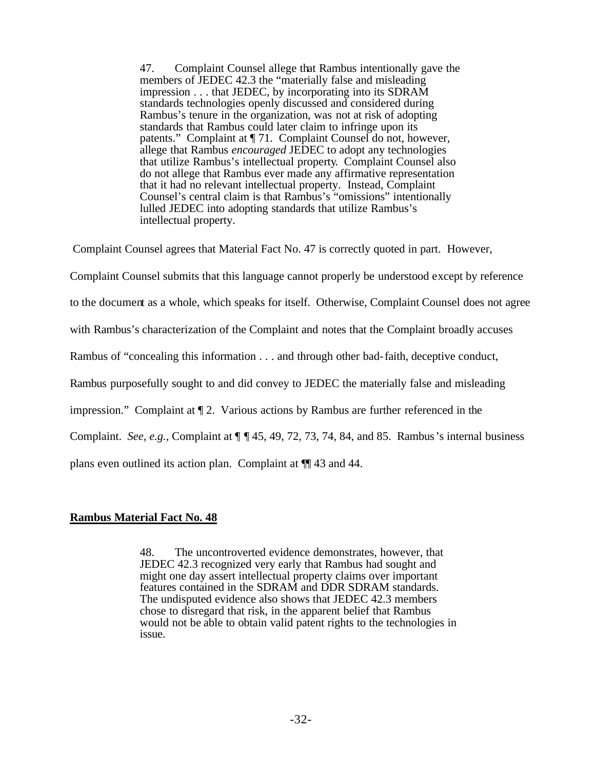47. Complaint Counsel allege that Rambus intentionally gave the members of JEDEC 42.3 the "materially false and misleading impression . . . that JEDEC, by incorporating into its SDRAM standards technologies openly discussed and considered during Rambus's tenure in the organization, was not at risk of adopting standards that Rambus could later claim to infringe upon its patents." Complaint at ¶ 71. Complaint Counsel do not, however, allege that Rambus *encouraged* JEDEC to adopt any technologies that utilize Rambus's intellectual property. Complaint Counsel also do not allege that Rambus ever made any affirmative representation that it had no relevant intellectual property. Instead, Complaint Counsel's central claim is that Rambus's "omissions" intentionally lulled JEDEC into adopting standards that utilize Rambus's intellectual property.

Complaint Counsel agrees that Material Fact No. 47 is correctly quoted in part. However,

Complaint Counsel submits that this language cannot properly be understood except by reference

to the document as a whole, which speaks for itself. Otherwise, Complaint Counsel does not agree

with Rambus's characterization of the Complaint and notes that the Complaint broadly accuses

Rambus of "concealing this information . . . and through other bad-faith, deceptive conduct,

Rambus purposefully sought to and did convey to JEDEC the materially false and misleading

impression." Complaint at  $\P$  2. Various actions by Rambus are further referenced in the

Complaint. *See, e.g.,* Complaint at ¶ ¶ 45, 49, 72, 73, 74, 84, and 85. Rambus's internal business

plans even outlined its action plan. Complaint at ¶¶ 43 and 44.

### **Rambus Material Fact No. 48**

48. The uncontroverted evidence demonstrates, however, that JEDEC 42.3 recognized very early that Rambus had sought and might one day assert intellectual property claims over important features contained in the SDRAM and DDR SDRAM standards. The undisputed evidence also shows that JEDEC 42.3 members chose to disregard that risk, in the apparent belief that Rambus would not be able to obtain valid patent rights to the technologies in issue.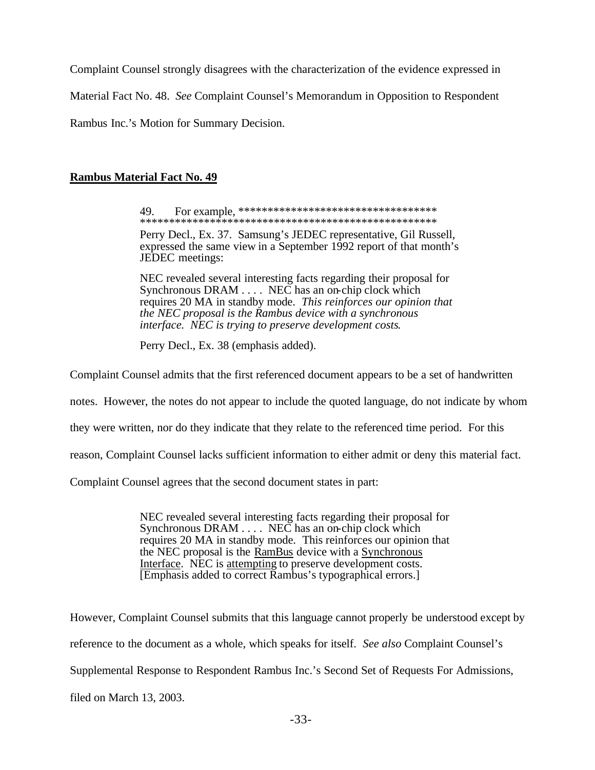Complaint Counsel strongly disagrees with the characterization of the evidence expressed in

Material Fact No. 48. *See* Complaint Counsel's Memorandum in Opposition to Respondent

Rambus Inc.'s Motion for Summary Decision.

# **Rambus Material Fact No. 49**

49. For example, \*\*\*\*\*\*\*\*\*\*\*\*\*\*\*\*\*\*\*\*\*\*\*\*\*\*\*\*\*\*\*\*\*\* \*\*\*\*\*\*\*\*\*\*\*\*\*\*\*\*\*\*\*\*\*\*\*\*\*\*\*\*\*\*\*\*\*\*\*\*\*\*\*\*\*\*\*\*\*\*\*\*\*\*\*

Perry Decl., Ex. 37. Samsung's JEDEC representative, Gil Russell, expressed the same view in a September 1992 report of that month's JEDEC meetings:

NEC revealed several interesting facts regarding their proposal for Synchronous DRAM . . . . NEC has an on-chip clock which requires 20 MA in standby mode. *This reinforces our opinion that the NEC proposal is the Rambus device with a synchronous interface. NEC is trying to preserve development costs*.

Perry Decl., Ex. 38 (emphasis added).

Complaint Counsel admits that the first referenced document appears to be a set of handwritten

notes. However, the notes do not appear to include the quoted language, do not indicate by whom

they were written, nor do they indicate that they relate to the referenced time period. For this

reason, Complaint Counsel lacks sufficient information to either admit or deny this material fact.

Complaint Counsel agrees that the second document states in part:

NEC revealed several interesting facts regarding their proposal for Synchronous DRAM . . . . NEC has an on-chip clock which requires 20 MA in standby mode. This reinforces our opinion that the NEC proposal is the RamBus device with a Synchronous Interface. NEC is attempting to preserve development costs. [Emphasis added to correct Rambus's typographical errors.]

However, Complaint Counsel submits that this language cannot properly be understood except by reference to the document as a whole, which speaks for itself. *See also* Complaint Counsel's Supplemental Response to Respondent Rambus Inc.'s Second Set of Requests For Admissions, filed on March 13, 2003.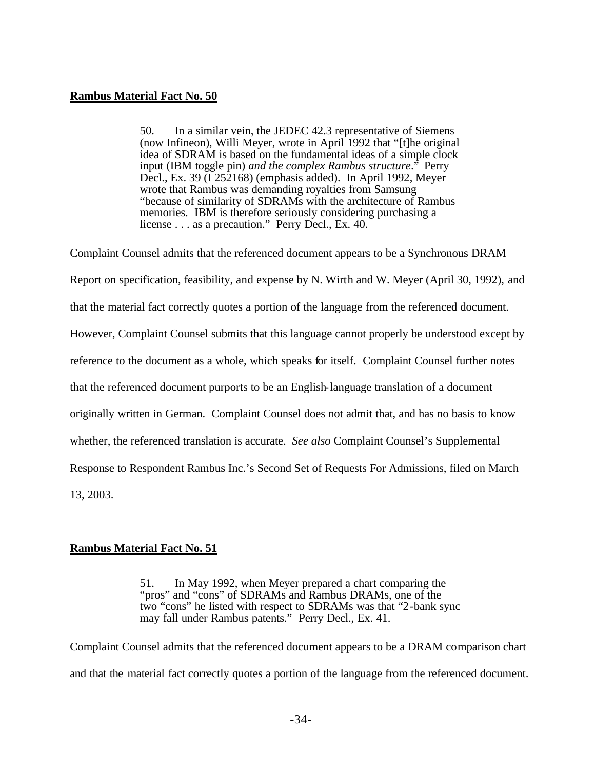### **Rambus Material Fact No. 50**

50. In a similar vein, the JEDEC 42.3 representative of Siemens (now Infineon), Willi Meyer, wrote in April 1992 that "[t]he original idea of SDRAM is based on the fundamental ideas of a simple clock input (IBM toggle pin) *and the complex Rambus structure*." Perry Decl., Ex. 39 (I 252168) (emphasis added). In April 1992, Meyer wrote that Rambus was demanding royalties from Samsung "because of similarity of SDRAMs with the architecture of Rambus memories. IBM is therefore seriously considering purchasing a license . . . as a precaution." Perry Decl., Ex. 40.

Complaint Counsel admits that the referenced document appears to be a Synchronous DRAM Report on specification, feasibility, and expense by N. Wirth and W. Meyer (April 30, 1992), and that the material fact correctly quotes a portion of the language from the referenced document. However, Complaint Counsel submits that this language cannot properly be understood except by reference to the document as a whole, which speaks for itself. Complaint Counsel further notes that the referenced document purports to be an English-language translation of a document originally written in German. Complaint Counsel does not admit that, and has no basis to know whether, the referenced translation is accurate. *See also* Complaint Counsel's Supplemental Response to Respondent Rambus Inc.'s Second Set of Requests For Admissions, filed on March 13, 2003.

### **Rambus Material Fact No. 51**

51. In May 1992, when Meyer prepared a chart comparing the "pros" and "cons" of SDRAMs and Rambus DRAMs, one of the two "cons" he listed with respect to SDRAMs was that "2-bank sync may fall under Rambus patents." Perry Decl., Ex. 41.

Complaint Counsel admits that the referenced document appears to be a DRAM comparison chart and that the material fact correctly quotes a portion of the language from the referenced document.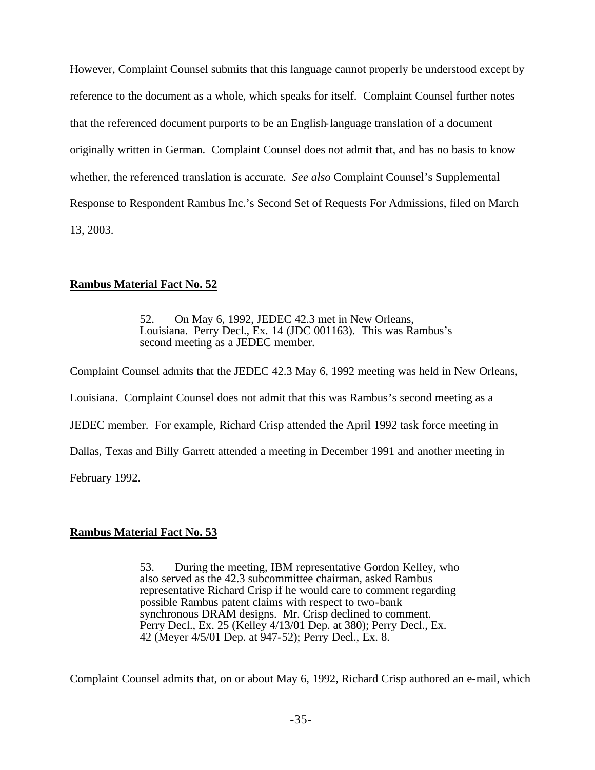However, Complaint Counsel submits that this language cannot properly be understood except by reference to the document as a whole, which speaks for itself. Complaint Counsel further notes that the referenced document purports to be an English-language translation of a document originally written in German. Complaint Counsel does not admit that, and has no basis to know whether, the referenced translation is accurate. *See also* Complaint Counsel's Supplemental Response to Respondent Rambus Inc.'s Second Set of Requests For Admissions, filed on March 13, 2003.

## **Rambus Material Fact No. 52**

52. On May 6, 1992, JEDEC 42.3 met in New Orleans, Louisiana. Perry Decl., Ex. 14 (JDC 001163). This was Rambus's second meeting as a JEDEC member.

Complaint Counsel admits that the JEDEC 42.3 May 6, 1992 meeting was held in New Orleans, Louisiana. Complaint Counsel does not admit that this was Rambus's second meeting as a JEDEC member. For example, Richard Crisp attended the April 1992 task force meeting in Dallas, Texas and Billy Garrett attended a meeting in December 1991 and another meeting in February 1992.

# **Rambus Material Fact No. 53**

53. During the meeting, IBM representative Gordon Kelley, who also served as the 42.3 subcommittee chairman, asked Rambus representative Richard Crisp if he would care to comment regarding possible Rambus patent claims with respect to two-bank synchronous DRAM designs. Mr. Crisp declined to comment. Perry Decl., Ex. 25 (Kelley 4/13/01 Dep. at 380); Perry Decl., Ex. 42 (Meyer 4/5/01 Dep. at 947-52); Perry Decl., Ex. 8.

Complaint Counsel admits that, on or about May 6, 1992, Richard Crisp authored an e-mail, which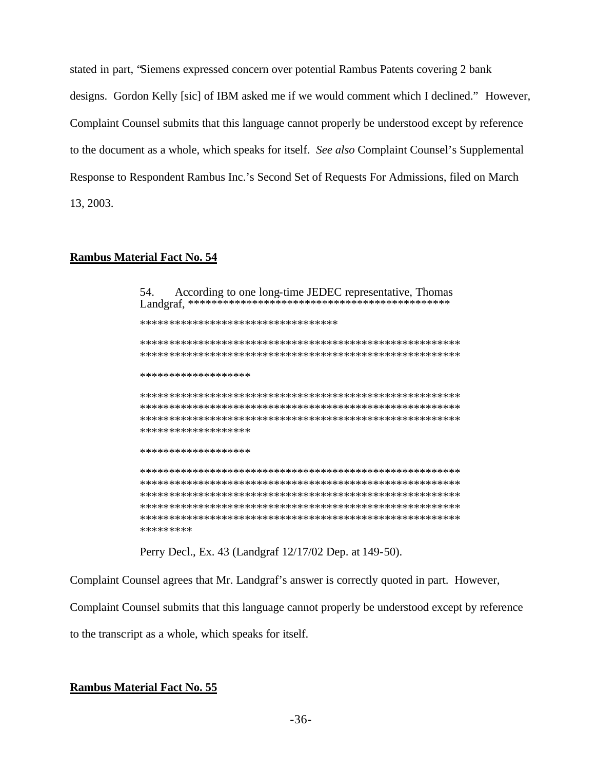stated in part, "Siemens expressed concern over potential Rambus Patents covering 2 bank designs. Gordon Kelly [sic] of IBM asked me if we would comment which I declined." However, Complaint Counsel submits that this language cannot properly be understood except by reference to the document as a whole, which speaks for itself. See also Complaint Counsel's Supplemental Response to Respondent Rambus Inc.'s Second Set of Requests For Admissions, filed on March 13, 2003.

### **Rambus Material Fact No. 54**

According to one long-time JEDEC representative, Thomas 54. \*\*\*\*\*\*\*\*\*\*\*\*\*\*\*\*\*\*\*\*\*\*\*\*\*\*\*\*\*\*\*\*\*\* \*\*\*\*\*\*\*\*\*\*\*\*\*\*\*\*\*\*\* \*\*\*\*\*\*\*\*\*\*\*\*\*\*\*\*\*\*\* \*\*\*\*\*\*\*\*\*\*\*\*\*\*\*\*\*\*\* \*\*\*\*\*\*\*\*\*

Perry Decl., Ex. 43 (Landgraf 12/17/02 Dep. at 149-50).

Complaint Counsel agrees that Mr. Landgraf's answer is correctly quoted in part. However,

Complaint Counsel submits that this language cannot properly be understood except by reference

to the transcript as a whole, which speaks for itself.

### **Rambus Material Fact No. 55**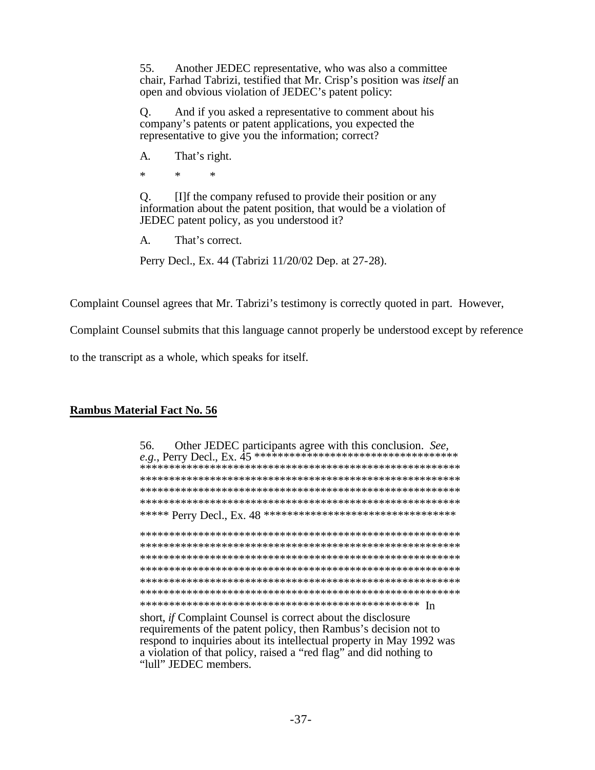Another JEDEC representative, who was also a committee 55. chair, Farhad Tabrizi, testified that Mr. Crisp's position was *itself* an open and obvious violation of JEDEC's patent policy:

And if you asked a representative to comment about his  $Q<sub>r</sub>$ company's patents or patent applications, you expected the representative to give you the information; correct?

 $A_{\cdot}$ That's right.

 $\ast$  $\star$  $\ast$ 

 $Q<sub>r</sub>$ [I] f the company refused to provide their position or any information about the patent position, that would be a violation of JEDEC patent policy, as you understood it?

 $A_{\cdot}$ That's correct.

Perry Decl., Ex. 44 (Tabrizi 11/20/02 Dep. at 27-28).

Complaint Counsel agrees that Mr. Tabrizi's testimony is correctly quoted in part. However,

Complaint Counsel submits that this language cannot properly be understood except by reference

to the transcript as a whole, which speaks for itself.

### **Rambus Material Fact No. 56**

| Other JEDEC participants agree with this conclusion. See,<br>56. |
|------------------------------------------------------------------|
|                                                                  |
|                                                                  |
|                                                                  |
|                                                                  |
| ***** Perry Decl., Ex. 48<br>*********************************   |
|                                                                  |
|                                                                  |
|                                                                  |
|                                                                  |
|                                                                  |
|                                                                  |
| In                                                               |
| short if $C$ smulaint $C$ smusel is some st short the disolasmus |

short, if Complaint Counsel is correct about the disclosure requirements of the patent policy, then Rambus's decision not to respond to inquiries about its intellectual property in May 1992 was a violation of that policy, raised a "red flag" and did nothing to "lull" JEDEC members.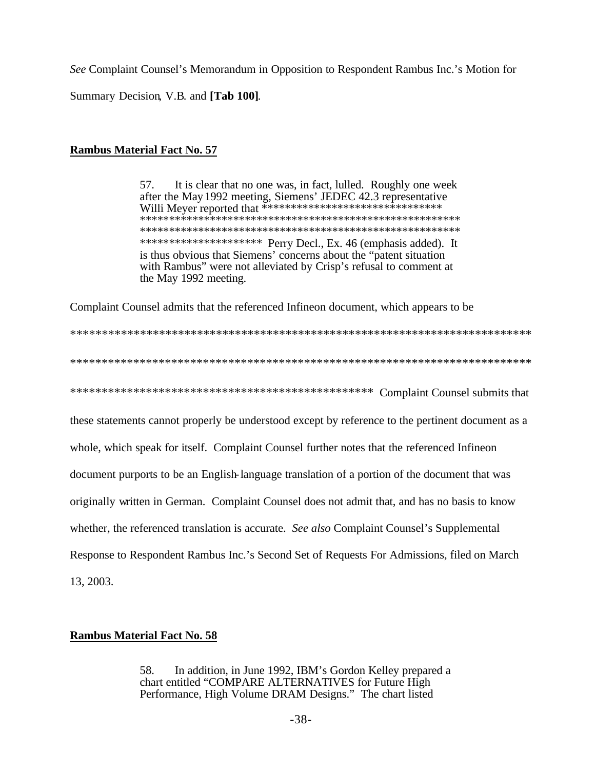See Complaint Counsel's Memorandum in Opposition to Respondent Rambus Inc.'s Motion for Summary Decision, V.B. and [Tab 100].

## **Rambus Material Fact No. 57**

57. It is clear that no one was, in fact, lulled. Roughly one week after the May 1992 meeting, Siemens' JEDEC 42.3 representative \*\*\*\*\*\*\*\*\*\*\*\*\*\*\*\*\*\*\*\*\* Perry Decl., Ex. 46 (emphasis added). It is thus obvious that Siemens' concerns about the "patent situation with Rambus" were not alleviated by Crisp's refusal to comment at the May 1992 meeting.

Complaint Counsel admits that the referenced Infineon document, which appears to be

these statements cannot properly be understood except by reference to the pertinent document as a whole, which speak for itself. Complaint Counsel further notes that the referenced Infineon document purports to be an English-language translation of a portion of the document that was originally written in German. Complaint Counsel does not admit that, and has no basis to know whether, the referenced translation is accurate. See also Complaint Counsel's Supplemental Response to Respondent Rambus Inc.'s Second Set of Requests For Admissions, filed on March 13, 2003.

### **Rambus Material Fact No. 58**

In addition, in June 1992, IBM's Gordon Kelley prepared a 58. chart entitled "COMPARE ALTERNATIVES for Future High Performance, High Volume DRAM Designs." The chart listed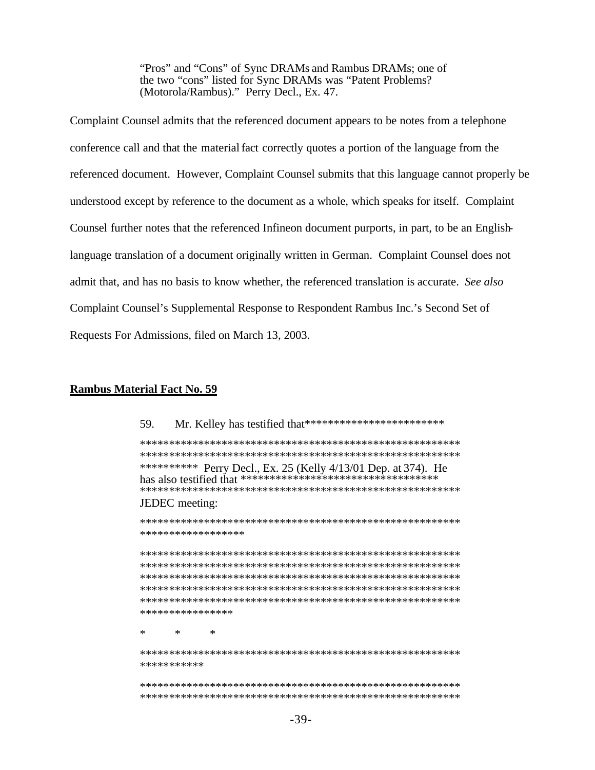"Pros" and "Cons" of Sync DRAMs and Rambus DRAMs; one of the two "cons" listed for Sync DRAMs was "Patent Problems? (Motorola/Rambus)." Perry Decl., Ex. 47.

Complaint Counsel admits that the referenced document appears to be notes from a telephone conference call and that the material fact correctly quotes a portion of the language from the referenced document. However, Complaint Counsel submits that this language cannot properly be understood except by reference to the document as a whole, which speaks for itself. Complaint Counsel further notes that the referenced Infineon document purports, in part, to be an Englishlanguage translation of a document originally written in German. Complaint Counsel does not admit that, and has no basis to know whether, the referenced translation is accurate. See also Complaint Counsel's Supplemental Response to Respondent Rambus Inc.'s Second Set of Requests For Admissions, filed on March 13, 2003.

#### **Rambus Material Fact No. 59**

| Mr. Kelley has testified that*************************<br>59.     |
|-------------------------------------------------------------------|
|                                                                   |
|                                                                   |
| Perry Decl., Ex. 25 (Kelly 4/13/01 Dep. at 374). He<br>********** |
|                                                                   |
| JEDEC meeting:                                                    |
|                                                                   |
| ******************                                                |
|                                                                   |
|                                                                   |
|                                                                   |
|                                                                   |
|                                                                   |
|                                                                   |
| ****************                                                  |
|                                                                   |
| $\ast$<br>*<br>ж                                                  |
|                                                                   |
| ***********                                                       |
|                                                                   |
|                                                                   |
|                                                                   |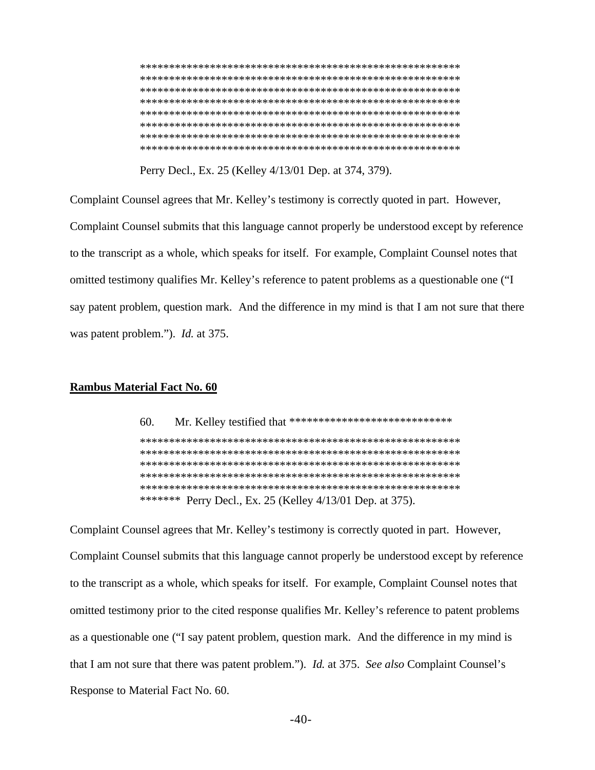Perry Decl., Ex. 25 (Kelley 4/13/01 Dep. at 374, 379).

Complaint Counsel agrees that Mr. Kelley's testimony is correctly quoted in part. However, Complaint Counsel submits that this language cannot properly be understood except by reference to the transcript as a whole, which speaks for itself. For example, Complaint Counsel notes that omitted testimony qualifies Mr. Kelley's reference to patent problems as a questionable one ("I say patent problem, question mark. And the difference in my mind is that I am not sure that there was patent problem."). *Id.* at 375.

#### **Rambus Material Fact No. 60**

60. Mr. Kelley testified that \*\*\*\*\*\*\*\*\*\*\*\*\*\*\*\*\*\*\*\*\*\*\*\*\*\*\*\*\*\* \*\*\*\*\*\*\* Perry Decl., Ex. 25 (Kelley 4/13/01 Dep. at 375).

Complaint Counsel agrees that Mr. Kelley's testimony is correctly quoted in part. However, Complaint Counsel submits that this language cannot properly be understood except by reference to the transcript as a whole, which speaks for itself. For example, Complaint Counsel notes that omitted testimony prior to the cited response qualifies Mr. Kelley's reference to patent problems as a questionable one ("I say patent problem, question mark. And the difference in my mind is that I am not sure that there was patent problem."). *Id.* at 375. See also Complaint Counsel's Response to Material Fact No. 60.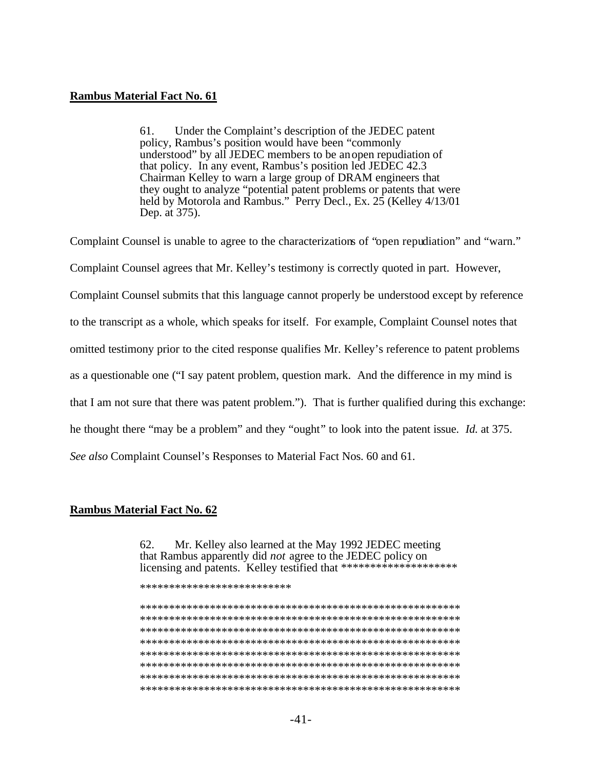#### **Rambus Material Fact No. 61**

61. Under the Complaint's description of the JEDEC patent policy, Rambus's position would have been "commonly understood" by all JEDEC members to be an open repudiation of that policy. In any event, Rambus's position led JEDEC 42.3 Chairman Kelley to warn a large group of DRAM engineers that they ought to analyze "potential patent problems or patents that were<br>held by Motorola and Rambus." Perry Decl., Ex. 25 (Kelley 4/13/01 Dep. at 375).

Complaint Counsel is unable to agree to the characterizations of "open repudiation" and "warn." Complaint Counsel agrees that Mr. Kelley's testimony is correctly quoted in part. However, Complaint Counsel submits that this language cannot properly be understood except by reference to the transcript as a whole, which speaks for itself. For example, Complaint Counsel notes that omitted testimony prior to the cited response qualifies Mr. Kelley's reference to patent problems as a questionable one ("I say patent problem, question mark. And the difference in my mind is that I am not sure that there was patent problem."). That is further qualified during this exchange: he thought there "may be a problem" and they "ought" to look into the patent issue. Id. at 375. See also Complaint Counsel's Responses to Material Fact Nos. 60 and 61.

#### **Rambus Material Fact No. 62**

62. Mr. Kelley also learned at the May 1992 JEDEC meeting that Rambus apparently did *not* agree to the JEDEC policy on licensing and patents. Kelley testified that \*\*\*\*\*\*\*\*\*\*\*\*\*\*\*\*\*\*\*\*\*\*\*

\*\*\*\*\*\*\*\*\*\*\*\*\*\*\*\*\*\*\*\*\*\*\*\*\*\*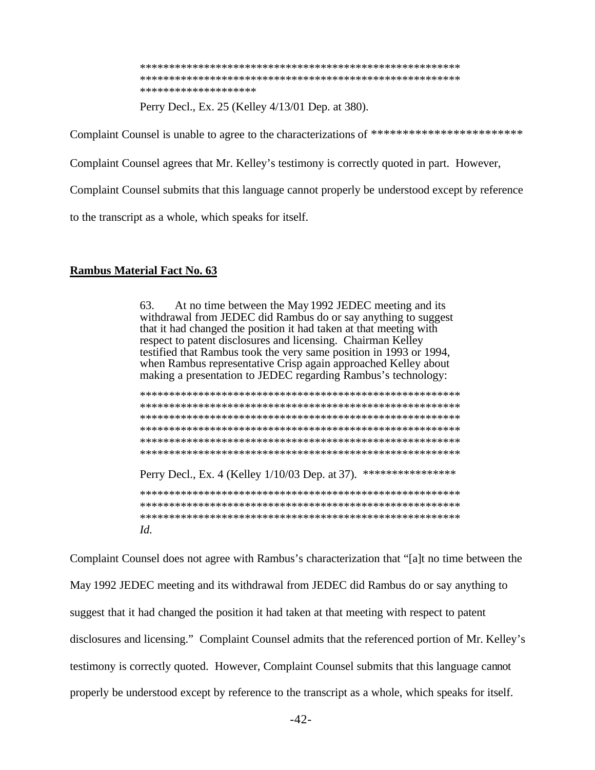\*\*\*\*\*\*\*\*\*\*\*\*\*\*\*\*\*\*\*\*

Perry Decl., Ex. 25 (Kelley 4/13/01 Dep. at 380).

Complaint Counsel is unable to agree to the characterizations of \*\*\*\*\*\*\*\*\*\*\*\*\*\*\*\*\*\*\*\*\*\*\*\*\*

Complaint Counsel agrees that Mr. Kelley's testimony is correctly quoted in part. However,

Complaint Counsel submits that this language cannot properly be understood except by reference

to the transcript as a whole, which speaks for itself.

### **Rambus Material Fact No. 63**

At no time between the May 1992 JEDEC meeting and its 63. withdrawal from JEDEC did Rambus do or say anything to suggest that it had changed the position it had taken at that meeting with respect to patent disclosures and licensing. Chairman Kelley testified that Rambus took the very same position in 1993 or 1994, when Rambus representative Crisp again approached Kelley about making a presentation to JEDEC regarding Rambus's technology:

| Perry Decl., Ex. 4 (Kelley 1/10/03 Dep. at 37).<br>**************** |
|---------------------------------------------------------------------|
|                                                                     |
|                                                                     |
|                                                                     |

Complaint Counsel does not agree with Rambus's characterization that "[a]t no time between the May 1992 JEDEC meeting and its withdrawal from JEDEC did Rambus do or say anything to suggest that it had changed the position it had taken at that meeting with respect to patent disclosures and licensing." Complaint Counsel admits that the referenced portion of Mr. Kelley's testimony is correctly quoted. However, Complaint Counsel submits that this language cannot properly be understood except by reference to the transcript as a whole, which speaks for itself.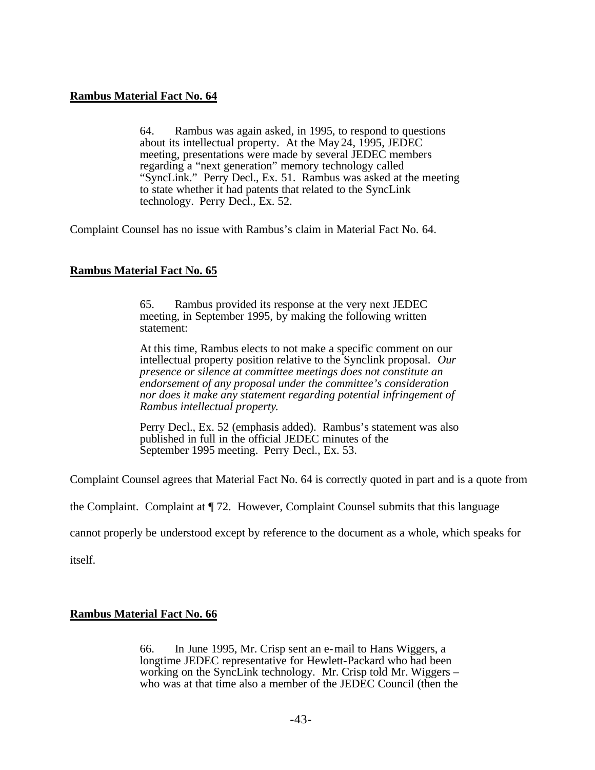## **Rambus Material Fact No. 64**

64. Rambus was again asked, in 1995, to respond to questions about its intellectual property. At the May24, 1995, JEDEC meeting, presentations were made by several JEDEC members regarding a "next generation" memory technology called "SyncLink." Perry Decl., Ex. 51. Rambus was asked at the meeting to state whether it had patents that related to the SyncLink technology. Perry Decl., Ex. 52.

Complaint Counsel has no issue with Rambus's claim in Material Fact No. 64.

# **Rambus Material Fact No. 65**

65. Rambus provided its response at the very next JEDEC meeting, in September 1995, by making the following written statement:

At this time, Rambus elects to not make a specific comment on our intellectual property position relative to the Synclink proposal. *Our presence or silence at committee meetings does not constitute an endorsement of any proposal under the committee's consideration nor does it make any statement regarding potential infringement of Rambus intellectual property*.

Perry Decl., Ex. 52 (emphasis added). Rambus's statement was also published in full in the official JEDEC minutes of the September 1995 meeting. Perry Decl., Ex. 53.

Complaint Counsel agrees that Material Fact No. 64 is correctly quoted in part and is a quote from

the Complaint. Complaint at ¶ 72. However, Complaint Counsel submits that this language

cannot properly be understood except by reference to the document as a whole, which speaks for

itself.

### **Rambus Material Fact No. 66**

66. In June 1995, Mr. Crisp sent an e-mail to Hans Wiggers, a longtime JEDEC representative for Hewlett-Packard who had been working on the SyncLink technology. Mr. Crisp told Mr. Wiggers – who was at that time also a member of the JEDEC Council (then the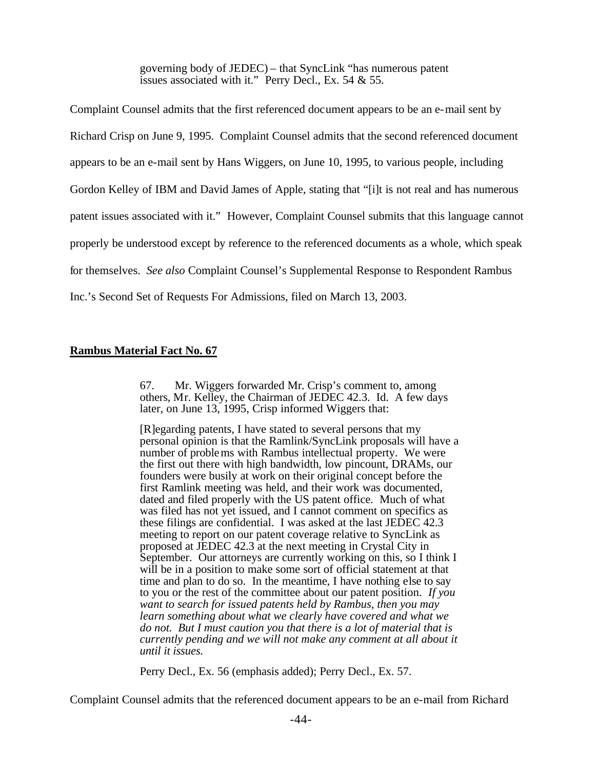governing body of JEDEC) – that SyncLink "has numerous patent issues associated with it." Perry Decl., Ex. 54 & 55.

Complaint Counsel admits that the first referenced document appears to be an e-mail sent by Richard Crisp on June 9, 1995. Complaint Counsel admits that the second referenced document appears to be an e-mail sent by Hans Wiggers, on June 10, 1995, to various people, including Gordon Kelley of IBM and David James of Apple, stating that "[i]t is not real and has numerous patent issues associated with it." However, Complaint Counsel submits that this language cannot properly be understood except by reference to the referenced documents as a whole, which speak for themselves. *See also* Complaint Counsel's Supplemental Response to Respondent Rambus Inc.'s Second Set of Requests For Admissions, filed on March 13, 2003.

## **Rambus Material Fact No. 67**

67. Mr. Wiggers forwarded Mr. Crisp's comment to, among others, Mr. Kelley, the Chairman of JEDEC 42.3. Id. A few days later, on June 13, 1995, Crisp informed Wiggers that:

[R]egarding patents, I have stated to several persons that my personal opinion is that the Ramlink/SyncLink proposals will have a number of problems with Rambus intellectual property. We were the first out there with high bandwidth, low pincount, DRAMs, our founders were busily at work on their original concept before the first Ramlink meeting was held, and their work was documented, dated and filed properly with the US patent office. Much of what was filed has not yet issued, and I cannot comment on specifics as these filings are confidential. I was asked at the last JEDEC 42.3 meeting to report on our patent coverage relative to SyncLink as proposed at JEDEC 42.3 at the next meeting in Crystal City in September. Our attorneys are currently working on this, so I think I will be in a position to make some sort of official statement at that time and plan to do so. In the meantime, I have nothing else to say to you or the rest of the committee about our patent position. *If you want to search for issued patents held by Rambus, then you may learn something about what we clearly have covered and what we do not. But I must caution you that there is a lot of material that is currently pending and we will not make any comment at all about it until it issues.*

Perry Decl., Ex. 56 (emphasis added); Perry Decl., Ex. 57.

Complaint Counsel admits that the referenced document appears to be an e-mail from Richard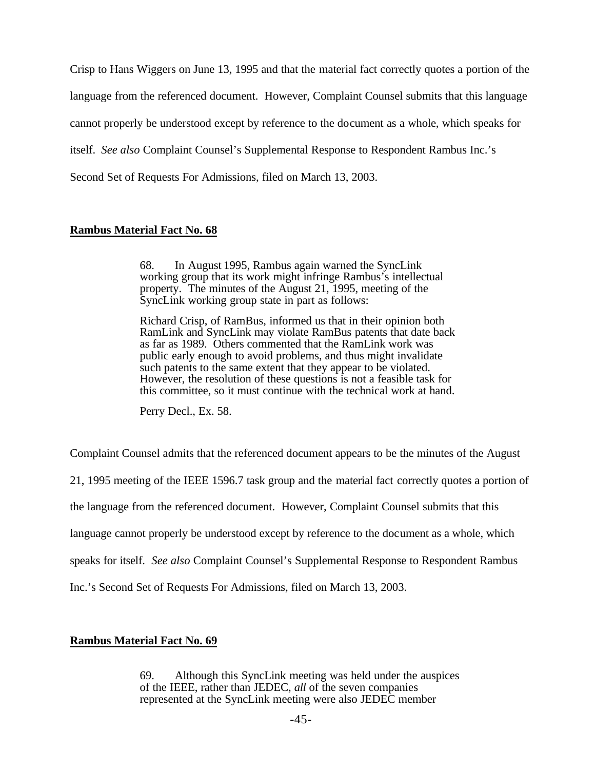Crisp to Hans Wiggers on June 13, 1995 and that the material fact correctly quotes a portion of the language from the referenced document. However, Complaint Counsel submits that this language cannot properly be understood except by reference to the document as a whole, which speaks for itself. *See also* Complaint Counsel's Supplemental Response to Respondent Rambus Inc.'s Second Set of Requests For Admissions, filed on March 13, 2003.

### **Rambus Material Fact No. 68**

68. In August 1995, Rambus again warned the SyncLink working group that its work might infringe Rambus's intellectual property. The minutes of the August 21, 1995, meeting of the SyncLink working group state in part as follows:

Richard Crisp, of RamBus, informed us that in their opinion both RamLink and SyncLink may violate RamBus patents that date back as far as 1989. Others commented that the RamLink work was public early enough to avoid problems, and thus might invalidate such patents to the same extent that they appear to be violated. However, the resolution of these questions is not a feasible task for this committee, so it must continue with the technical work at hand.

Perry Decl., Ex. 58.

Complaint Counsel admits that the referenced document appears to be the minutes of the August

21, 1995 meeting of the IEEE 1596.7 task group and the material fact correctly quotes a portion of

the language from the referenced document. However, Complaint Counsel submits that this

language cannot properly be understood except by reference to the document as a whole, which

speaks for itself. *See also* Complaint Counsel's Supplemental Response to Respondent Rambus

Inc.'s Second Set of Requests For Admissions, filed on March 13, 2003.

### **Rambus Material Fact No. 69**

69. Although this SyncLink meeting was held under the auspices of the IEEE, rather than JEDEC, *all* of the seven companies represented at the SyncLink meeting were also JEDEC member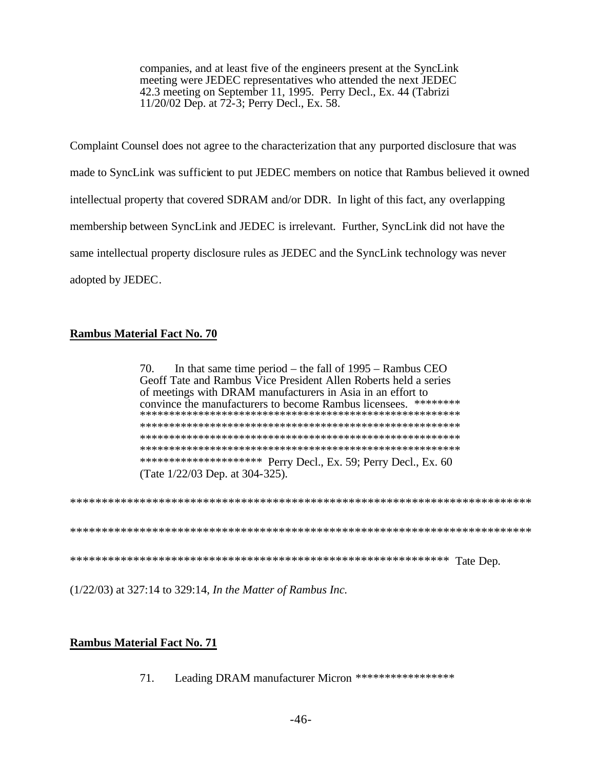companies, and at least five of the engineers present at the SyncLink meeting were JEDEC representatives who attended the next JEDEC 42.3 meeting on September 11, 1995. Perry Decl., Ex. 44 (Tabrizi 11/20/02 Dep. at 72-3; Perry Decl., Ex. 58.

Complaint Counsel does not agree to the characterization that any purported disclosure that was made to SyncLink was sufficient to put JEDEC members on notice that Rambus believed it owned intellectual property that covered SDRAM and/or DDR. In light of this fact, any overlapping membership between SyncLink and JEDEC is irrelevant. Further, SyncLink did not have the same intellectual property disclosure rules as JEDEC and the SyncLink technology was never adopted by JEDEC.

# **Rambus Material Fact No. 70**

70. In that same time period – the fall of  $1995$  – Rambus CEO Geoff Tate and Rambus Vice President Allen Roberts held a series of meetings with DRAM manufacturers in Asia in an effort to convince the manufacturers to become Rambus licensees. \*\*\*\*\*\*\*\* \*\*\*\*\*\*\*\*\*\*\*\*\*\*\*\*\*\*\*\*\* Perry Decl., Ex. 59; Perry Decl., Ex. 60 (Tate 1/22/03 Dep. at 304-325).

 $(1/22/03)$  at 327:14 to 329:14, In the Matter of Rambus Inc.

# **Rambus Material Fact No. 71**

 $71.$ Leading DRAM manufacturer Micron \*\*\*\*\*\*\*\*\*\*\*\*\*\*\*\*\*\*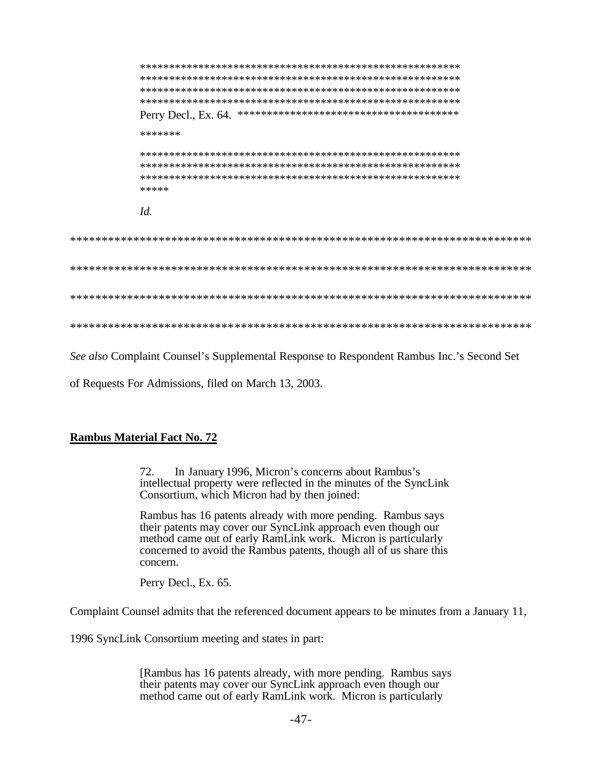\*\*\*\*\*\*\* \*\*\*\*\*  $Id$ . 

See also Complaint Counsel's Supplemental Response to Respondent Rambus Inc.'s Second Set

of Requests For Admissions, filed on March 13, 2003.

### **Rambus Material Fact No. 72**

In January 1996, Micron's concerns about Rambus's 72. intellectual property were reflected in the minutes of the SyncLink Consortium, which Micron had by then joined:

Rambus has 16 patents already with more pending. Rambus says their patents may cover our SyncLink approach even though our method came out of early RamLink work. Micron is particularly concerned to avoid the Rambus patents, though all of us share this concern.

Perry Decl., Ex. 65.

Complaint Counsel admits that the referenced document appears to be minutes from a January 11,

1996 SyncLink Consortium meeting and states in part:

[Rambus has 16 patents already, with more pending. Rambus says their patents may cover our SyncLink approach even though our method came out of early RamLink work. Micron is particularly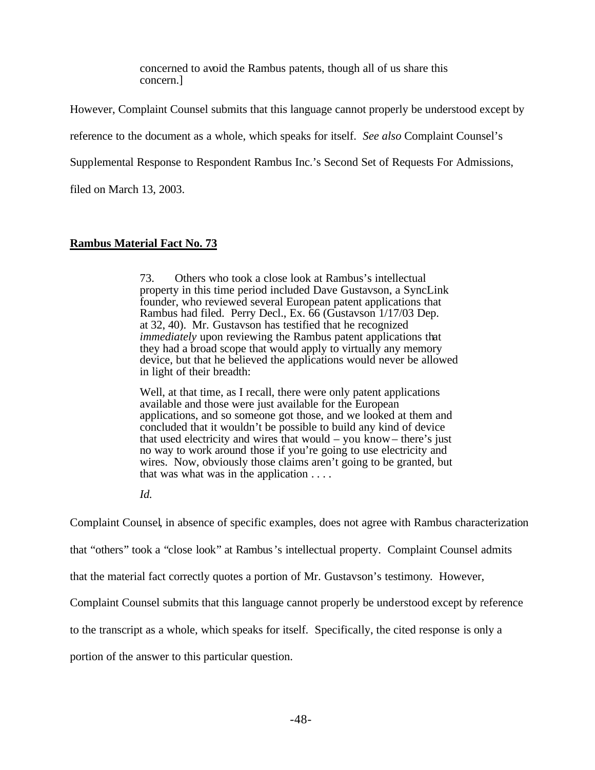concerned to avoid the Rambus patents, though all of us share this concern.]

However, Complaint Counsel submits that this language cannot properly be understood except by

reference to the document as a whole, which speaks for itself. *See also* Complaint Counsel's

Supplemental Response to Respondent Rambus Inc.'s Second Set of Requests For Admissions,

filed on March 13, 2003.

## **Rambus Material Fact No. 73**

73. Others who took a close look at Rambus's intellectual property in this time period included Dave Gustavson, a SyncLink founder, who reviewed several European patent applications that Rambus had filed. Perry Decl., Ex. 66 (Gustavson 1/17/03 Dep. at 32, 40). Mr. Gustavson has testified that he recognized *immediately* upon reviewing the Rambus patent applications that they had a broad scope that would apply to virtually any memory device, but that he believed the applications would never be allowed in light of their breadth:

Well, at that time, as I recall, there were only patent applications available and those were just available for the European applications, and so someone got those, and we looked at them and concluded that it wouldn't be possible to build any kind of device that used electricity and wires that would – you know– there's just no way to work around those if you're going to use electricity and wires. Now, obviously those claims aren't going to be granted, but that was what was in the application . . . .

*Id.*

Complaint Counsel, in absence of specific examples, does not agree with Rambus characterization

that "others" took a "close look" at Rambus's intellectual property. Complaint Counsel admits

that the material fact correctly quotes a portion of Mr. Gustavson's testimony. However,

Complaint Counsel submits that this language cannot properly be understood except by reference

to the transcript as a whole, which speaks for itself. Specifically, the cited response is only a

portion of the answer to this particular question.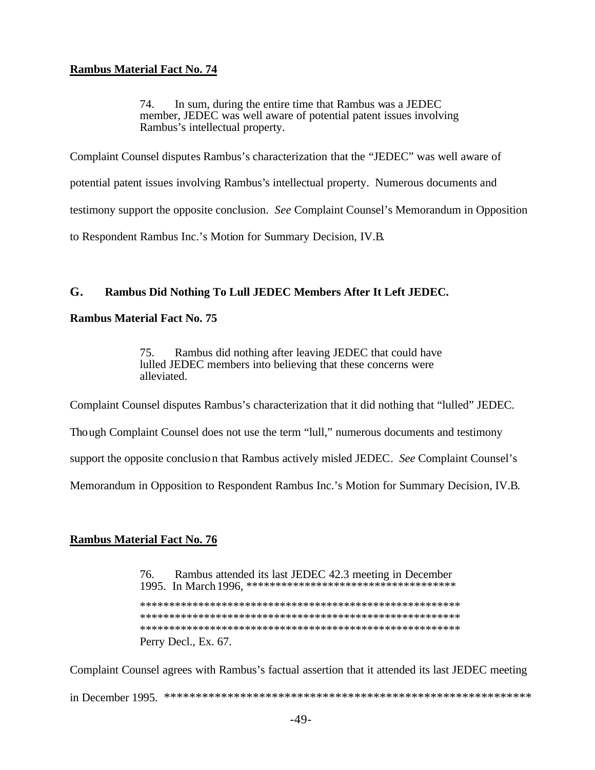### **Rambus Material Fact No. 74**

In sum, during the entire time that Rambus was a JEDEC 74. member, JEDEC was well aware of potential patent issues involving Rambus's intellectual property.

Complaint Counsel disputes Rambus's characterization that the "JEDEC" was well aware of potential patent issues involving Rambus's intellectual property. Numerous documents and testimony support the opposite conclusion. See Complaint Counsel's Memorandum in Opposition to Respondent Rambus Inc.'s Motion for Summary Decision, IV.B.

#### G. Rambus Did Nothing To Lull JEDEC Members After It Left JEDEC.

### **Rambus Material Fact No. 75**

Rambus did nothing after leaving JEDEC that could have 75. lulled JEDEC members into believing that these concerns were alleviated.

Complaint Counsel disputes Rambus's characterization that it did nothing that "lulled" JEDEC.

Though Complaint Counsel does not use the term "lull," numerous documents and testimony

support the opposite conclusion that Rambus actively misled JEDEC. See Complaint Counsel's

Memorandum in Opposition to Respondent Rambus Inc.'s Motion for Summary Decision, IV.B.

### **Rambus Material Fact No. 76**

Rambus attended its last JEDEC 42.3 meeting in December 76. Perry Decl., Ex. 67.

Complaint Counsel agrees with Rambus's factual assertion that it attended its last JEDEC meeting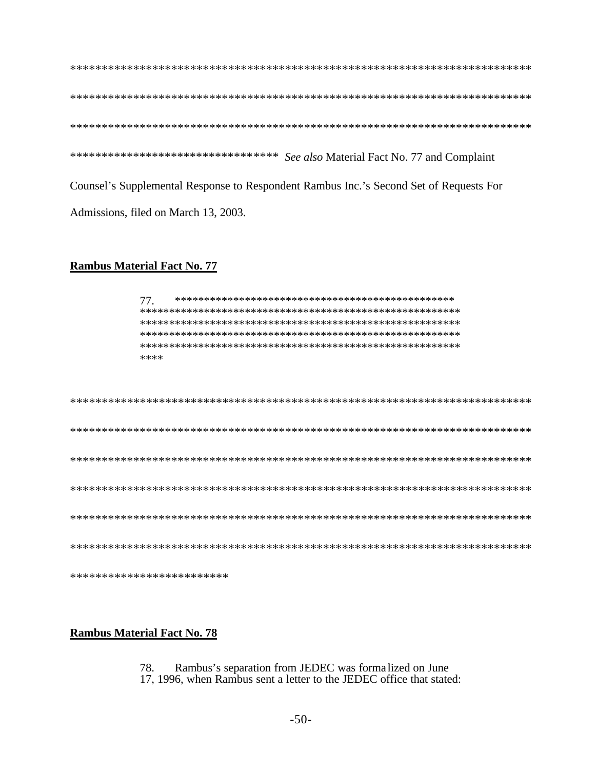\*\*\*\*\*\*\*\*\*\*\*\*\*\*\*\*\*\*\*\*\*\*\*\*\*\*\*\*\*\*\*\*\* See also Material Fact No. 77 and Complaint Counsel's Supplemental Response to Respondent Rambus Inc.'s Second Set of Requests For Admissions, filed on March 13, 2003.

### **Rambus Material Fact No. 77**

77. \*\*\*\*

| ************************* |
|---------------------------|

### **Rambus Material Fact No. 78**

Rambus's separation from JEDEC was formalized on June 78.

17, 1996, when Rambus sent a letter to the JEDEC office that stated: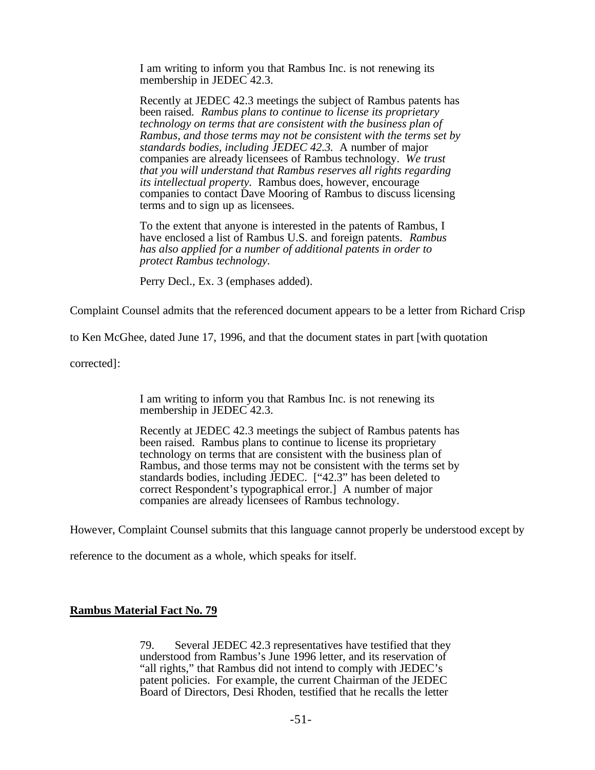I am writing to inform you that Rambus Inc. is not renewing its membership in JEDEC 42.3.

Recently at JEDEC 42.3 meetings the subject of Rambus patents has been raised. *Rambus plans to continue to license its proprietary technology on terms that are consistent with the business plan of Rambus, and those terms may not be consistent with the terms set by standards bodies, including JEDEC 42.3.* A number of major companies are already licensees of Rambus technology. *We trust that you will understand that Rambus reserves all rights regarding its intellectual property.* Rambus does, however, encourage companies to contact Dave Mooring of Rambus to discuss licensing terms and to sign up as licensees.

To the extent that anyone is interested in the patents of Rambus, I have enclosed a list of Rambus U.S. and foreign patents. *Rambus has also applied for a number of additional patents in order to protect Rambus technology.*

Perry Decl., Ex. 3 (emphases added).

Complaint Counsel admits that the referenced document appears to be a letter from Richard Crisp

to Ken McGhee, dated June 17, 1996, and that the document states in part [with quotation

corrected]:

I am writing to inform you that Rambus Inc. is not renewing its membership in JEDEC 42.3.

Recently at JEDEC 42.3 meetings the subject of Rambus patents has been raised. Rambus plans to continue to license its proprietary technology on terms that are consistent with the business plan of Rambus, and those terms may not be consistent with the terms set by standards bodies, including JEDEC. ["42.3" has been deleted to correct Respondent's typographical error.] A number of major companies are already licensees of Rambus technology.

However, Complaint Counsel submits that this language cannot properly be understood except by

reference to the document as a whole, which speaks for itself.

### **Rambus Material Fact No. 79**

79. Several JEDEC 42.3 representatives have testified that they understood from Rambus's June 1996 letter, and its reservation of "all rights," that Rambus did not intend to comply with JEDEC's patent policies. For example, the current Chairman of the JEDEC Board of Directors, Desi Rhoden, testified that he recalls the letter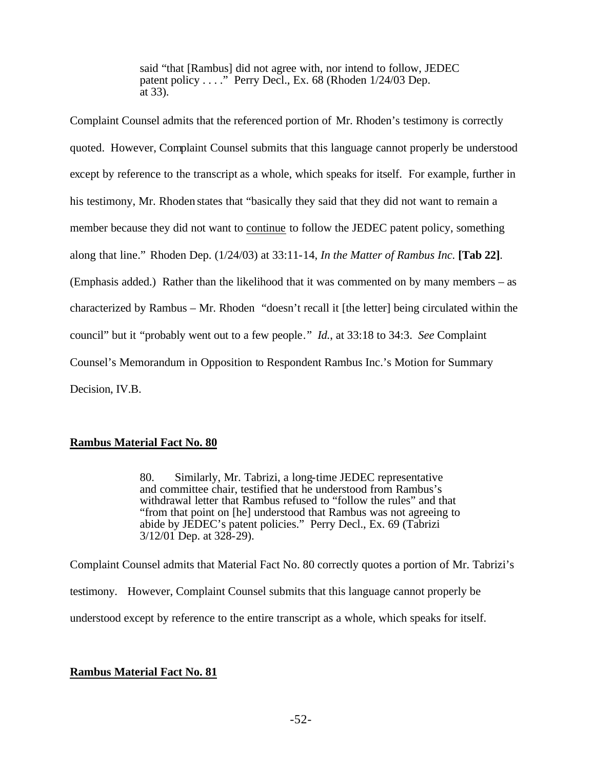said "that [Rambus] did not agree with, nor intend to follow, JEDEC patent policy . . . ." Perry Decl., Ex. 68 (Rhoden 1/24/03 Dep. at 33).

Complaint Counsel admits that the referenced portion of Mr. Rhoden's testimony is correctly quoted. However, Complaint Counsel submits that this language cannot properly be understood except by reference to the transcript as a whole, which speaks for itself. For example, further in his testimony, Mr. Rhoden states that "basically they said that they did not want to remain a member because they did not want to continue to follow the JEDEC patent policy, something along that line." Rhoden Dep. (1/24/03) at 33:11-14, *In the Matter of Rambus Inc.* **[Tab 22]**. (Emphasis added.) Rather than the likelihood that it was commented on by many members – as characterized by Rambus – Mr. Rhoden "doesn't recall it [the letter] being circulated within the council" but it "probably went out to a few people." *Id.*, at 33:18 to 34:3. *See* Complaint Counsel's Memorandum in Opposition to Respondent Rambus Inc.'s Motion for Summary Decision, IV.B.

### **Rambus Material Fact No. 80**

80. Similarly, Mr. Tabrizi, a long-time JEDEC representative and committee chair, testified that he understood from Rambus's withdrawal letter that Rambus refused to "follow the rules" and that "from that point on [he] understood that Rambus was not agreeing to abide by JEDEC's patent policies." Perry Decl., Ex. 69 (Tabrizi  $3/12/01$  Dep. at  $328-29$ ).

Complaint Counsel admits that Material Fact No. 80 correctly quotes a portion of Mr. Tabrizi's testimony. However, Complaint Counsel submits that this language cannot properly be understood except by reference to the entire transcript as a whole, which speaks for itself.

# **Rambus Material Fact No. 81**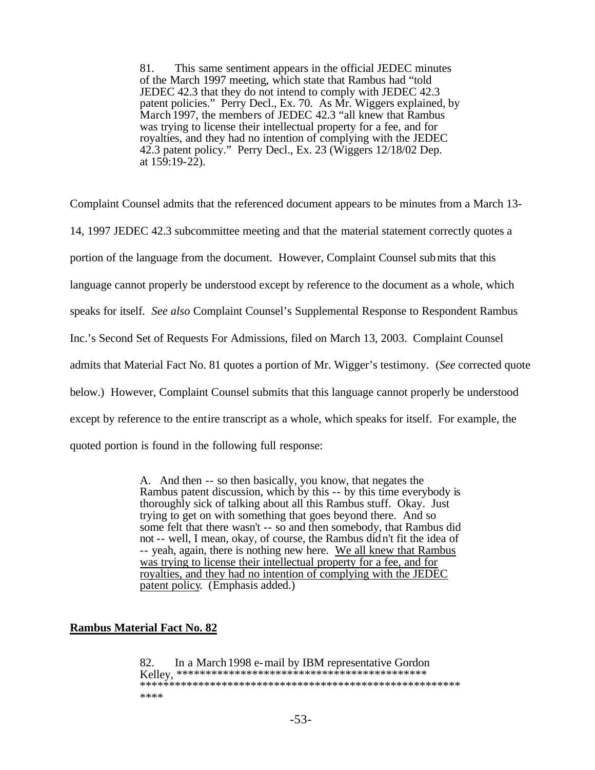81. This same sentiment appears in the official JEDEC minutes of the March 1997 meeting, which state that Rambus had "told JEDEC 42.3 that they do not intend to comply with JEDEC 42.3 patent policies." Perry Decl., Ex. 70. As Mr. Wiggers explained, by March 1997, the members of JEDEC 42.3 "all knew that Rambus was trying to license their intellectual property for a fee, and for royalties, and they had no intention of complying with the JEDEC 42.3 patent policy." Perry Decl., Ex. 23 (Wiggers 12/18/02 Dep. at 159:19-22).

Complaint Counsel admits that the referenced document appears to be minutes from a March 13- 14, 1997 JEDEC 42.3 subcommittee meeting and that the material statement correctly quotes a portion of the language from the document. However, Complaint Counsel submits that this language cannot properly be understood except by reference to the document as a whole, which speaks for itself. *See also* Complaint Counsel's Supplemental Response to Respondent Rambus Inc.'s Second Set of Requests For Admissions, filed on March 13, 2003. Complaint Counsel admits that Material Fact No. 81 quotes a portion of Mr. Wigger's testimony. (*See* corrected quote below.) However, Complaint Counsel submits that this language cannot properly be understood except by reference to the entire transcript as a whole, which speaks for itself. For example, the quoted portion is found in the following full response:

> A. And then -- so then basically, you know, that negates the Rambus patent discussion, which by this -- by this time everybody is thoroughly sick of talking about all this Rambus stuff. Okay. Just trying to get on with something that goes beyond there. And so some felt that there wasn't -- so and then somebody, that Rambus did not -- well, I mean, okay, of course, the Rambus didn't fit the idea of -- yeah, again, there is nothing new here. We all knew that Rambus was trying to license their intellectual property for a fee, and for royalties, and they had no intention of complying with the JEDEC patent policy. (Emphasis added.)

### **Rambus Material Fact No. 82**

82. In a March 1998 e-mail by IBM representative Gordon Kelley, \*\*\*\*\*\*\*\*\*\*\*\*\*\*\*\*\*\*\*\*\*\*\*\*\*\*\*\*\*\*\*\*\*\*\*\*\*\*\*\*\*\*\* \*\*\*\*\*\*\*\*\*\*\*\*\*\*\*\*\*\*\*\*\*\*\*\*\*\*\*\*\*\*\*\*\*\*\*\*\*\*\*\*\*\*\*\*\*\*\*\*\*\*\*\*\*\*\* \*\*\*\*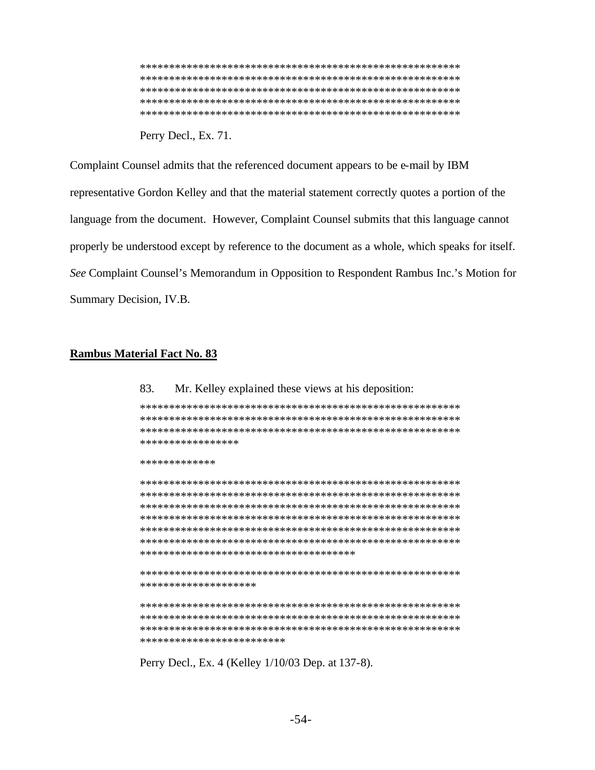Perry Decl., Ex. 71.

Complaint Counsel admits that the referenced document appears to be e-mail by IBM representative Gordon Kelley and that the material statement correctly quotes a portion of the language from the document. However, Complaint Counsel submits that this language cannot properly be understood except by reference to the document as a whole, which speaks for itself. See Complaint Counsel's Memorandum in Opposition to Respondent Rambus Inc.'s Motion for Summary Decision, IV.B.

Mr. Kelley explained these views at his deposition:

### **Rambus Material Fact No. 83**

83.

\*\*\*\*\*\*\*\*\*\*\*\*\*\*\*\*\* \*\*\*\*\*\*\*\*\*\*\*\*\* \*\*\*\*\*\*\*\*\*\*\*\*\*\*\*\*\*\*\*\*\*\*\*\*\*\*\*\*\*\*\*\*\*\*\*\*\* \*\*\*\*\*\*\*\*\*\*\*\*\*\*\*\*\*\*\*\* \*\*\*\*\*\*\*\*\*\*\*\*\*\*\*\*\*\*\*\*\*\*\*\*\*

Perry Decl., Ex. 4 (Kelley 1/10/03 Dep. at 137-8).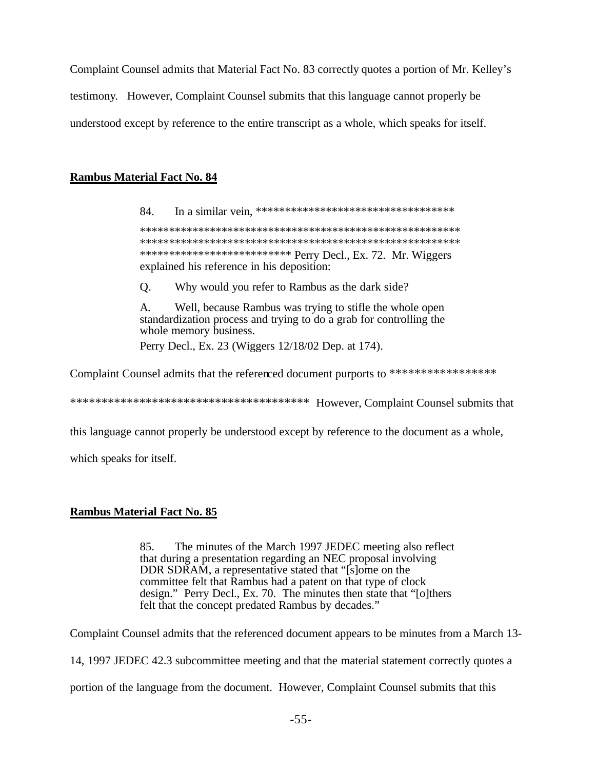Complaint Counsel admits that Material Fact No. 83 correctly quotes a portion of Mr. Kelley's testimony. However, Complaint Counsel submits that this language cannot properly be understood except by reference to the entire transcript as a whole, which speaks for itself.

### **Rambus Material Fact No. 84**

84. \*\*\*\*\*\*\*\*\*\*\*\*\*\*\*\*\*\*\*\*\*\*\*\*\*\*\* Perry Decl., Ex. 72. Mr. Wiggers explained his reference in his deposition:

 $\mathbf{O}$ . Why would you refer to Rambus as the dark side?

 $\mathsf{A}$ . Well, because Rambus was trying to stifle the whole open standardization process and trying to do a grab for controlling the whole memory business. Perry Decl., Ex. 23 (Wiggers 12/18/02 Dep. at 174).

Complaint Counsel admits that the referenced document purports to \*\*\*\*\*\*\*\*\*\*\*\*\*\*\*\*\*\*

this language cannot properly be understood except by reference to the document as a whole,

which speaks for itself.

### **Rambus Material Fact No. 85**

85. The minutes of the March 1997 JEDEC meeting also reflect that during a presentation regarding an NEC proposal involving DDR SDRAM, a representative stated that "[s]ome on the committee felt that Rambus had a patent on that type of clock design." Perry Decl., Ex. 70. The minutes then state that "[o]thers felt that the concept predated Rambus by decades."

Complaint Counsel admits that the referenced document appears to be minutes from a March 13-

14, 1997 JEDEC 42.3 subcommittee meeting and that the material statement correctly quotes a

portion of the language from the document. However, Complaint Counsel submits that this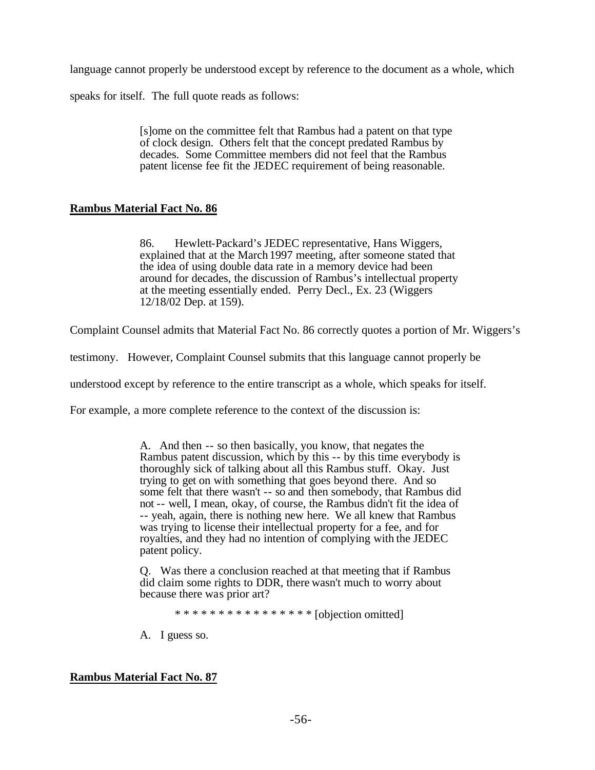language cannot properly be understood except by reference to the document as a whole, which

speaks for itself. The full quote reads as follows:

[s]ome on the committee felt that Rambus had a patent on that type of clock design. Others felt that the concept predated Rambus by decades. Some Committee members did not feel that the Rambus patent license fee fit the JEDEC requirement of being reasonable.

## **Rambus Material Fact No. 86**

86. Hewlett-Packard's JEDEC representative, Hans Wiggers, explained that at the March1997 meeting, after someone stated that the idea of using double data rate in a memory device had been around for decades, the discussion of Rambus's intellectual property at the meeting essentially ended. Perry Decl., Ex. 23 (Wiggers 12/18/02 Dep. at 159).

Complaint Counsel admits that Material Fact No. 86 correctly quotes a portion of Mr. Wiggers's

testimony. However, Complaint Counsel submits that this language cannot properly be

understood except by reference to the entire transcript as a whole, which speaks for itself.

For example, a more complete reference to the context of the discussion is:

A. And then -- so then basically, you know, that negates the Rambus patent discussion, which by this -- by this time everybody is thoroughly sick of talking about all this Rambus stuff. Okay. Just trying to get on with something that goes beyond there. And so some felt that there wasn't -- so and then somebody, that Rambus did not -- well, I mean, okay, of course, the Rambus didn't fit the idea of -- yeah, again, there is nothing new here. We all knew that Rambus was trying to license their intellectual property for a fee, and for royalties, and they had no intention of complying with the JEDEC patent policy.

Q. Was there a conclusion reached at that meeting that if Rambus did claim some rights to DDR, there wasn't much to worry about because there was prior art?

\* \* \* \* \* \* \* \* \* \* \* \* \* \* \* \* [objection omitted]

A. I guess so.

### **Rambus Material Fact No. 87**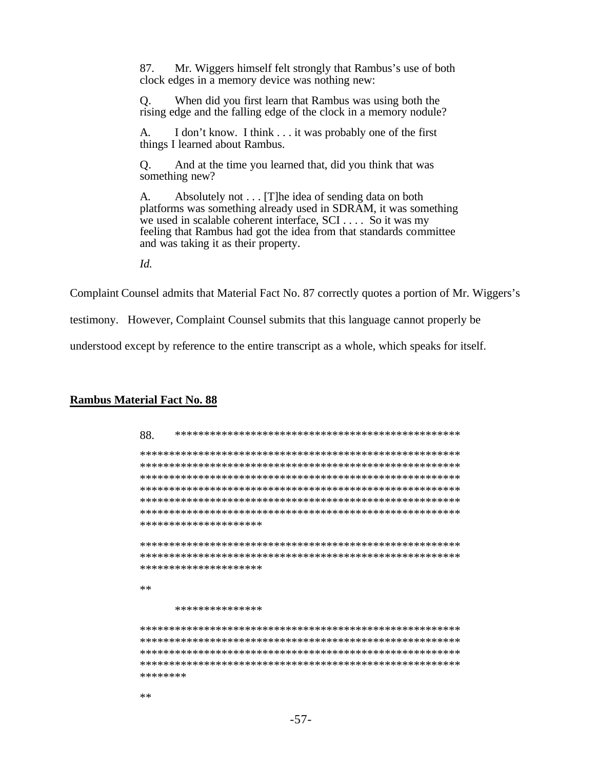Mr. Wiggers himself felt strongly that Rambus's use of both 87. clock edges in a memory device was nothing new:

 $Q<sub>r</sub>$ When did you first learn that Rambus was using both the rising edge and the falling edge of the clock in a memory nodule?

I don't know. I think . . . it was probably one of the first A. things I learned about Rambus.

Q. And at the time you learned that, did you think that was something new?

Absolutely not . . . [T] he idea of sending data on both A. platforms was something already used in SDRAM, it was something we used in scalable coherent interface, SCI . . . . So it was my feeling that Rambus had got the idea from that standards committee and was taking it as their property.

 $Id.$ 

Complaint Counsel admits that Material Fact No. 87 correctly quotes a portion of Mr. Wiggers's

testimony. However, Complaint Counsel submits that this language cannot properly be

understood except by reference to the entire transcript as a whole, which speaks for itself.

#### **Rambus Material Fact No. 88**

| 88.      |                       |
|----------|-----------------------|
|          |                       |
|          |                       |
|          |                       |
|          |                       |
|          |                       |
|          |                       |
|          | ********************* |
|          |                       |
|          |                       |
|          |                       |
|          | ********************* |
|          |                       |
| $**$     |                       |
|          | ***************       |
|          |                       |
|          |                       |
|          |                       |
|          |                       |
| ******** |                       |
|          |                       |
| $**$     |                       |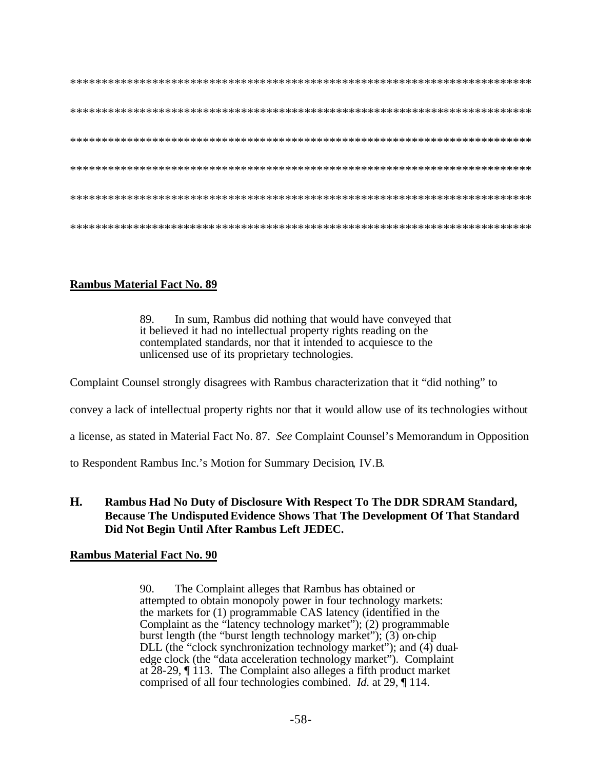# **Rambus Material Fact No. 89**

89. In sum, Rambus did nothing that would have conveyed that it believed it had no intellectual property rights reading on the contemplated standards, nor that it intended to acquiesce to the unlicensed use of its proprietary technologies.

Complaint Counsel strongly disagrees with Rambus characterization that it "did nothing" to

convey a lack of intellectual property rights nor that it would allow use of its technologies without

a license, as stated in Material Fact No. 87. See Complaint Counsel's Memorandum in Opposition

to Respondent Rambus Inc.'s Motion for Summary Decision, IV.B.

#### H. Rambus Had No Duty of Disclosure With Respect To The DDR SDRAM Standard, **Because The Undisputed Evidence Shows That The Development Of That Standard** Did Not Begin Until After Rambus Left JEDEC.

### **Rambus Material Fact No. 90**

The Complaint alleges that Rambus has obtained or 90. attempted to obtain monopoly power in four technology markets: the markets for (1) programmable CAS latency (identified in the Complaint as the "latency technology market"); (2) programmable burst length (the "burst length technology market");  $(3)$  on-chip DLL (the "clock synchronization technology market"); and (4) dualedge clock (the "data acceleration technology market"). Complaint at  $28-29$ ,  $\P$  113. The Complaint also alleges a fifth product market comprised of all four technologies combined. *Id.* at 29,  $\P$  114.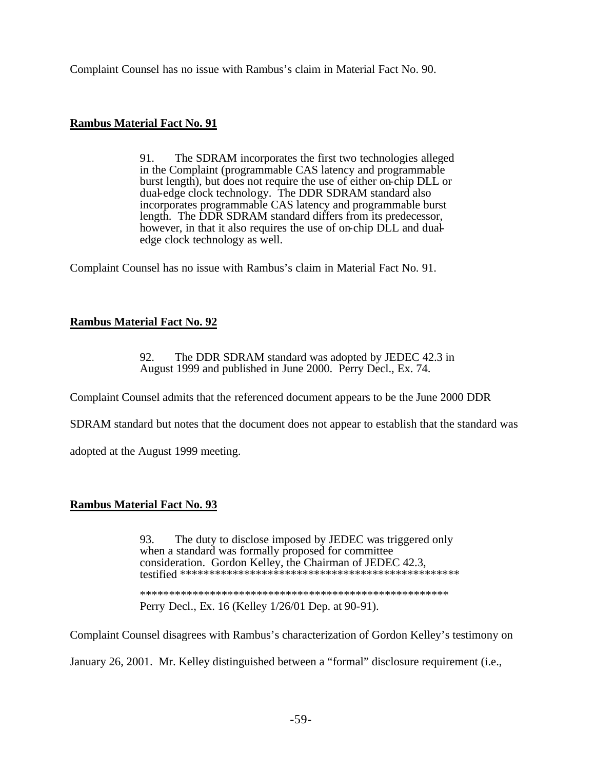Complaint Counsel has no issue with Rambus's claim in Material Fact No. 90.

### **Rambus Material Fact No. 91**

91. The SDRAM incorporates the first two technologies alleged in the Complaint (programmable CAS latency and programmable burst length), but does not require the use of either on chip DLL or dual-edge clock technology. The DDR SDRAM standard also incorporates programmable CAS latency and programmable burst length. The DDR SDRAM standard differs from its predecessor, however, in that it also requires the use of on-chip DLL and dualedge clock technology as well.

Complaint Counsel has no issue with Rambus's claim in Material Fact No. 91.

## **Rambus Material Fact No. 92**

92. The DDR SDRAM standard was adopted by JEDEC 42.3 in August 1999 and published in June 2000. Perry Decl., Ex. 74.

Complaint Counsel admits that the referenced document appears to be the June 2000 DDR

SDRAM standard but notes that the document does not appear to establish that the standard was

adopted at the August 1999 meeting.

### **Rambus Material Fact No. 93**

93. The duty to disclose imposed by JEDEC was triggered only when a standard was formally proposed for committee consideration. Gordon Kelley, the Chairman of JEDEC 42.3. Perry Decl., Ex. 16 (Kelley 1/26/01 Dep. at 90-91).

Complaint Counsel disagrees with Rambus's characterization of Gordon Kelley's testimony on

January 26, 2001. Mr. Kelley distinguished between a "formal" disclosure requirement (i.e.,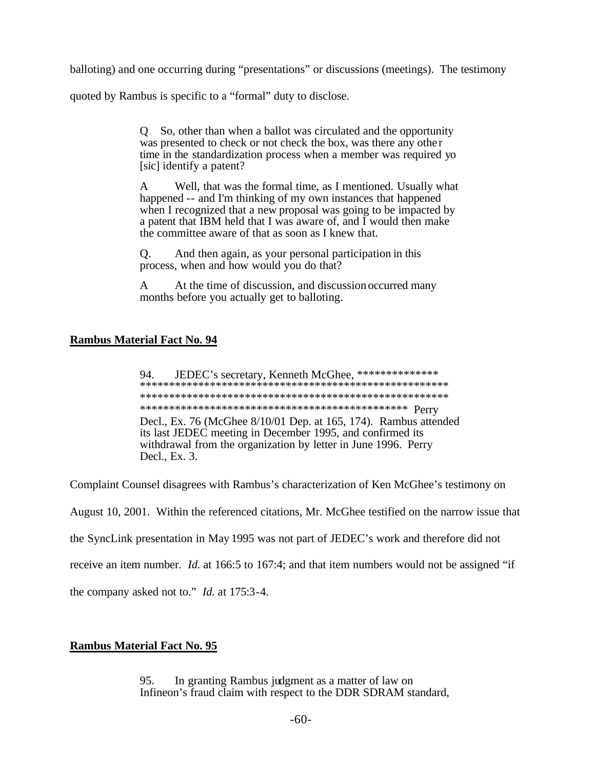balloting) and one occurring during "presentations" or discussions (meetings). The testimony

quoted by Rambus is specific to a "formal" duty to disclose.

Q So, other than when a ballot was circulated and the opportunity was presented to check or not check the box, was there any other time in the standardization process when a member was required yo [sic] identify a patent?

Well, that was the formal time, as I mentioned. Usually what A happened -- and I'm thinking of my own instances that happened when I recognized that a new proposal was going to be impacted by a patent that IBM held that I was aware of, and I would then make the committee aware of that as soon as I knew that.

And then again, as your personal participation in this O. process, when and how would you do that?

At the time of discussion, and discussion occurred many  $\mathsf{A}$ months before you actually get to balloting.

### **Rambus Material Fact No. 94**

JEDEC's secretary, Kenneth McGhee, \*\*\*\*\*\*\*\*\*\*\*\*\*\*\* 94. Decl., Ex. 76 (McGhee 8/10/01 Dep. at 165, 174). Rambus attended its last JEDEC meeting in December 1995, and confirmed its withdrawal from the organization by letter in June 1996. Perry Decl., Ex. 3.

Complaint Counsel disagrees with Rambus's characterization of Ken McGhee's testimony on

August 10, 2001. Within the referenced citations, Mr. McGhee testified on the narrow issue that

the SyncLink presentation in May 1995 was not part of JEDEC's work and therefore did not

receive an item number. *Id.* at 166:5 to 167:4; and that item numbers would not be assigned "if

the company asked not to." *Id.* at 175:3-4.

# **Rambus Material Fact No. 95**

In granting Rambus judgment as a matter of law on 95. Infineon's fraud claim with respect to the DDR SDRAM standard,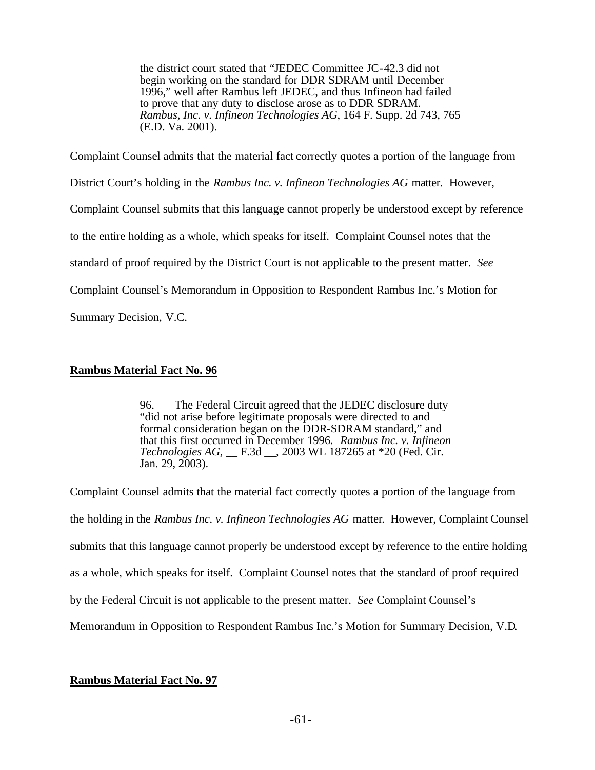the district court stated that "JEDEC Committee JC-42.3 did not begin working on the standard for DDR SDRAM until December 1996," well after Rambus left JEDEC, and thus Infineon had failed to prove that any duty to disclose arose as to DDR SDRAM. *Rambus, Inc. v. Infineon Technologies AG*, 164 F. Supp. 2d 743, 765 (E.D. Va. 2001).

Complaint Counsel admits that the material fact correctly quotes a portion of the language from District Court's holding in the *Rambus Inc. v. Infineon Technologies AG* matter. However, Complaint Counsel submits that this language cannot properly be understood except by reference to the entire holding as a whole, which speaks for itself. Complaint Counsel notes that the standard of proof required by the District Court is not applicable to the present matter. *See*  Complaint Counsel's Memorandum in Opposition to Respondent Rambus Inc.'s Motion for Summary Decision, V.C.

## **Rambus Material Fact No. 96**

96. The Federal Circuit agreed that the JEDEC disclosure duty "did not arise before legitimate proposals were directed to and formal consideration began on the DDR-SDRAM standard," and that this first occurred in December 1996. *Rambus Inc. v. Infineon Technologies AG*, \_\_ F.3d \_\_, 2003 WL 187265 at \*20 (Fed. Cir. Jan. 29, 2003).

Complaint Counsel admits that the material fact correctly quotes a portion of the language from the holding in the *Rambus Inc. v. Infineon Technologies AG* matter. However, Complaint Counsel submits that this language cannot properly be understood except by reference to the entire holding as a whole, which speaks for itself. Complaint Counsel notes that the standard of proof required by the Federal Circuit is not applicable to the present matter. *See* Complaint Counsel's Memorandum in Opposition to Respondent Rambus Inc.'s Motion for Summary Decision, V.D.

# **Rambus Material Fact No. 97**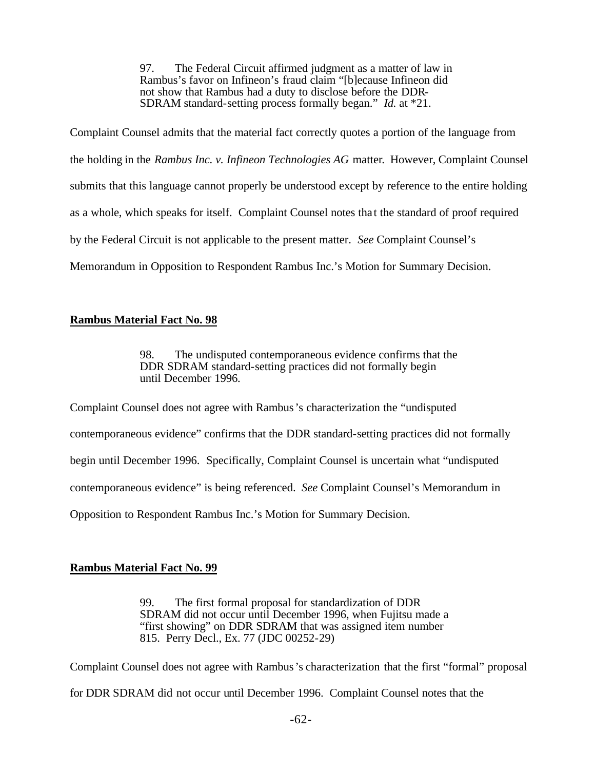97. The Federal Circuit affirmed judgment as a matter of law in Rambus's favor on Infineon's fraud claim "[b]ecause Infineon did not show that Rambus had a duty to disclose before the DDR-SDRAM standard-setting process formally began." *Id.* at \*21.

Complaint Counsel admits that the material fact correctly quotes a portion of the language from the holding in the *Rambus Inc. v. Infineon Technologies AG* matter. However, Complaint Counsel submits that this language cannot properly be understood except by reference to the entire holding as a whole, which speaks for itself. Complaint Counsel notes tha t the standard of proof required by the Federal Circuit is not applicable to the present matter. *See* Complaint Counsel's Memorandum in Opposition to Respondent Rambus Inc.'s Motion for Summary Decision.

## **Rambus Material Fact No. 98**

98. The undisputed contemporaneous evidence confirms that the DDR SDRAM standard-setting practices did not formally begin until December 1996.

Complaint Counsel does not agree with Rambus's characterization the "undisputed contemporaneous evidence" confirms that the DDR standard-setting practices did not formally begin until December 1996. Specifically, Complaint Counsel is uncertain what "undisputed contemporaneous evidence" is being referenced. *See* Complaint Counsel's Memorandum in Opposition to Respondent Rambus Inc.'s Motion for Summary Decision.

### **Rambus Material Fact No. 99**

99. The first formal proposal for standardization of DDR SDRAM did not occur until December 1996, when Fujitsu made a "first showing" on DDR SDRAM that was assigned item number 815. Perry Decl., Ex. 77 (JDC 00252-29)

Complaint Counsel does not agree with Rambus's characterization that the first "formal" proposal for DDR SDRAM did not occur until December 1996. Complaint Counsel notes that the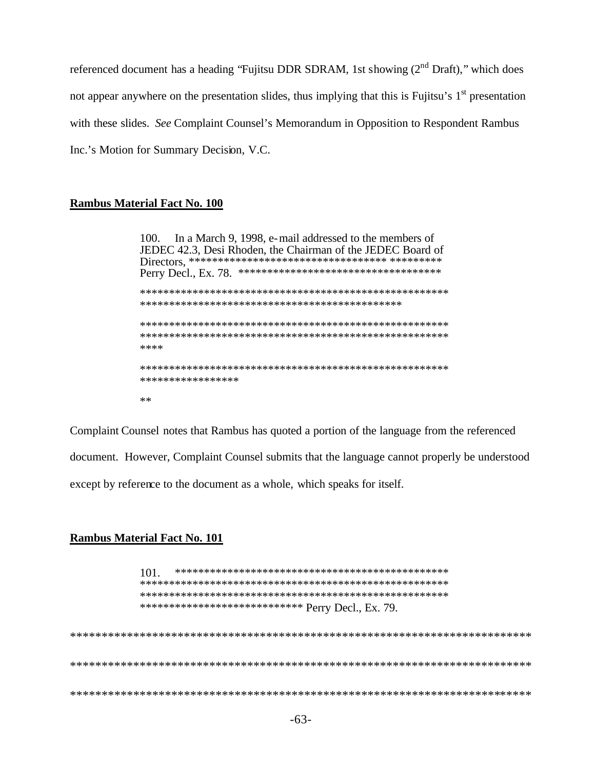referenced document has a heading "Fujitsu DDR SDRAM, 1st showing  $(2<sup>nd</sup> Draff)$ ," which does not appear anywhere on the presentation slides, thus implying that this is Fujitsu's 1<sup>st</sup> presentation with these slides. See Complaint Counsel's Memorandum in Opposition to Respondent Rambus Inc.'s Motion for Summary Decision, V.C.

### **Rambus Material Fact No. 100**

In a March 9, 1998, e-mail addressed to the members of 100. JEDEC 42.3, Desi Rhoden, the Chairman of the JEDEC Board of \*\*\*\* \*\*\*\*\*\*\*\*\*\*\*\*\*\*\*\*\* 火火

Complaint Counsel notes that Rambus has quoted a portion of the language from the referenced document. However, Complaint Counsel submits that the language cannot properly be understood except by reference to the document as a whole, which speaks for itself.

#### **Rambus Material Fact No. 101**

 $101.$ \*\*\*\*\*\*\*\*\*\*\*\*\*\*\*\*\*\*\*\*\*\*\*\*\*\*\*\*\* Perry Decl., Ex. 79.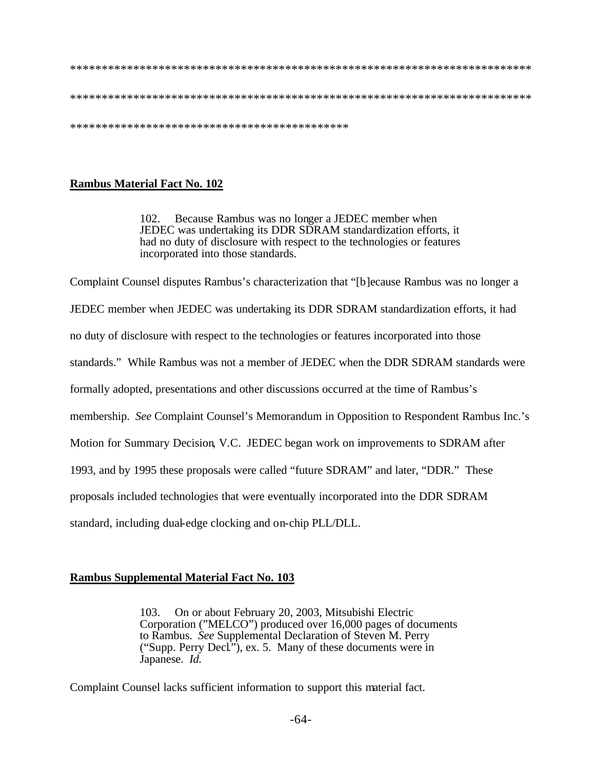#### 

### **Rambus Material Fact No. 102**

102. Because Rambus was no longer a JEDEC member when JEDEC was undertaking its DDR SDRAM standardization efforts, it had no duty of disclosure with respect to the technologies or features incorporated into those standards.

Complaint Counsel disputes Rambus's characterization that "[b] ecause Rambus was no longer a JEDEC member when JEDEC was undertaking its DDR SDRAM standardization efforts, it had no duty of disclosure with respect to the technologies or features incorporated into those standards." While Rambus was not a member of JEDEC when the DDR SDRAM standards were formally adopted, presentations and other discussions occurred at the time of Rambus's membership. See Complaint Counsel's Memorandum in Opposition to Respondent Rambus Inc.'s Motion for Summary Decision, V.C. JEDEC began work on improvements to SDRAM after 1993, and by 1995 these proposals were called "future SDRAM" and later, "DDR." These proposals included technologies that were eventually incorporated into the DDR SDRAM standard, including dual-edge clocking and on-chip PLL/DLL.

### **Rambus Supplemental Material Fact No. 103**

On or about February 20, 2003, Mitsubishi Electric 103. Corporation ("MELCO") produced over 16,000 pages of documents to Rambus. See Supplemental Declaration of Steven M. Perry ("Supp. Perry Decl"), ex. 5. Many of these documents were in Japanese. Id.

Complaint Counsel lacks sufficient information to support this material fact.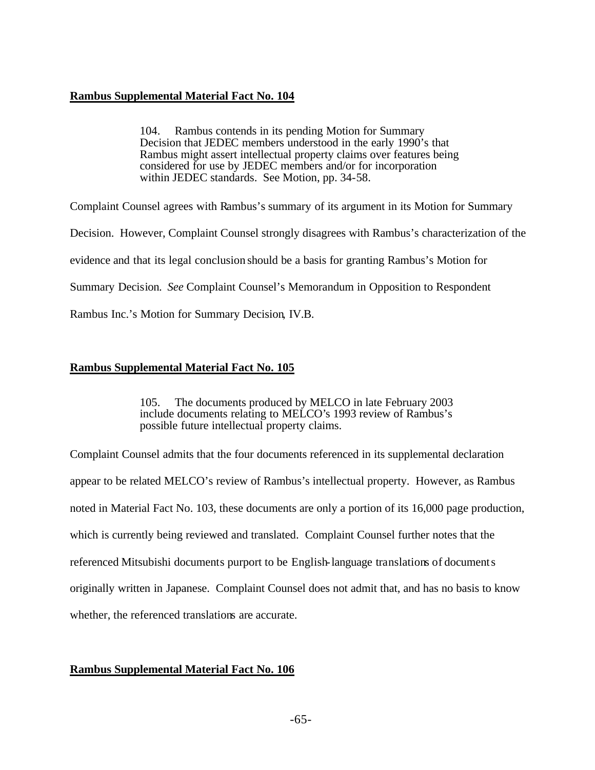### **Rambus Supplemental Material Fact No. 104**

104. Rambus contends in its pending Motion for Summary Decision that JEDEC members understood in the early 1990's that Rambus might assert intellectual property claims over features being considered for use by JEDEC members and/or for incorporation within JEDEC standards. See Motion, pp. 34-58.

Complaint Counsel agrees with Rambus's summary of its argument in its Motion for Summary Decision. However, Complaint Counsel strongly disagrees with Rambus's characterization of the evidence and that its legal conclusion should be a basis for granting Rambus's Motion for Summary Decision. *See* Complaint Counsel's Memorandum in Opposition to Respondent Rambus Inc.'s Motion for Summary Decision, IV.B.

### **Rambus Supplemental Material Fact No. 105**

105. The documents produced by MELCO in late February 2003 include documents relating to MELCO's 1993 review of Rambus's possible future intellectual property claims.

Complaint Counsel admits that the four documents referenced in its supplemental declaration appear to be related MELCO's review of Rambus's intellectual property. However, as Rambus noted in Material Fact No. 103, these documents are only a portion of its 16,000 page production, which is currently being reviewed and translated. Complaint Counsel further notes that the referenced Mitsubishi documents purport to be English-language translations of documents originally written in Japanese. Complaint Counsel does not admit that, and has no basis to know whether, the referenced translations are accurate.

### **Rambus Supplemental Material Fact No. 106**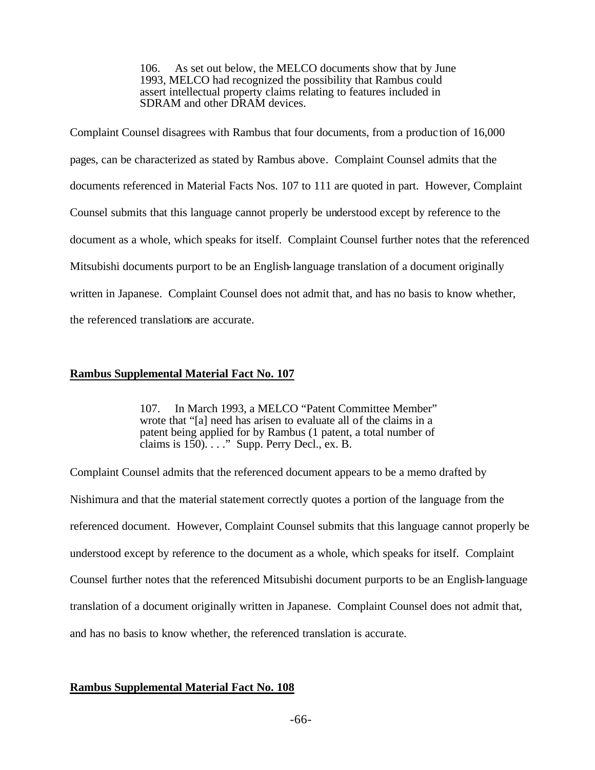106. As set out below, the MELCO documents show that by June 1993, MELCO had recognized the possibility that Rambus could assert intellectual property claims relating to features included in SDRAM and other DRAM devices.

Complaint Counsel disagrees with Rambus that four documents, from a produc tion of 16,000 pages, can be characterized as stated by Rambus above. Complaint Counsel admits that the documents referenced in Material Facts Nos. 107 to 111 are quoted in part. However, Complaint Counsel submits that this language cannot properly be understood except by reference to the document as a whole, which speaks for itself. Complaint Counsel further notes that the referenced Mitsubishi documents purport to be an English-language translation of a document originally written in Japanese. Complaint Counsel does not admit that, and has no basis to know whether, the referenced translations are accurate.

### **Rambus Supplemental Material Fact No. 107**

107. In March 1993, a MELCO "Patent Committee Member" wrote that "[a] need has arisen to evaluate all of the claims in a patent being applied for by Rambus (1 patent, a total number of claims is 150). . . ." Supp. Perry Decl., ex. B.

Complaint Counsel admits that the referenced document appears to be a memo drafted by Nishimura and that the material statement correctly quotes a portion of the language from the referenced document. However, Complaint Counsel submits that this language cannot properly be understood except by reference to the document as a whole, which speaks for itself. Complaint Counsel further notes that the referenced Mitsubishi document purports to be an English-language translation of a document originally written in Japanese. Complaint Counsel does not admit that, and has no basis to know whether, the referenced translation is accurate.

### **Rambus Supplemental Material Fact No. 108**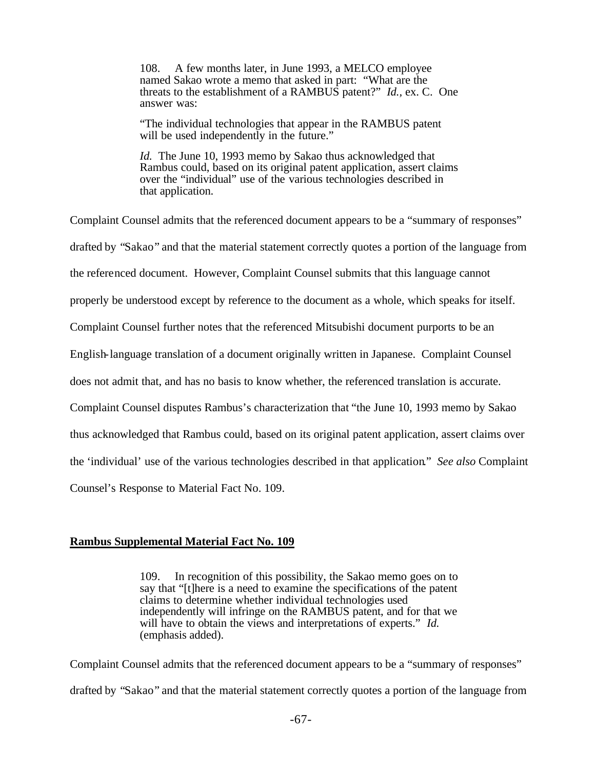108. A few months later, in June 1993, a MELCO employee named Sakao wrote a memo that asked in part: "What are the threats to the establishment of a RAMBUS patent?" *Id.,* ex. C. One answer was:

"The individual technologies that appear in the RAMBUS patent will be used independently in the future."

*Id.* The June 10, 1993 memo by Sakao thus acknowledged that Rambus could, based on its original patent application, assert claims over the "individual" use of the various technologies described in that application.

Complaint Counsel admits that the referenced document appears to be a "summary of responses" drafted by "Sakao" and that the material statement correctly quotes a portion of the language from the referenced document. However, Complaint Counsel submits that this language cannot properly be understood except by reference to the document as a whole, which speaks for itself. Complaint Counsel further notes that the referenced Mitsubishi document purports to be an English-language translation of a document originally written in Japanese. Complaint Counsel does not admit that, and has no basis to know whether, the referenced translation is accurate. Complaint Counsel disputes Rambus's characterization that "the June 10, 1993 memo by Sakao thus acknowledged that Rambus could, based on its original patent application, assert claims over the 'individual' use of the various technologies described in that application." *See also* Complaint Counsel's Response to Material Fact No. 109.

#### **Rambus Supplemental Material Fact No. 109**

109. In recognition of this possibility, the Sakao memo goes on to say that "[t]here is a need to examine the specifications of the patent claims to determine whether individual technologies used independently will infringe on the RAMBUS patent, and for that we will have to obtain the views and interpretations of experts." *Id.* (emphasis added).

Complaint Counsel admits that the referenced document appears to be a "summary of responses" drafted by "Sakao" and that the material statement correctly quotes a portion of the language from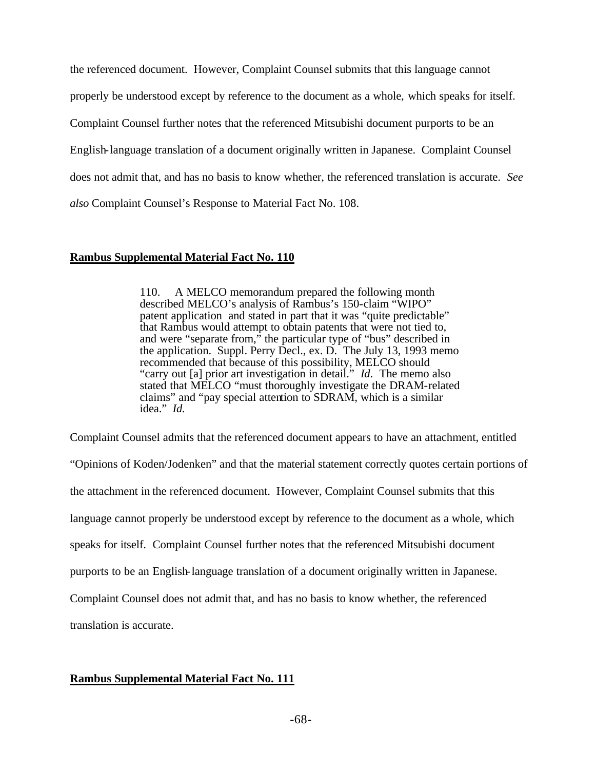the referenced document. However, Complaint Counsel submits that this language cannot properly be understood except by reference to the document as a whole, which speaks for itself. Complaint Counsel further notes that the referenced Mitsubishi document purports to be an English-language translation of a document originally written in Japanese. Complaint Counsel does not admit that, and has no basis to know whether, the referenced translation is accurate. *See also* Complaint Counsel's Response to Material Fact No. 108.

#### **Rambus Supplemental Material Fact No. 110**

110. A MELCO memorandum prepared the following month described MELCO's analysis of Rambus's 150-claim "WIPO" patent application and stated in part that it was "quite predictable" that Rambus would attempt to obtain patents that were not tied to, and were "separate from," the particular type of "bus" described in the application. Suppl. Perry Decl., ex. D. The July 13, 1993 memo recommended that because of this possibility, MELCO should "carry out [a] prior art investigation in detail." *Id*. The memo also stated that MELCO "must thoroughly investigate the DRAM-related claims" and "pay special attention to SDRAM, which is a similar idea." *Id.*

Complaint Counsel admits that the referenced document appears to have an attachment, entitled

"Opinions of Koden/Jodenken" and that the material statement correctly quotes certain portions of

the attachment in the referenced document. However, Complaint Counsel submits that this

language cannot properly be understood except by reference to the document as a whole, which

speaks for itself. Complaint Counsel further notes that the referenced Mitsubishi document

purports to be an English-language translation of a document originally written in Japanese.

Complaint Counsel does not admit that, and has no basis to know whether, the referenced

translation is accurate.

#### **Rambus Supplemental Material Fact No. 111**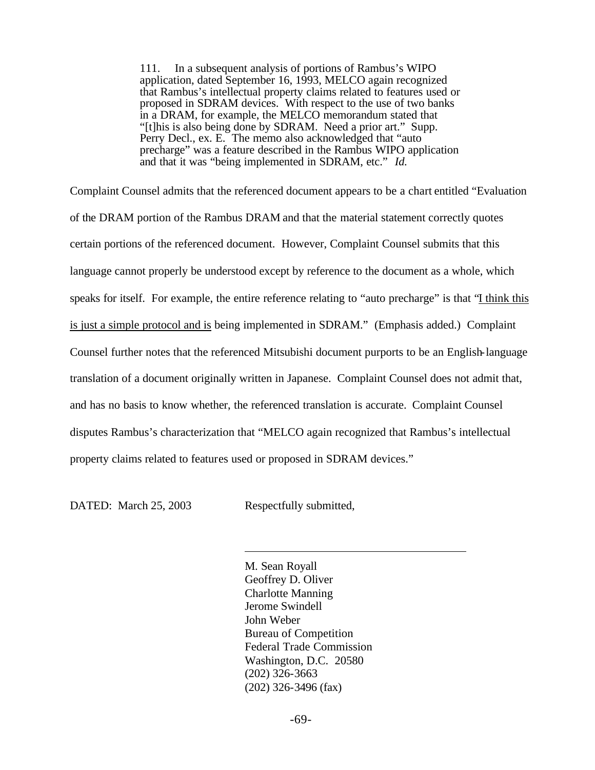111. In a subsequent analysis of portions of Rambus's WIPO application, dated September 16, 1993, MELCO again recognized that Rambus's intellectual property claims related to features used or proposed in SDRAM devices. With respect to the use of two banks in a DRAM, for example, the MELCO memorandum stated that "[t]his is also being done by SDRAM. Need a prior art." Supp. Perry Decl., ex. E. The memo also acknowledged that "auto precharge" was a feature described in the Rambus WIPO application and that it was "being implemented in SDRAM, etc." *Id.*

Complaint Counsel admits that the referenced document appears to be a chart entitled "Evaluation of the DRAM portion of the Rambus DRAM and that the material statement correctly quotes certain portions of the referenced document. However, Complaint Counsel submits that this language cannot properly be understood except by reference to the document as a whole, which speaks for itself. For example, the entire reference relating to "auto precharge" is that "I think this is just a simple protocol and is being implemented in SDRAM." (Emphasis added.) Complaint Counsel further notes that the referenced Mitsubishi document purports to be an English-language translation of a document originally written in Japanese. Complaint Counsel does not admit that, and has no basis to know whether, the referenced translation is accurate. Complaint Counsel disputes Rambus's characterization that "MELCO again recognized that Rambus's intellectual property claims related to features used or proposed in SDRAM devices."

DATED: March 25, 2003 Respectfully submitted,

l

M. Sean Royall Geoffrey D. Oliver Charlotte Manning Jerome Swindell John Weber Bureau of Competition Federal Trade Commission Washington, D.C. 20580 (202) 326-3663 (202) 326-3496 (fax)